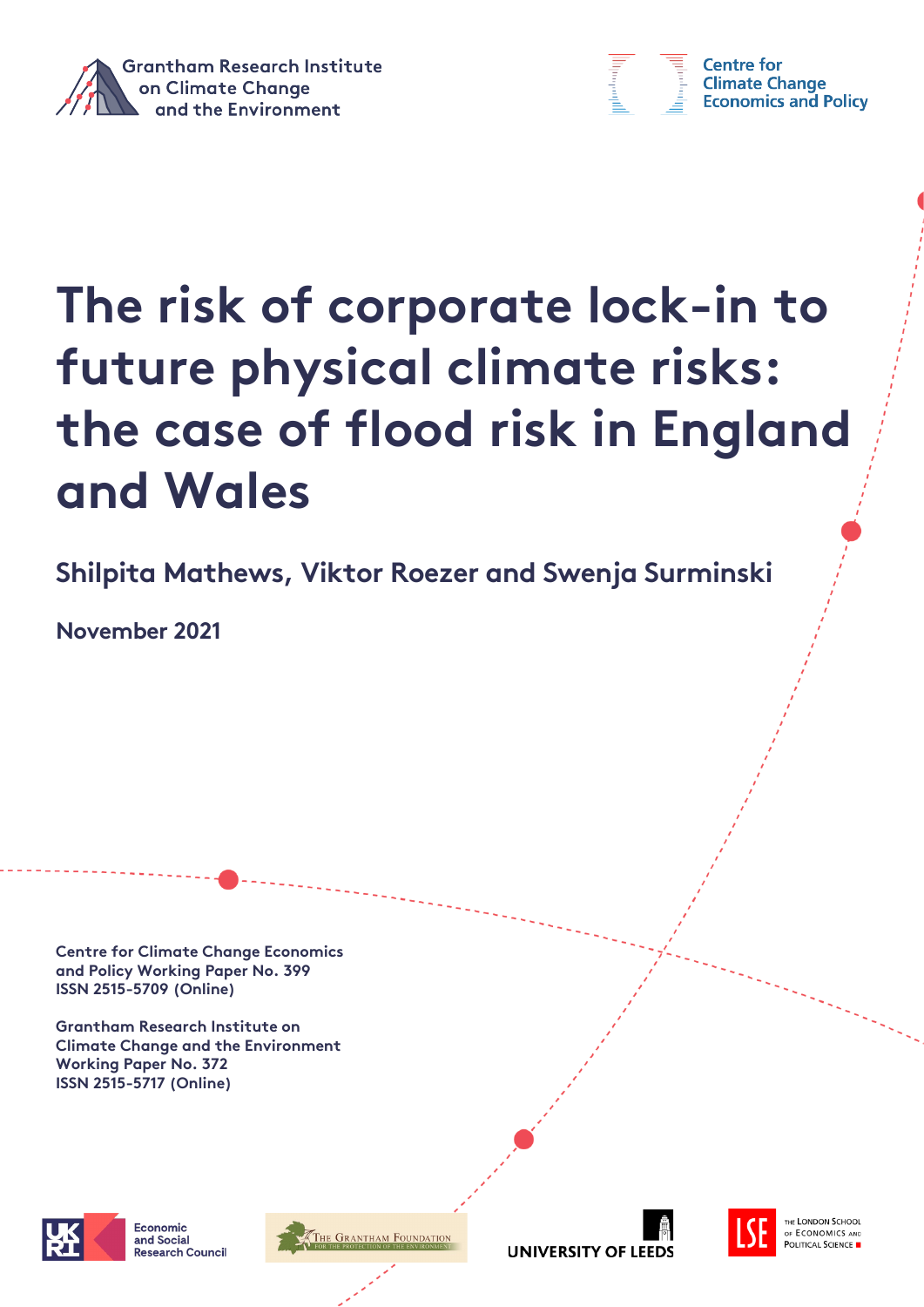



**Centre for Climate Change Economics and Policy** 

# **The risk of corporate lock-in to future physical climate risks: the case of flood risk in England and Wales**

**Shilpita Mathews, Viktor Roezer and Swenja Surminski**

**November 2021**

**Centre for Climate Change Economics and Policy Working Paper No. 399 ISSN 2515-5709 (Online)**

**Grantham Research Institute on Climate Change and the Environment Working Paper No. 372 ISSN 2515-5717 (Online)**



Economic and Social and sector<br>Research Council

.<br>The Grantham Foundation





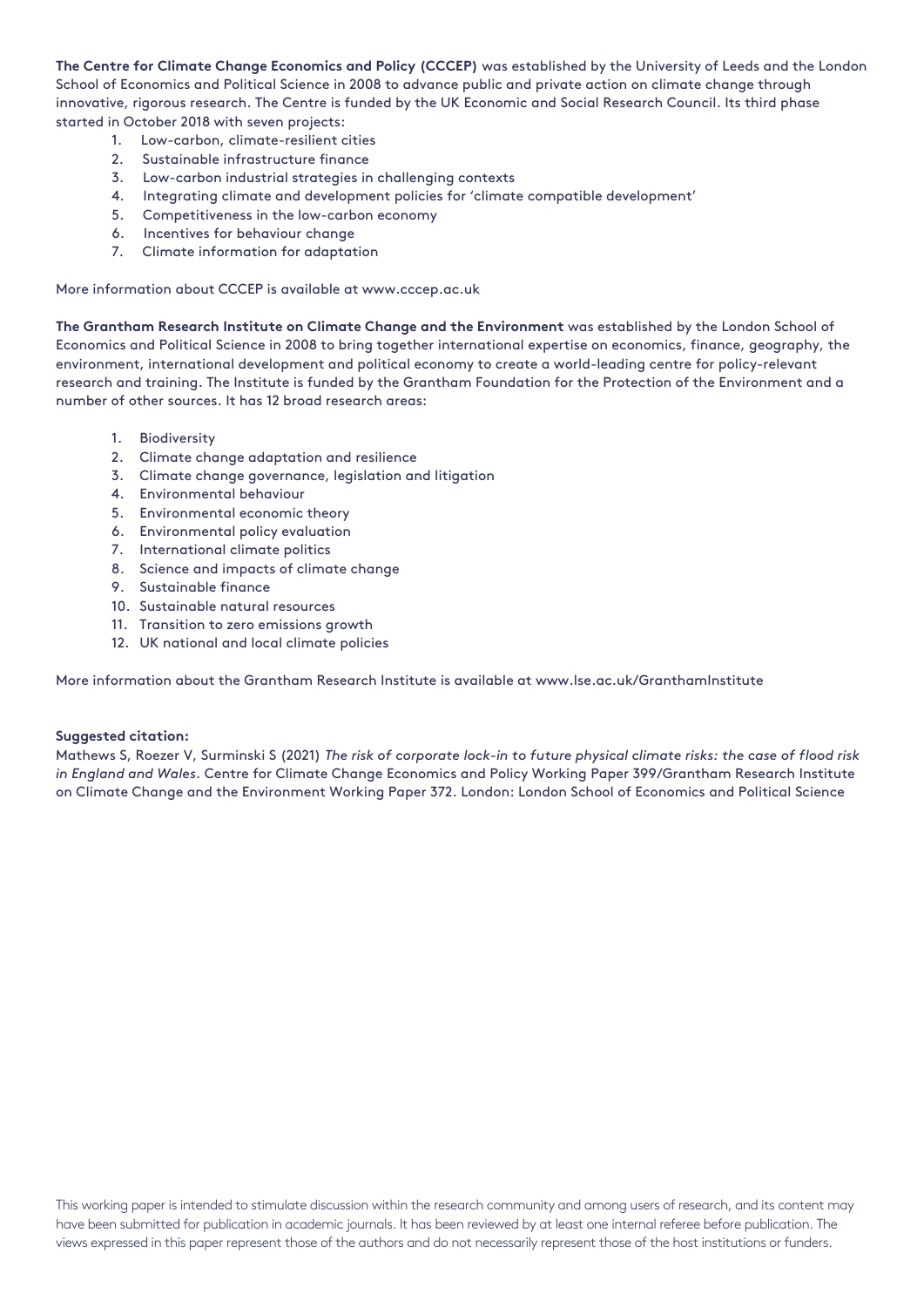**The Centre for Climate Change Economics and Policy (CCCEP)** was established by the University of Leeds and the London School of Economics and Political Science in 2008 to advance public and private action on climate change through innovative, rigorous research. The Centre is funded by the UK Economic and Social Research Council. Its third phase started in October 2018 with seven projects:

- 1. Low-carbon, climate-resilient cities
- 2. Sustainable infrastructure finance
- 3. Low-carbon industrial strategies in challenging contexts
- 4. Integrating climate and development policies for 'climate compatible development'
- 5. Competitiveness in the low-carbon economy
- 6. Incentives for behaviour change
- 7. Climate information for adaptation

More information about CCCEP is available at www.cccep.ac.uk

**The Grantham Research Institute on Climate Change and the Environment** was established by the London School of Economics and Political Science in 2008 to bring together international expertise on economics, finance, geography, the environment, international development and political economy to create a world-leading centre for policy-relevant research and training. The Institute is funded by the Grantham Foundation for the Protection of the Environment and a number of other sources. It has 12 broad research areas:

- 1. Biodiversity
- 2. Climate change adaptation and resilience
- 3. Climate change governance, legislation and litigation
- 4. Environmental behaviour
- 5. Environmental economic theory
- 6. Environmental policy evaluation
- 7. International climate politics
- 8. Science and impacts of climate change
- 9. Sustainable finance
- 10. Sustainable natural resources
- 11. Transition to zero emissions growth
- 12. UK national and local climate policies

More information about the Grantham Research Institute is available at www.lse.ac.uk/GranthamInstitute

#### **Suggested citation:**

Mathews S, Roezer V, Surminski S (2021) *The risk of corporate lock-in to future physical climate risks: the case of flood risk in England and Wales*. Centre for Climate Change Economics and Policy Working Paper 399/Grantham Research Institute on Climate Change and the Environment Working Paper 372. London: London School of Economics and Political Science

This working paper is intended to stimulate discussion within the research community and among users of research, and its content may have been submitted for publication in academic journals. It has been reviewed by at least one internal referee before publication. The views expressed in this paper represent those of the authors and do not necessarily represent those of the host institutions or funders.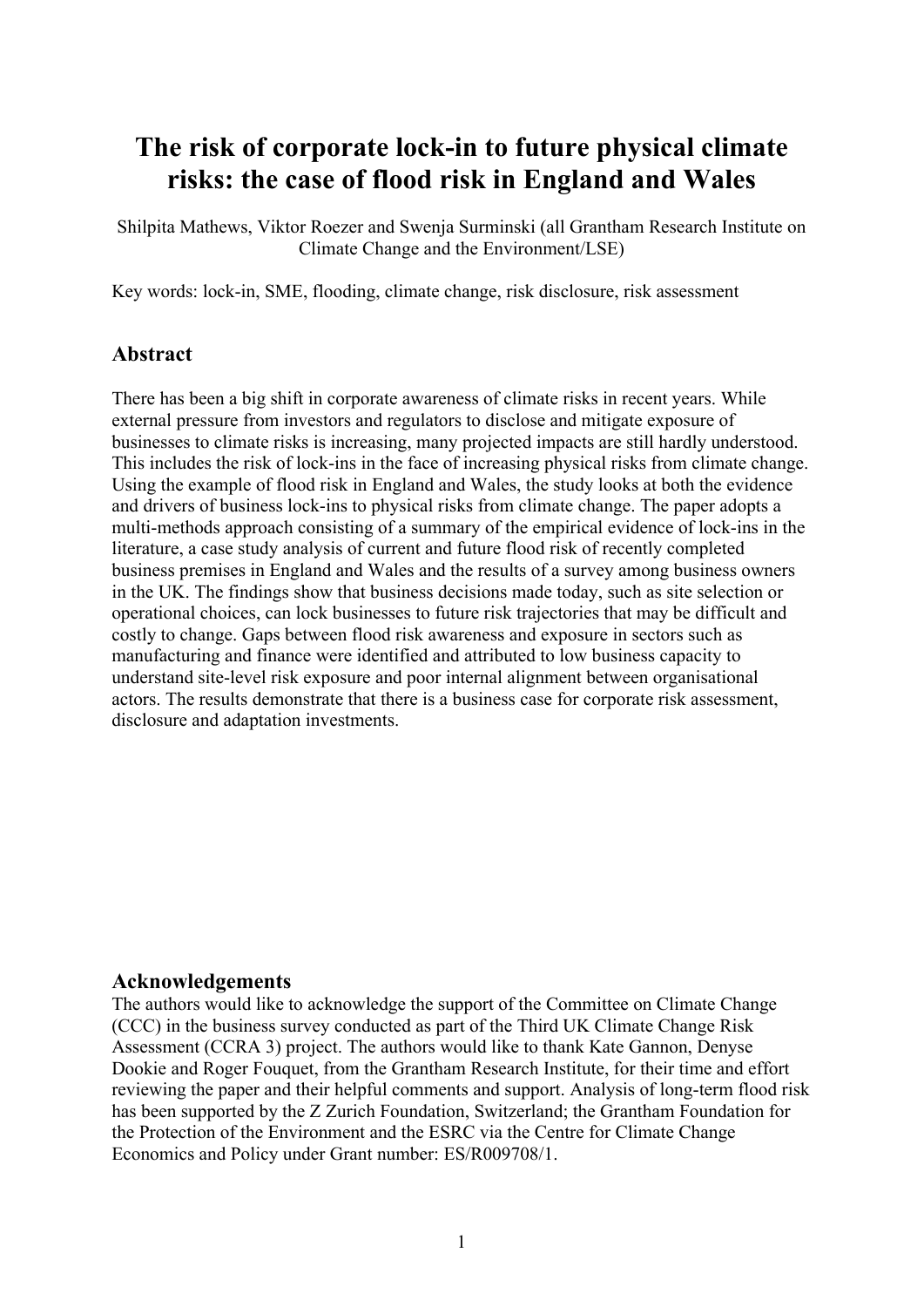# **The risk of corporate lock-in to future physical climate risks: the case of flood risk in England and Wales**

Shilpita Mathews, Viktor Roezer and Swenja Surminski (all Grantham Research Institute on Climate Change and the Environment/LSE)

Key words: lock-in, SME, flooding, climate change, risk disclosure, risk assessment

## **Abstract**

There has been a big shift in corporate awareness of climate risks in recent years. While external pressure from investors and regulators to disclose and mitigate exposure of businesses to climate risks is increasing, many projected impacts are still hardly understood. This includes the risk of lock-ins in the face of increasing physical risks from climate change. Using the example of flood risk in England and Wales, the study looks at both the evidence and drivers of business lock-ins to physical risks from climate change. The paper adopts a multi-methods approach consisting of a summary of the empirical evidence of lock-ins in the literature, a case study analysis of current and future flood risk of recently completed business premises in England and Wales and the results of a survey among business owners in the UK. The findings show that business decisions made today, such as site selection or operational choices, can lock businesses to future risk trajectories that may be difficult and costly to change. Gaps between flood risk awareness and exposure in sectors such as manufacturing and finance were identified and attributed to low business capacity to understand site-level risk exposure and poor internal alignment between organisational actors. The results demonstrate that there is a business case for corporate risk assessment, disclosure and adaptation investments.

#### **Acknowledgements**

The authors would like to acknowledge the support of the Committee on Climate Change (CCC) in the business survey conducted as part of the Third UK Climate Change Risk Assessment (CCRA 3) project. The authors would like to thank Kate Gannon, Denyse Dookie and Roger Fouquet, from the Grantham Research Institute, for their time and effort reviewing the paper and their helpful comments and support. Analysis of long-term flood risk has been supported by the Z Zurich Foundation, Switzerland; the Grantham Foundation for the Protection of the Environment and the ESRC via the Centre for Climate Change Economics and Policy under Grant number: ES/R009708/1.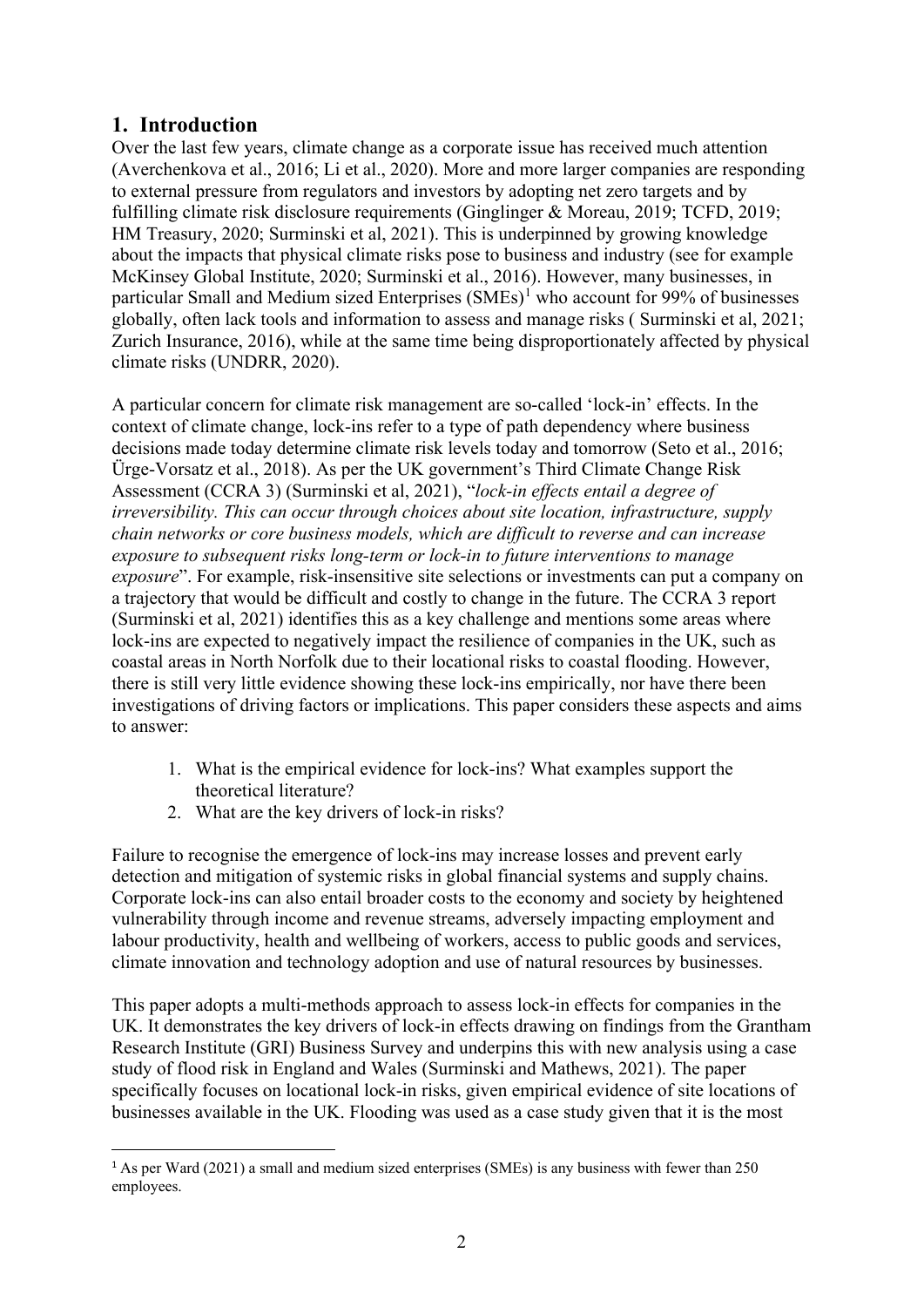## <span id="page-3-1"></span>**1. Introduction**

Over the last few years, climate change as a corporate issue has received much attention (Averchenkova et al., 2016; Li et al., 2020). More and more larger companies are responding to external pressure from regulators and investors by adopting net zero targets and by fulfilling climate risk disclosure requirements (Ginglinger & Moreau, 2019; TCFD, 2019; HM Treasury, 2020; Surminski et al, 2021). This is underpinned by growing knowledge about the impacts that physical climate risks pose to business and industry (see for example McKinsey Global Institute, 2020; Surminski et al., 2016). However, many businesses, in particular Small and Medium sized Enterprises  $(SMEs)^1$  $(SMEs)^1$  who account for 99% of businesses globally, often lack tools and information to assess and manage risks ( Surminski et al, 2021; Zurich Insurance, 2016), while at the same time being disproportionately affected by physical climate risks (UNDRR, 2020).

A particular concern for climate risk management are so-called 'lock-in' effects. In the context of climate change, lock-ins refer to a type of path dependency where business decisions made today determine climate risk levels today and tomorrow (Seto et al., 2016; Ürge-Vorsatz et al., 2018). As per the UK government's Third Climate Change Risk Assessment (CCRA 3) (Surminski et al, 2021), "*lock-in effects entail a degree of irreversibility. This can occur through choices about site location, infrastructure, supply chain networks or core business models, which are difficult to reverse and can increase exposure to subsequent risks long-term or lock-in to future interventions to manage exposure*". For example, risk-insensitive site selections or investments can put a company on a trajectory that would be difficult and costly to change in the future. The CCRA 3 report (Surminski et al, 2021) identifies this as a key challenge and mentions some areas where lock-ins are expected to negatively impact the resilience of companies in the UK, such as coastal areas in North Norfolk due to their locational risks to coastal flooding. However, there is still very little evidence showing these lock-ins empirically, nor have there been investigations of driving factors or implications. This paper considers these aspects and aims to answer:

- 1. What is the empirical evidence for lock-ins? What examples support the theoretical literature?
- 2. What are the key drivers of lock-in risks?

Failure to recognise the emergence of lock-ins may increase losses and prevent early detection and mitigation of systemic risks in global financial systems and supply chains. Corporate lock-ins can also entail broader costs to the economy and society by heightened vulnerability through income and revenue streams, adversely impacting employment and labour productivity, health and wellbeing of workers, access to public goods and services, climate innovation and technology adoption and use of natural resources by businesses.

This paper adopts a multi-methods approach to assess lock-in effects for companies in the UK. It demonstrates the key drivers of lock-in effects drawing on findings from the Grantham Research Institute (GRI) Business Survey and underpins this with new analysis using a case study of flood risk in England and Wales (Surminski and Mathews, 2021). The paper specifically focuses on locational lock-in risks, given empirical evidence of site locations of businesses available in the UK. Flooding was used as a case study given that it is the most

<span id="page-3-0"></span><sup>1</sup> As per Ward (2021) a small and medium sized enterprises (SMEs) is any business with fewer than 250 employees.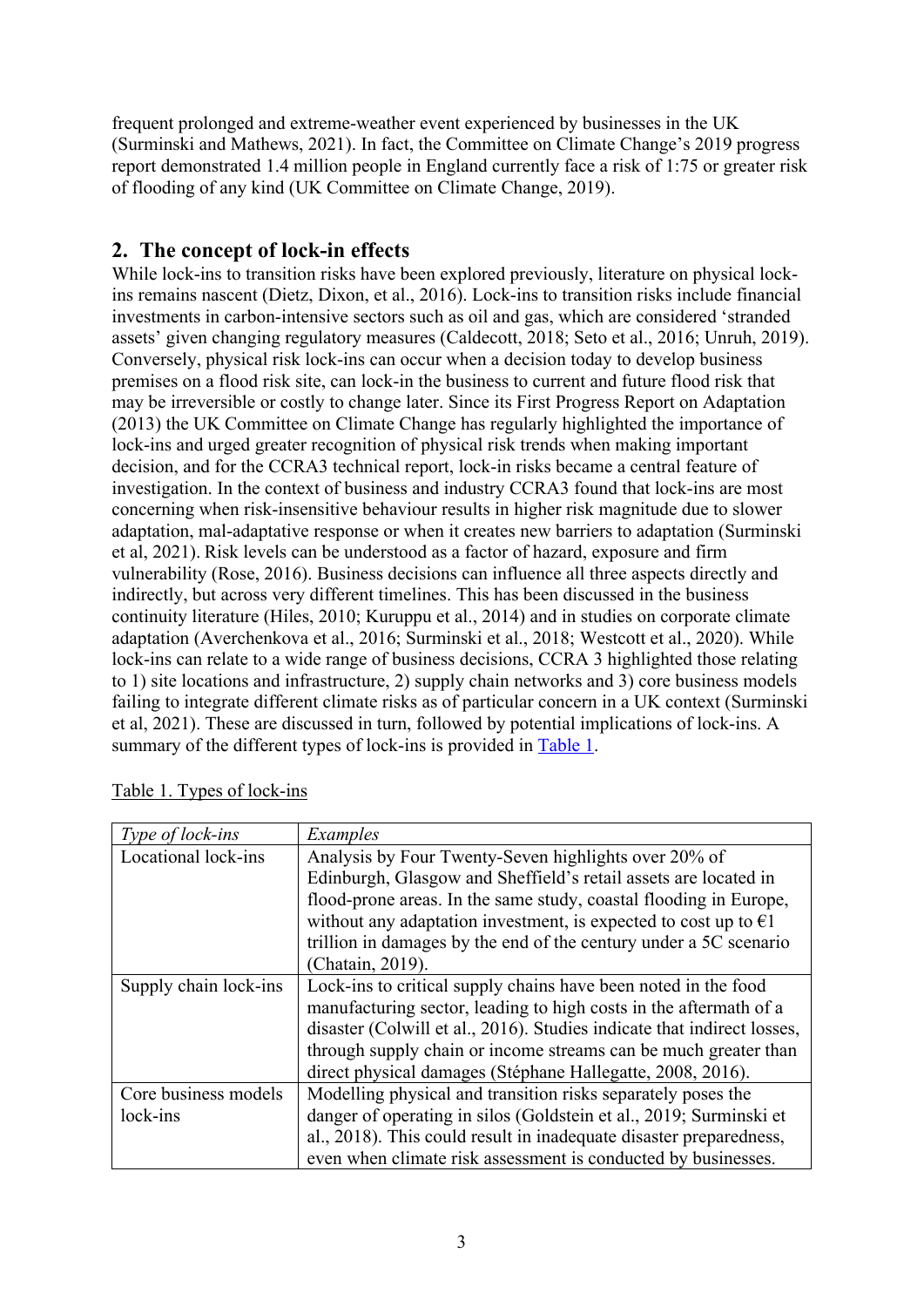frequent prolonged and extreme-weather event experienced by businesses in the UK (Surminski and Mathews, 2021). In fact, the Committee on Climate Change's 2019 progress report demonstrated 1.4 million people in England currently face a risk of 1:75 or greater risk of flooding of any kind (UK Committee on Climate Change, 2019).

## <span id="page-4-1"></span>**2. The concept of lock-in effects**

While lock-ins to transition risks have been explored previously, literature on physical lockins remains nascent (Dietz, Dixon, et al., 2016). Lock-ins to transition risks include financial investments in carbon-intensive sectors such as oil and gas, which are considered 'stranded assets' given changing regulatory measures (Caldecott, 2018; Seto et al., 2016; Unruh, 2019). Conversely, physical risk lock-ins can occur when a decision today to develop business premises on a flood risk site, can lock-in the business to current and future flood risk that may be irreversible or costly to change later. Since its First Progress Report on Adaptation (2013) the UK Committee on Climate Change has regularly highlighted the importance of lock-ins and urged greater recognition of physical risk trends when making important decision, and for the CCRA3 technical report, lock-in risks became a central feature of investigation. In the context of business and industry CCRA3 found that lock-ins are most concerning when risk-insensitive behaviour results in higher risk magnitude due to slower adaptation, mal-adaptative response or when it creates new barriers to adaptation (Surminski et al, 2021). Risk levels can be understood as a factor of hazard, exposure and firm vulnerability (Rose, 2016). Business decisions can influence all three aspects directly and indirectly, but across very different timelines. This has been discussed in the business continuity literature (Hiles, 2010; Kuruppu et al., 2014) and in studies on corporate climate adaptation (Averchenkova et al., 2016; Surminski et al., 2018; Westcott et al., 2020). While lock-ins can relate to a wide range of business decisions, CCRA 3 highlighted those relating to 1) site locations and infrastructure, 2) supply chain networks and 3) core business models failing to integrate different climate risks as of particular concern in a UK context (Surminski et al, 2021). These are discussed in turn, followed by potential implications of lock-ins. A summary of the different types of lock-ins is provided in [Table 1.](#page-4-0)

| Type of lock-ins      | Examples                                                                  |
|-----------------------|---------------------------------------------------------------------------|
| Locational lock-ins   | Analysis by Four Twenty-Seven highlights over 20% of                      |
|                       | Edinburgh, Glasgow and Sheffield's retail assets are located in           |
|                       | flood-prone areas. In the same study, coastal flooding in Europe,         |
|                       | without any adaptation investment, is expected to cost up to $\epsilon$ 1 |
|                       | trillion in damages by the end of the century under a 5C scenario         |
|                       | (Chatain, 2019).                                                          |
| Supply chain lock-ins | Lock-ins to critical supply chains have been noted in the food            |
|                       | manufacturing sector, leading to high costs in the aftermath of a         |
|                       | disaster (Colwill et al., 2016). Studies indicate that indirect losses,   |
|                       | through supply chain or income streams can be much greater than           |
|                       | direct physical damages (Stéphane Hallegatte, 2008, 2016).                |
| Core business models  | Modelling physical and transition risks separately poses the              |
| lock-ins              | danger of operating in silos (Goldstein et al., 2019; Surminski et        |
|                       | al., 2018). This could result in inadequate disaster preparedness,        |
|                       | even when climate risk assessment is conducted by businesses.             |

## <span id="page-4-0"></span>Table 1. Types of lock-ins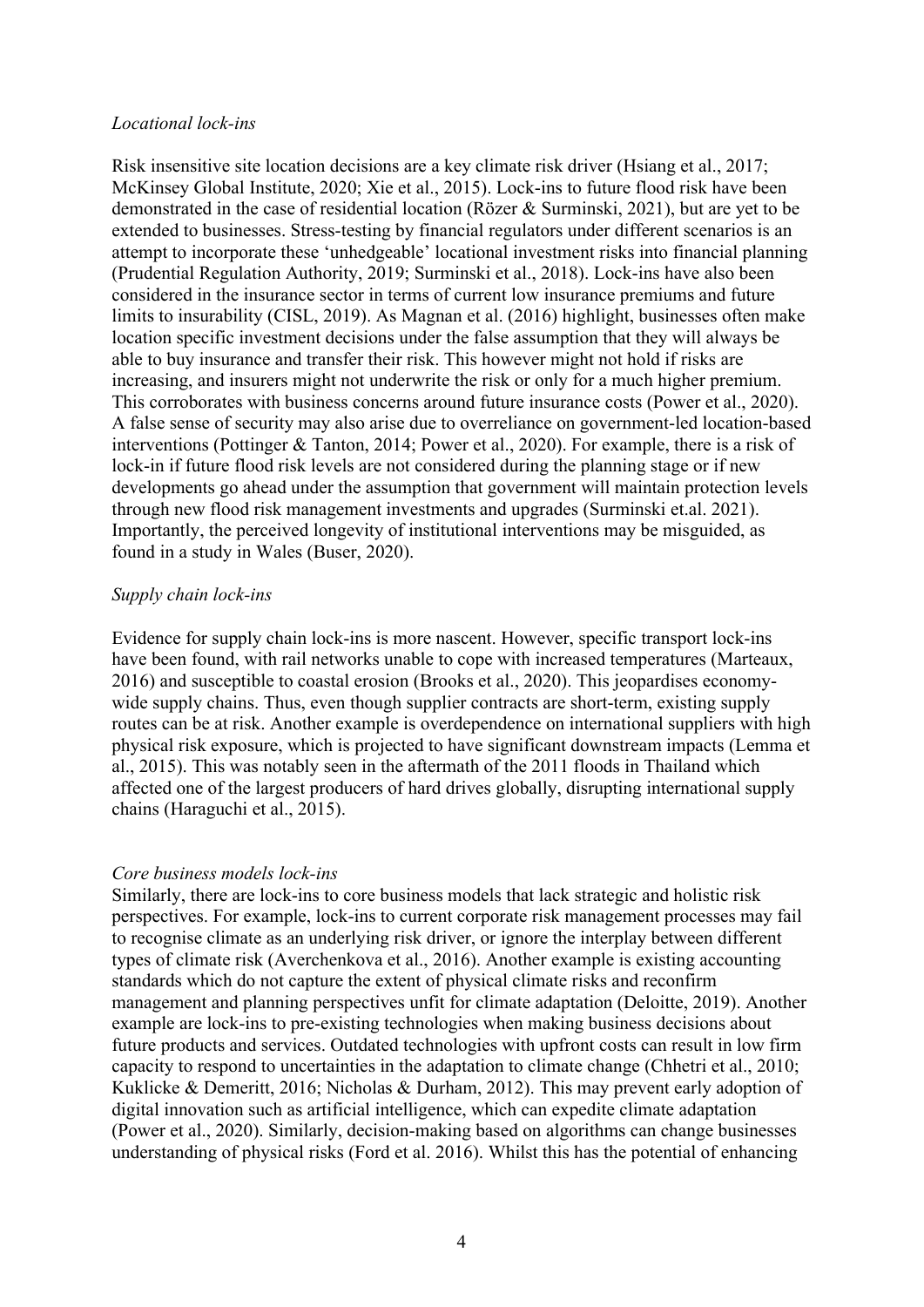#### *Locational lock-ins*

Risk insensitive site location decisions are a key climate risk driver (Hsiang et al., 2017; McKinsey Global Institute, 2020; Xie et al., 2015). Lock-ins to future flood risk have been demonstrated in the case of residential location (Rözer & Surminski, 2021), but are yet to be extended to businesses. Stress-testing by financial regulators under different scenarios is an attempt to incorporate these 'unhedgeable' locational investment risks into financial planning (Prudential Regulation Authority, 2019; Surminski et al., 2018). Lock-ins have also been considered in the insurance sector in terms of current low insurance premiums and future limits to insurability (CISL, 2019). As Magnan et al. (2016) highlight, businesses often make location specific investment decisions under the false assumption that they will always be able to buy insurance and transfer their risk. This however might not hold if risks are increasing, and insurers might not underwrite the risk or only for a much higher premium. This corroborates with business concerns around future insurance costs (Power et al., 2020). A false sense of security may also arise due to overreliance on government-led location-based interventions (Pottinger & Tanton, 2014; Power et al., 2020). For example, there is a risk of lock-in if future flood risk levels are not considered during the planning stage or if new developments go ahead under the assumption that government will maintain protection levels through new flood risk management investments and upgrades (Surminski et.al. 2021). Importantly, the perceived longevity of institutional interventions may be misguided, as found in a study in Wales (Buser, 2020).

#### *Supply chain lock-ins*

Evidence for supply chain lock-ins is more nascent. However, specific transport lock-ins have been found, with rail networks unable to cope with increased temperatures (Marteaux, 2016) and susceptible to coastal erosion (Brooks et al., 2020). This jeopardises economywide supply chains. Thus, even though supplier contracts are short-term, existing supply routes can be at risk. Another example is overdependence on international suppliers with high physical risk exposure, which is projected to have significant downstream impacts (Lemma et al., 2015). This was notably seen in the aftermath of the 2011 floods in Thailand which affected one of the largest producers of hard drives globally, disrupting international supply chains (Haraguchi et al., 2015).

#### *Core business models lock-ins*

Similarly, there are lock-ins to core business models that lack strategic and holistic risk perspectives. For example, lock-ins to current corporate risk management processes may fail to recognise climate as an underlying risk driver, or ignore the interplay between different types of climate risk (Averchenkova et al., 2016). Another example is existing accounting standards which do not capture the extent of physical climate risks and reconfirm management and planning perspectives unfit for climate adaptation (Deloitte, 2019). Another example are lock-ins to pre-existing technologies when making business decisions about future products and services. Outdated technologies with upfront costs can result in low firm capacity to respond to uncertainties in the adaptation to climate change (Chhetri et al., 2010; Kuklicke & Demeritt, 2016; Nicholas & Durham, 2012). This may prevent early adoption of digital innovation such as artificial intelligence, which can expedite climate adaptation (Power et al., 2020). Similarly, decision-making based on algorithms can change businesses understanding of physical risks (Ford et al. 2016). Whilst this has the potential of enhancing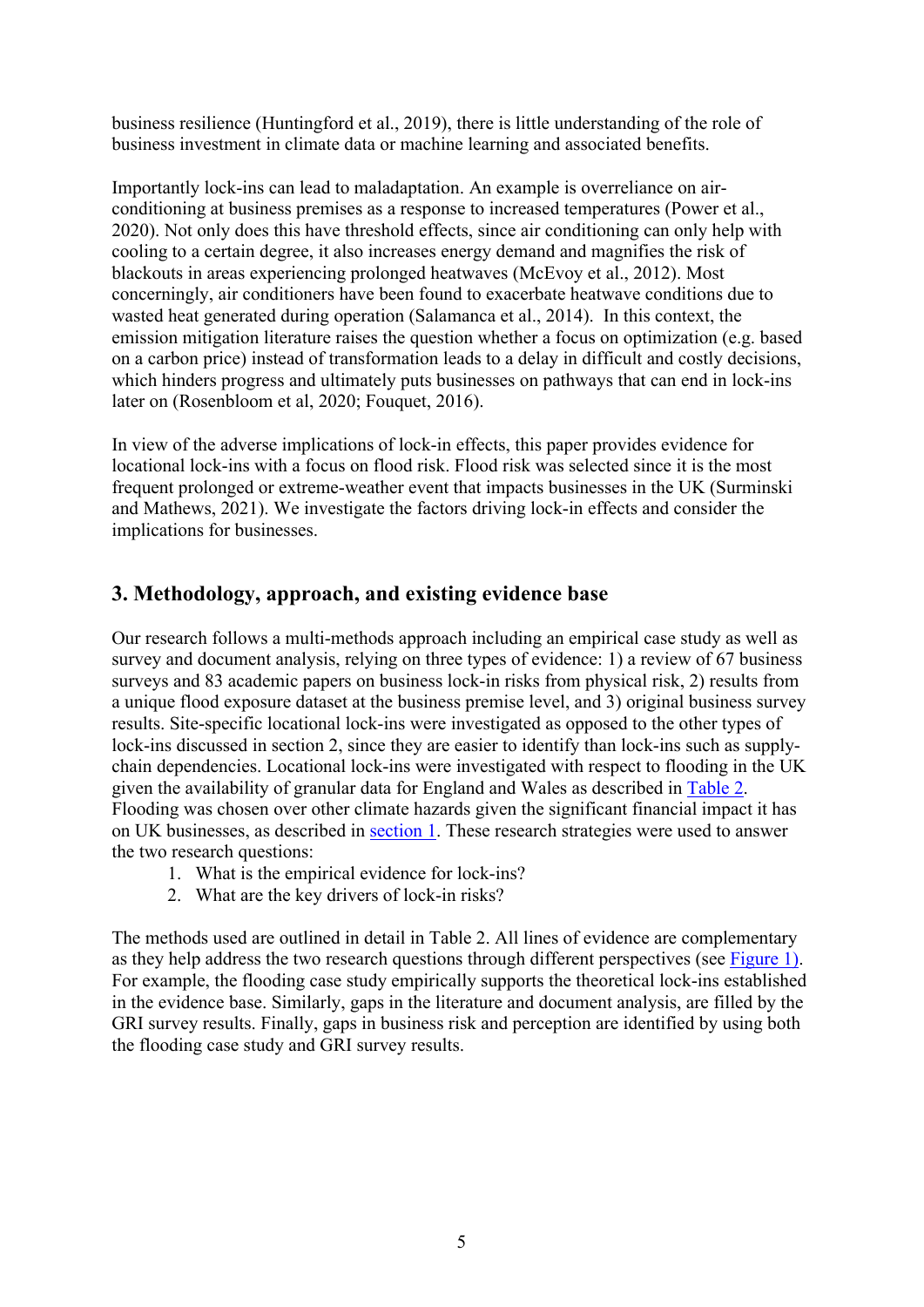business resilience (Huntingford et al., 2019), there is little understanding of the role of business investment in climate data or machine learning and associated benefits.

Importantly lock-ins can lead to maladaptation. An example is overreliance on airconditioning at business premises as a response to increased temperatures (Power et al., 2020). Not only does this have threshold effects, since air conditioning can only help with cooling to a certain degree, it also increases energy demand and magnifies the risk of blackouts in areas experiencing prolonged heatwaves (McEvoy et al., 2012). Most concerningly, air conditioners have been found to exacerbate heatwave conditions due to wasted heat generated during operation (Salamanca et al., 2014). In this context, the emission mitigation literature raises the question whether a focus on optimization (e.g. based on a carbon price) instead of transformation leads to a delay in difficult and costly decisions, which hinders progress and ultimately puts businesses on pathways that can end in lock-ins later on (Rosenbloom et al, 2020; Fouquet, 2016).

In view of the adverse implications of lock-in effects, this paper provides evidence for locational lock-ins with a focus on flood risk. Flood risk was selected since it is the most frequent prolonged or extreme-weather event that impacts businesses in the UK (Surminski and Mathews, 2021). We investigate the factors driving lock-in effects and consider the implications for businesses.

## **3. Methodology, approach, and existing evidence base**

Our research follows a multi-methods approach including an empirical case study as well as survey and document analysis, relying on three types of evidence: 1) a review of 67 business surveys and 83 academic papers on business lock-in risks from physical risk, 2) results from a unique flood exposure dataset at the business premise level, and 3) original business survey results. Site-specific locational lock-ins were investigated as opposed to the other types of lock-ins discussed in section 2, since they are easier to identify than lock-ins such as supplychain dependencies. Locational lock-ins were investigated with respect to flooding in the UK given the availability of granular data for England and Wales as described in [Table 2.](#page-7-0) Flooding was chosen over other climate hazards given the significant financial impact it has on UK businesses, as described in [section 1.](#page-3-1) These research strategies were used to answer the two research questions:

- 1. What is the empirical evidence for lock-ins?
- 2. What are the key drivers of lock-in risks?

The methods used are outlined in detail in Table 2. All lines of evidence are complementary as they help address the two research questions through different perspectives (see [Figure 1\)](#page-9-0). For example, the flooding case study empirically supports the theoretical lock-ins established in the evidence base. Similarly, gaps in the literature and document analysis, are filled by the GRI survey results. Finally, gaps in business risk and perception are identified by using both the flooding case study and GRI survey results.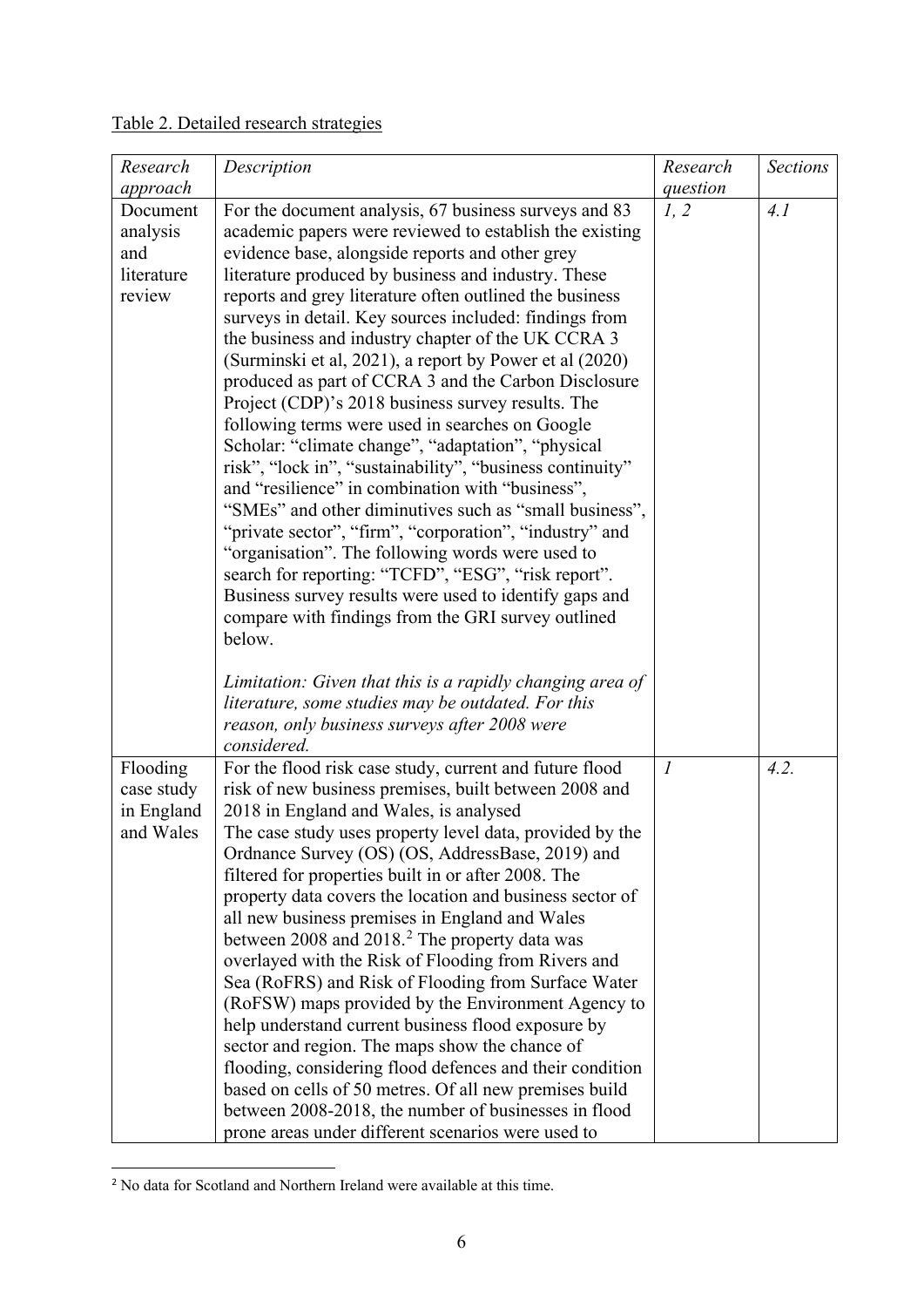<span id="page-7-0"></span>

|--|

| Research                                            | Description                                                                                                                                                                                                                                                                                                                                                                                                                                                                                                                                                                                                                                                                                                                                                                                                                                                                                                                                                                                                                                                                                                                                                       | Research                    | <b>Sections</b> |
|-----------------------------------------------------|-------------------------------------------------------------------------------------------------------------------------------------------------------------------------------------------------------------------------------------------------------------------------------------------------------------------------------------------------------------------------------------------------------------------------------------------------------------------------------------------------------------------------------------------------------------------------------------------------------------------------------------------------------------------------------------------------------------------------------------------------------------------------------------------------------------------------------------------------------------------------------------------------------------------------------------------------------------------------------------------------------------------------------------------------------------------------------------------------------------------------------------------------------------------|-----------------------------|-----------------|
| approach                                            |                                                                                                                                                                                                                                                                                                                                                                                                                                                                                                                                                                                                                                                                                                                                                                                                                                                                                                                                                                                                                                                                                                                                                                   | question                    |                 |
| Document<br>analysis<br>and<br>literature<br>review | For the document analysis, 67 business surveys and 83<br>academic papers were reviewed to establish the existing<br>evidence base, alongside reports and other grey<br>literature produced by business and industry. These<br>reports and grey literature often outlined the business<br>surveys in detail. Key sources included: findings from<br>the business and industry chapter of the UK CCRA 3<br>(Surminski et al, 2021), a report by Power et al (2020)<br>produced as part of CCRA 3 and the Carbon Disclosure<br>Project (CDP)'s 2018 business survey results. The<br>following terms were used in searches on Google<br>Scholar: "climate change", "adaptation", "physical<br>risk", "lock in", "sustainability", "business continuity"<br>and "resilience" in combination with "business",<br>"SMEs" and other diminutives such as "small business",<br>"private sector", "firm", "corporation", "industry" and<br>"organisation". The following words were used to<br>search for reporting: "TCFD", "ESG", "risk report".<br>Business survey results were used to identify gaps and<br>compare with findings from the GRI survey outlined<br>below. | 1, 2                        | 4.1             |
|                                                     | Limitation: Given that this is a rapidly changing area of<br>literature, some studies may be outdated. For this<br>reason, only business surveys after 2008 were<br>considered.                                                                                                                                                                                                                                                                                                                                                                                                                                                                                                                                                                                                                                                                                                                                                                                                                                                                                                                                                                                   |                             |                 |
| Flooding                                            | For the flood risk case study, current and future flood                                                                                                                                                                                                                                                                                                                                                                                                                                                                                                                                                                                                                                                                                                                                                                                                                                                                                                                                                                                                                                                                                                           | $\mathcal{I}_{\mathcal{I}}$ | 4.2.            |
| case study                                          | risk of new business premises, built between 2008 and                                                                                                                                                                                                                                                                                                                                                                                                                                                                                                                                                                                                                                                                                                                                                                                                                                                                                                                                                                                                                                                                                                             |                             |                 |
| in England                                          | 2018 in England and Wales, is analysed                                                                                                                                                                                                                                                                                                                                                                                                                                                                                                                                                                                                                                                                                                                                                                                                                                                                                                                                                                                                                                                                                                                            |                             |                 |
| and Wales                                           | The case study uses property level data, provided by the<br>Ordnance Survey (OS) (OS, AddressBase, 2019) and<br>filtered for properties built in or after 2008. The<br>property data covers the location and business sector of<br>all new business premises in England and Wales<br>between 2008 and 2018. <sup>2</sup> The property data was<br>overlayed with the Risk of Flooding from Rivers and<br>Sea (RoFRS) and Risk of Flooding from Surface Water<br>(RoFSW) maps provided by the Environment Agency to<br>help understand current business flood exposure by<br>sector and region. The maps show the chance of<br>flooding, considering flood defences and their condition<br>based on cells of 50 metres. Of all new premises build<br>between 2008-2018, the number of businesses in flood                                                                                                                                                                                                                                                                                                                                                          |                             |                 |

<span id="page-7-1"></span><sup>&</sup>lt;sup>2</sup> No data for Scotland and Northern Ireland were available at this time.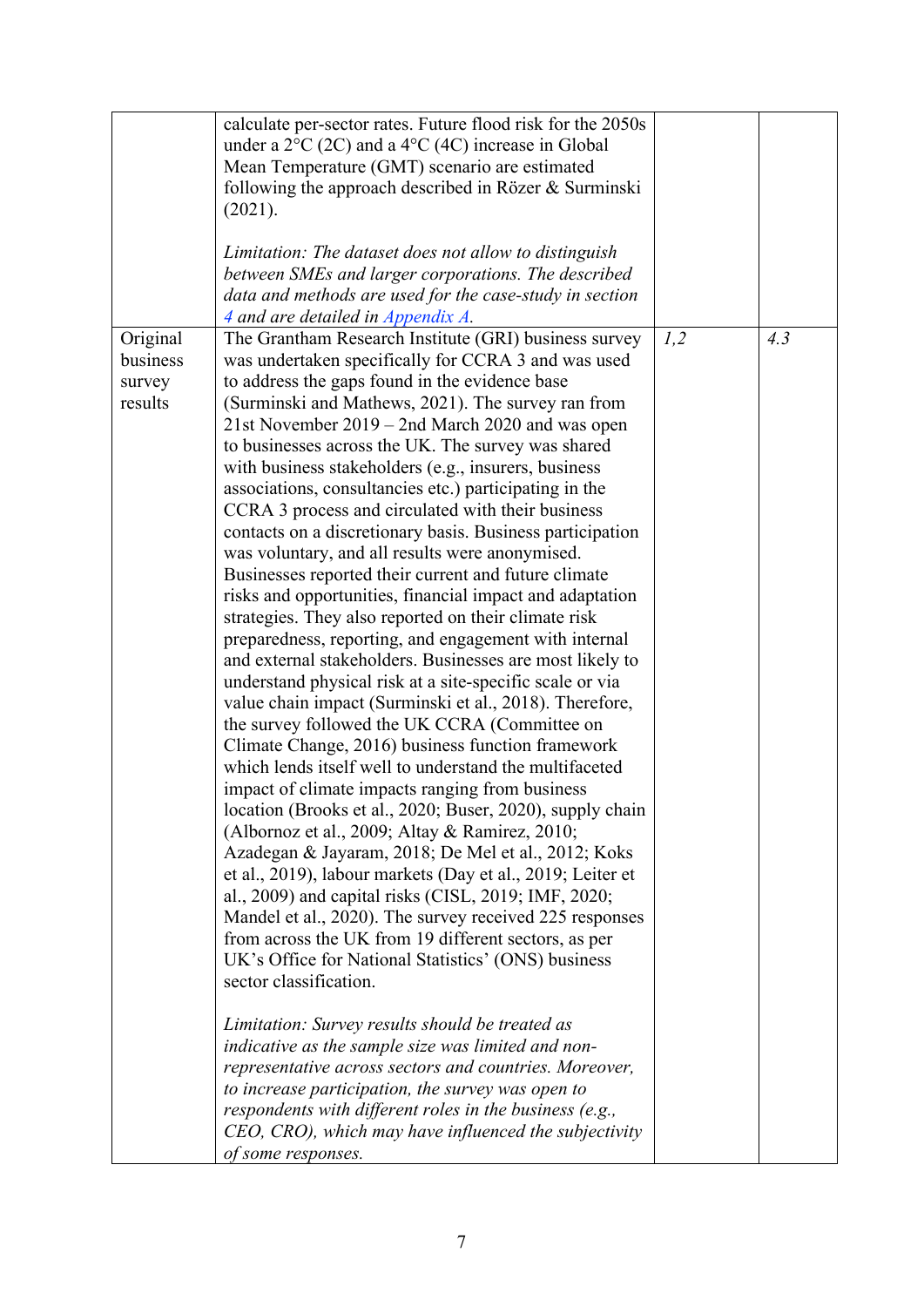|                                           | calculate per-sector rates. Future flood risk for the 2050s<br>under a $2^{\circ}C$ (2C) and a $4^{\circ}C$ (4C) increase in Global<br>Mean Temperature (GMT) scenario are estimated<br>following the approach described in Rözer & Surminski<br>(2021).<br>Limitation: The dataset does not allow to distinguish<br>between SMEs and larger corporations. The described<br>data and methods are used for the case-study in section<br>4 and are detailed in Appendix A.                                                                                                                                                                                                                                                                                                                                                                                                                                                                                                                                                                                                                                                                                                                                                                                                                                                                                                                                                                                                                                                                                                                                                                                                                                                                                                                                                                                                                                                                                                                                                                                                                                                           |     |     |
|-------------------------------------------|------------------------------------------------------------------------------------------------------------------------------------------------------------------------------------------------------------------------------------------------------------------------------------------------------------------------------------------------------------------------------------------------------------------------------------------------------------------------------------------------------------------------------------------------------------------------------------------------------------------------------------------------------------------------------------------------------------------------------------------------------------------------------------------------------------------------------------------------------------------------------------------------------------------------------------------------------------------------------------------------------------------------------------------------------------------------------------------------------------------------------------------------------------------------------------------------------------------------------------------------------------------------------------------------------------------------------------------------------------------------------------------------------------------------------------------------------------------------------------------------------------------------------------------------------------------------------------------------------------------------------------------------------------------------------------------------------------------------------------------------------------------------------------------------------------------------------------------------------------------------------------------------------------------------------------------------------------------------------------------------------------------------------------------------------------------------------------------------------------------------------------|-----|-----|
| Original<br>business<br>survey<br>results | The Grantham Research Institute (GRI) business survey<br>was undertaken specifically for CCRA 3 and was used<br>to address the gaps found in the evidence base<br>(Surminski and Mathews, 2021). The survey ran from<br>21st November 2019 - 2nd March 2020 and was open<br>to businesses across the UK. The survey was shared<br>with business stakeholders (e.g., insurers, business<br>associations, consultancies etc.) participating in the<br>CCRA 3 process and circulated with their business<br>contacts on a discretionary basis. Business participation<br>was voluntary, and all results were anonymised.<br>Businesses reported their current and future climate<br>risks and opportunities, financial impact and adaptation<br>strategies. They also reported on their climate risk<br>preparedness, reporting, and engagement with internal<br>and external stakeholders. Businesses are most likely to<br>understand physical risk at a site-specific scale or via<br>value chain impact (Surminski et al., 2018). Therefore,<br>the survey followed the UK CCRA (Committee on<br>Climate Change, 2016) business function framework<br>which lends itself well to understand the multifaceted<br>impact of climate impacts ranging from business<br>location (Brooks et al., 2020; Buser, 2020), supply chain<br>(Albornoz et al., 2009; Altay & Ramirez, 2010;<br>Azadegan & Jayaram, 2018; De Mel et al., 2012; Koks<br>et al., 2019), labour markets (Day et al., 2019; Leiter et<br>al., 2009) and capital risks (CISL, 2019; IMF, 2020;<br>Mandel et al., 2020). The survey received 225 responses<br>from across the UK from 19 different sectors, as per<br>UK's Office for National Statistics' (ONS) business<br>sector classification.<br>Limitation: Survey results should be treated as<br>indicative as the sample size was limited and non-<br>representative across sectors and countries. Moreover,<br>to increase participation, the survey was open to<br>respondents with different roles in the business (e.g.,<br>CEO, CRO), which may have influenced the subjectivity<br>of some responses. | 1,2 | 4.3 |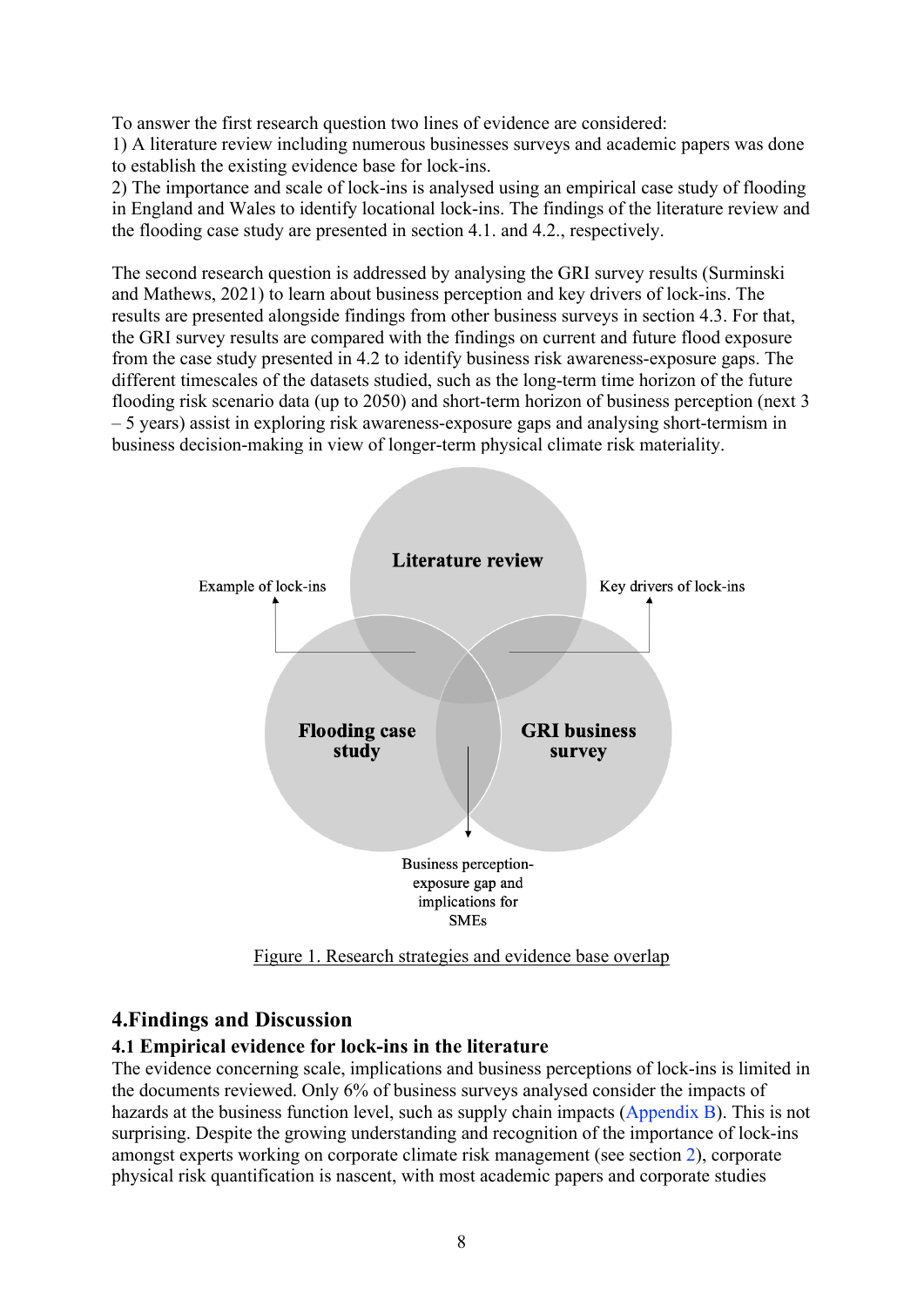To answer the first research question two lines of evidence are considered:

1) A literature review including numerous businesses surveys and academic papers was done to establish the existing evidence base for lock-ins.

2) The importance and scale of lock-ins is analysed using an empirical case study of flooding in England and Wales to identify locational lock-ins. The findings of the literature review and the flooding case study are presented in section 4.1. and 4.2., respectively.

The second research question is addressed by analysing the GRI survey results (Surminski and Mathews, 2021) to learn about business perception and key drivers of lock-ins. The results are presented alongside findings from other business surveys in section 4.3. For that, the GRI survey results are compared with the findings on current and future flood exposure from the case study presented in 4.2 to identify business risk awareness-exposure gaps. The different timescales of the datasets studied, such as the long-term time horizon of the future flooding risk scenario data (up to 2050) and short-term horizon of business perception (next 3 – 5 years) assist in exploring risk awareness-exposure gaps and analysing short-termism in business decision-making in view of longer-term physical climate risk materiality.

<span id="page-9-0"></span>

Figure 1. Research strategies and evidence base overlap

## <span id="page-9-1"></span>**4.Findings and Discussion**

## **4.1 Empirical evidence for lock-ins in the literature**

The evidence concerning scale, implications and business perceptions of lock-ins is limited in the documents reviewed. Only 6% of business surveys analysed consider the impacts of hazards at the business function level, such as supply chain impacts [\(Appendix B\)](#page-26-1). This is not surprising. Despite the growing understanding and recognition of the importance of lock-ins amongst experts working on corporate climate risk management (see section [2\)](#page-4-1), corporate physical risk quantification is nascent, with most academic papers and corporate studies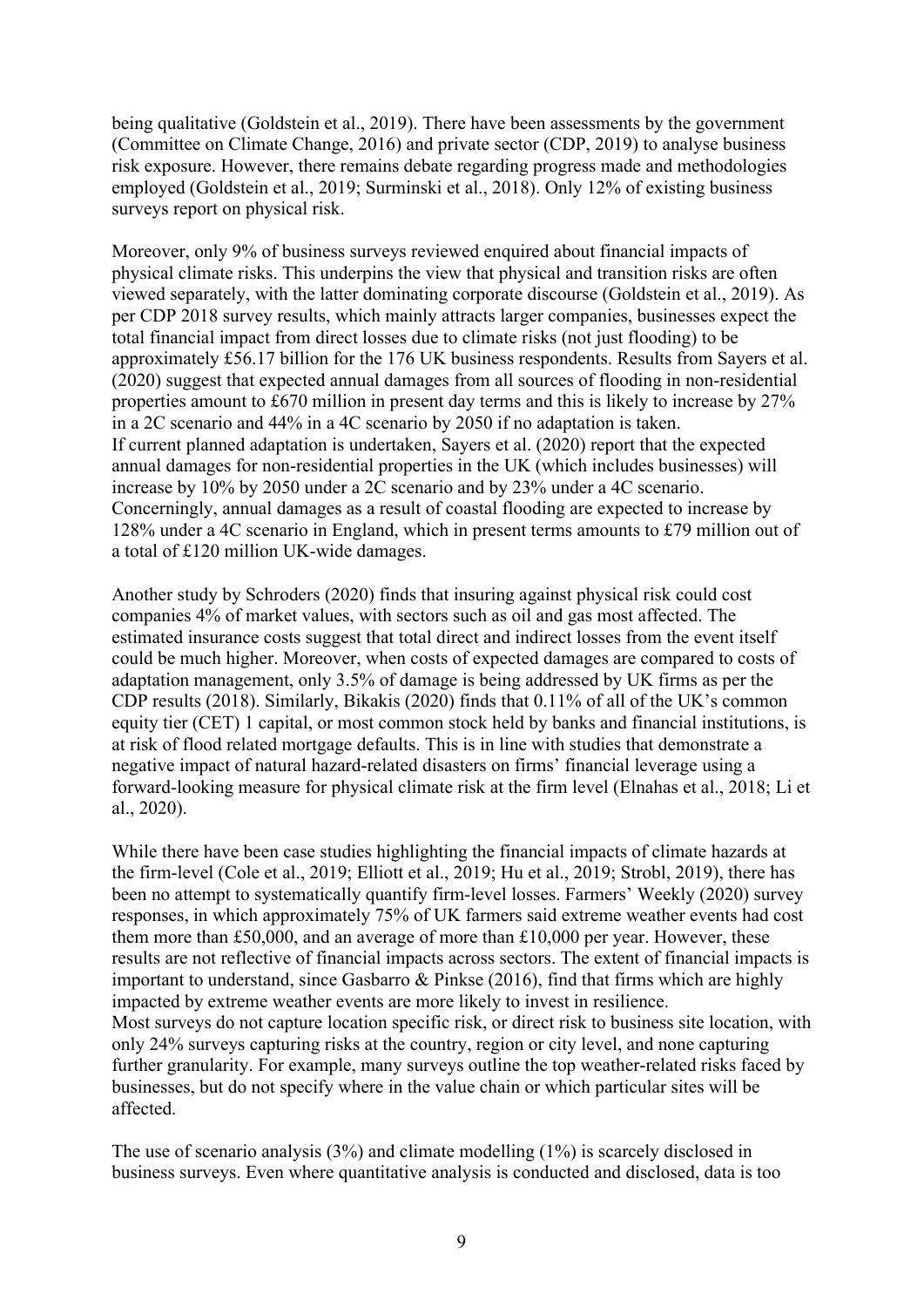being qualitative (Goldstein et al., 2019). There have been assessments by the government (Committee on Climate Change, 2016) and private sector (CDP, 2019) to analyse business risk exposure. However, there remains debate regarding progress made and methodologies employed (Goldstein et al., 2019; Surminski et al., 2018). Only 12% of existing business surveys report on physical risk.

Moreover, only 9% of business surveys reviewed enquired about financial impacts of physical climate risks. This underpins the view that physical and transition risks are often viewed separately, with the latter dominating corporate discourse (Goldstein et al., 2019). As per CDP 2018 survey results, which mainly attracts larger companies, businesses expect the total financial impact from direct losses due to climate risks (not just flooding) to be approximately £56.17 billion for the 176 UK business respondents. Results from Sayers et al. (2020) suggest that expected annual damages from all sources of flooding in non-residential properties amount to £670 million in present day terms and this is likely to increase by 27% in a 2C scenario and 44% in a 4C scenario by 2050 if no adaptation is taken. If current planned adaptation is undertaken, Sayers et al. (2020) report that the expected annual damages for non-residential properties in the UK (which includes businesses) will increase by 10% by 2050 under a 2C scenario and by 23% under a 4C scenario. Concerningly, annual damages as a result of coastal flooding are expected to increase by 128% under a 4C scenario in England, which in present terms amounts to £79 million out of a total of £120 million UK-wide damages.

Another study by Schroders (2020) finds that insuring against physical risk could cost companies 4% of market values, with sectors such as oil and gas most affected. The estimated insurance costs suggest that total direct and indirect losses from the event itself could be much higher. Moreover, when costs of expected damages are compared to costs of adaptation management, only 3.5% of damage is being addressed by UK firms as per the CDP results (2018). Similarly, Bikakis (2020) finds that 0.11% of all of the UK's common equity tier (CET) 1 capital, or most common stock held by banks and financial institutions, is at risk of flood related mortgage defaults. This is in line with studies that demonstrate a negative impact of natural hazard-related disasters on firms' financial leverage using a forward-looking measure for physical climate risk at the firm level (Elnahas et al., 2018; Li et al., 2020).

While there have been case studies highlighting the financial impacts of climate hazards at the firm-level (Cole et al., 2019; Elliott et al., 2019; Hu et al., 2019; Strobl, 2019), there has been no attempt to systematically quantify firm-level losses. Farmers' Weekly (2020) survey responses, in which approximately 75% of UK farmers said extreme weather events had cost them more than £50,000, and an average of more than £10,000 per year. However, these results are not reflective of financial impacts across sectors. The extent of financial impacts is important to understand, since Gasbarro & Pinkse (2016), find that firms which are highly impacted by extreme weather events are more likely to invest in resilience. Most surveys do not capture location specific risk, or direct risk to business site location, with only 24% surveys capturing risks at the country, region or city level, and none capturing further granularity. For example, many surveys outline the top weather-related risks faced by businesses, but do not specify where in the value chain or which particular sites will be affected.

The use of scenario analysis (3%) and climate modelling (1%) is scarcely disclosed in business surveys. Even where quantitative analysis is conducted and disclosed, data is too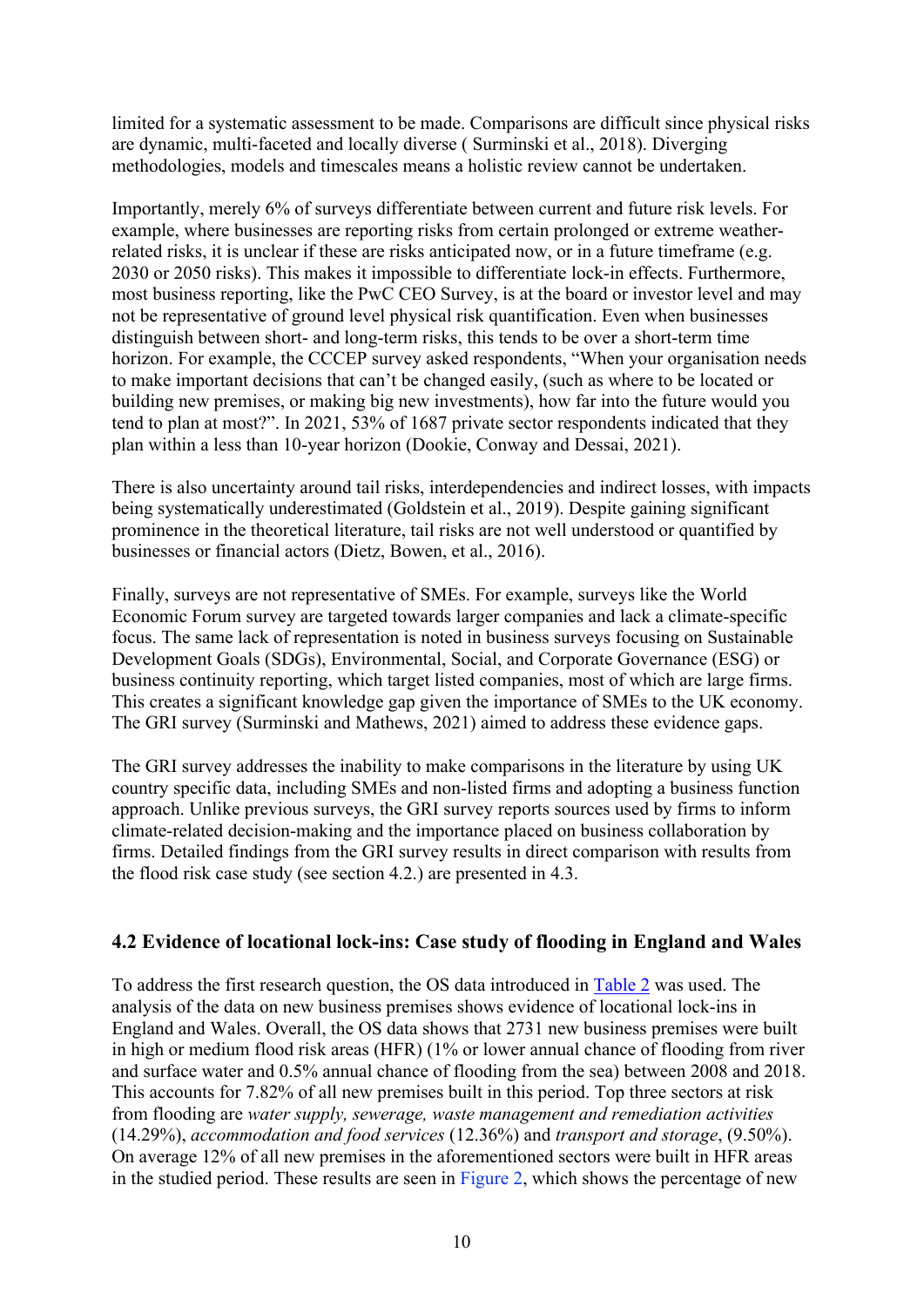limited for a systematic assessment to be made. Comparisons are difficult since physical risks are dynamic, multi-faceted and locally diverse ( Surminski et al., 2018). Diverging methodologies, models and timescales means a holistic review cannot be undertaken.

Importantly, merely 6% of surveys differentiate between current and future risk levels. For example, where businesses are reporting risks from certain prolonged or extreme weatherrelated risks, it is unclear if these are risks anticipated now, or in a future timeframe (e.g. 2030 or 2050 risks). This makes it impossible to differentiate lock-in effects. Furthermore, most business reporting, like the PwC CEO Survey, is at the board or investor level and may not be representative of ground level physical risk quantification. Even when businesses distinguish between short- and long-term risks, this tends to be over a short-term time horizon. For example, the CCCEP survey asked respondents, "When your organisation needs to make important decisions that can't be changed easily, (such as where to be located or building new premises, or making big new investments), how far into the future would you tend to plan at most?". In 2021, 53% of 1687 private sector respondents indicated that they plan within a less than 10-year horizon (Dookie, Conway and Dessai, 2021).

There is also uncertainty around tail risks, interdependencies and indirect losses, with impacts being systematically underestimated (Goldstein et al., 2019). Despite gaining significant prominence in the theoretical literature, tail risks are not well understood or quantified by businesses or financial actors (Dietz, Bowen, et al., 2016).

Finally, surveys are not representative of SMEs. For example, surveys like the World Economic Forum survey are targeted towards larger companies and lack a climate-specific focus. The same lack of representation is noted in business surveys focusing on Sustainable Development Goals (SDGs), Environmental, Social, and Corporate Governance (ESG) or business continuity reporting, which target listed companies, most of which are large firms. This creates a significant knowledge gap given the importance of SMEs to the UK economy. The GRI survey (Surminski and Mathews, 2021) aimed to address these evidence gaps.

The GRI survey addresses the inability to make comparisons in the literature by using UK country specific data, including SMEs and non-listed firms and adopting a business function approach. Unlike previous surveys, the GRI survey reports sources used by firms to inform climate-related decision-making and the importance placed on business collaboration by firms. Detailed findings from the GRI survey results in direct comparison with results from the flood risk case study (see section 4.2.) are presented in 4.3.

#### **4.2 Evidence of locational lock-ins: Case study of flooding in England and Wales**

To address the first research question, the OS data introduced in [Table 2](#page-7-0) was used. The analysis of the data on new business premises shows evidence of locational lock-ins in England and Wales. Overall, the OS data shows that 2731 new business premises were built in high or medium flood risk areas (HFR) (1% or lower annual chance of flooding from river and surface water and 0.5% annual chance of flooding from the sea) between 2008 and 2018. This accounts for 7.82% of all new premises built in this period. Top three sectors at risk from flooding are *water supply, sewerage, waste management and remediation activities* (14.29%), *accommodation and food services* (12.36%) and *transport and storage*, (9.50%). On average 12% of all new premises in the aforementioned sectors were built in HFR areas in the studied period. These results are seen in Figure 2, which shows the percentage of new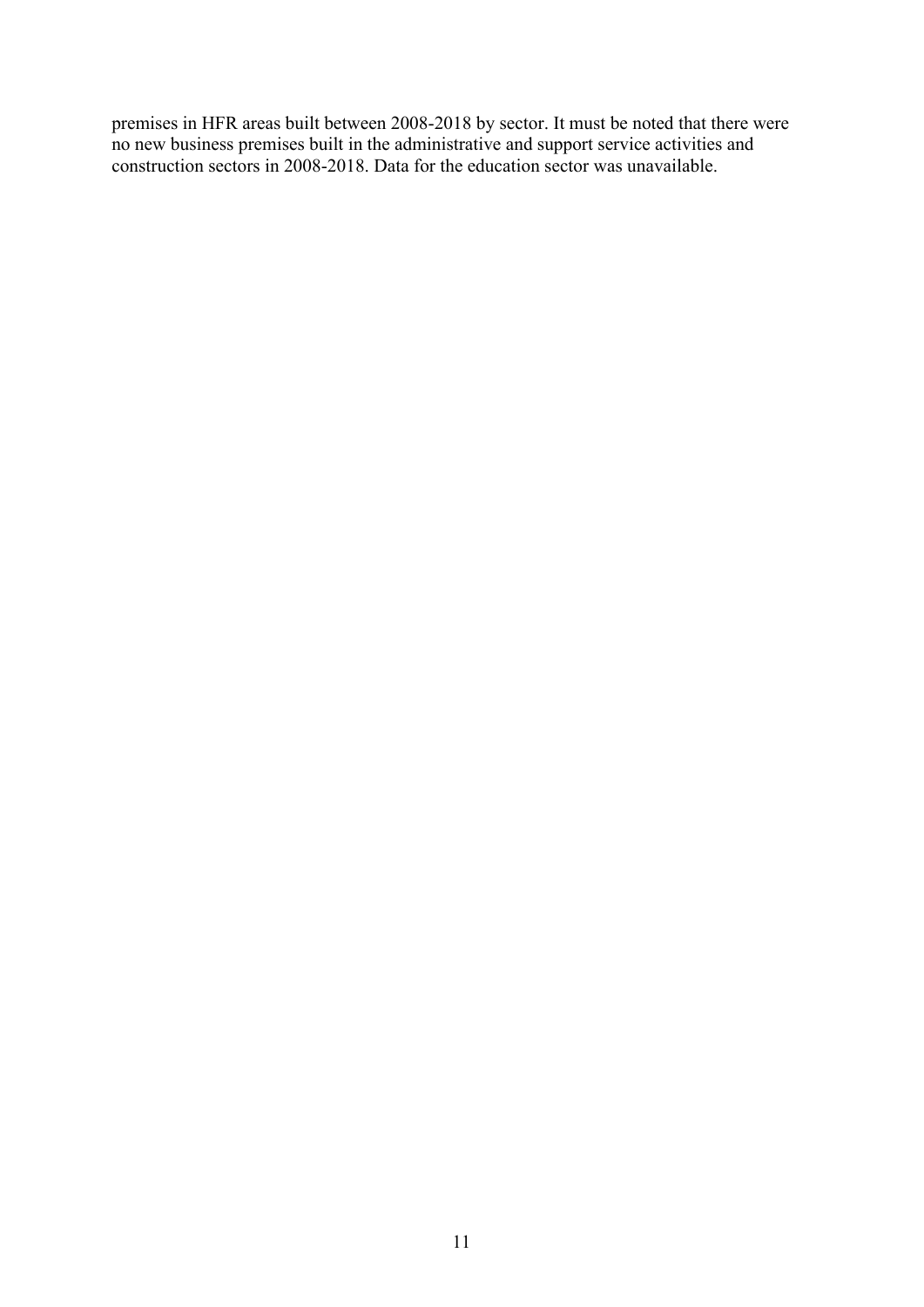premises in HFR areas built between 2008-2018 by sector. It must be noted that there were no new business premises built in the administrative and support service activities and construction sectors in 2008-2018. Data for the education sector was unavailable.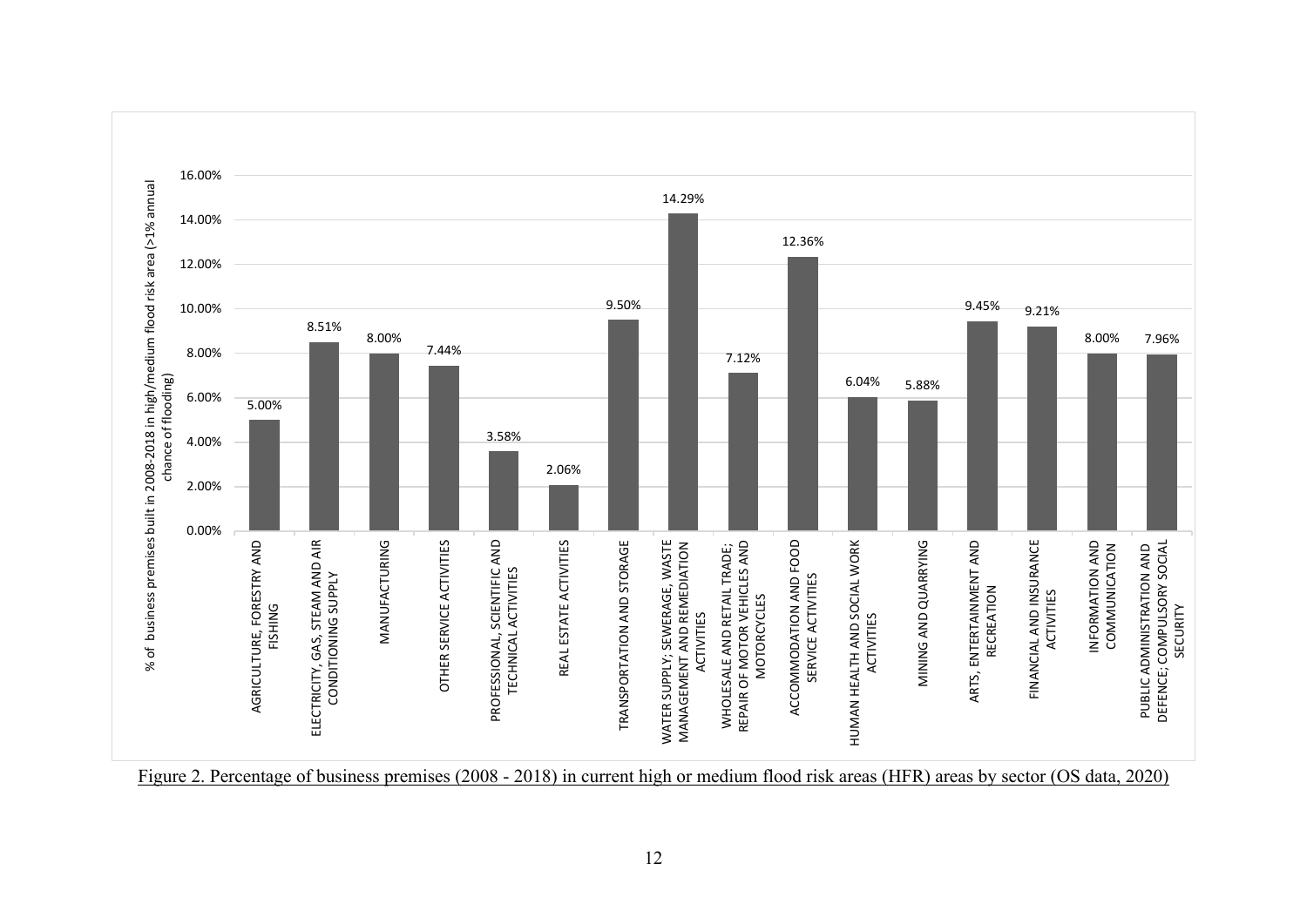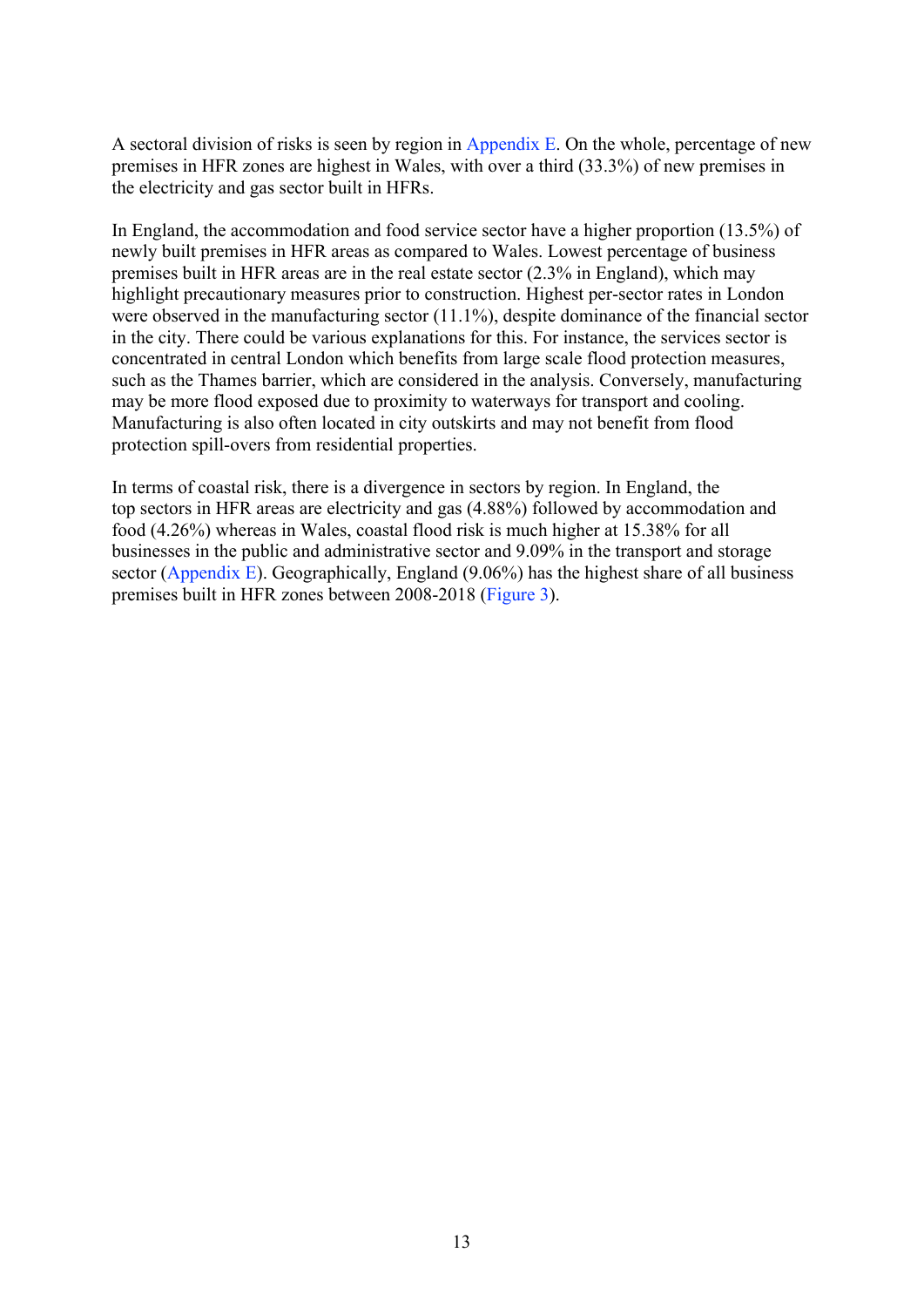A sectoral division of risks is seen by region in [Appendix E.](#page-34-0) On the whole, percentage of new premises in HFR zones are highest in Wales, with over a third (33.3%) of new premises in the electricity and gas sector built in HFRs.

In England, the accommodation and food service sector have a higher proportion (13.5%) of newly built premises in HFR areas as compared to Wales. Lowest percentage of business premises built in HFR areas are in the real estate sector (2.3% in England), which may highlight precautionary measures prior to construction. Highest per-sector rates in London were observed in the manufacturing sector (11.1%), despite dominance of the financial sector in the city. There could be various explanations for this. For instance, the services sector is concentrated in central London which benefits from large scale flood protection measures, such as the Thames barrier, which are considered in the analysis. Conversely, manufacturing may be more flood exposed due to proximity to waterways for transport and cooling. Manufacturing is also often located in city outskirts and may not benefit from flood protection spill-overs from residential properties.

In terms of coastal risk, there is a divergence in sectors by region. In England, the top sectors in HFR areas are electricity and gas (4.88%) followed by accommodation and food (4.26%) whereas in Wales, coastal flood risk is much higher at 15.38% for all businesses in the public and administrative sector and 9.09% in the transport and storage sector [\(Appendix E\)](#page-34-0). Geographically, England  $(9.06\%)$  has the highest share of all business premises built in HFR zones between 2008-2018 (Figure 3).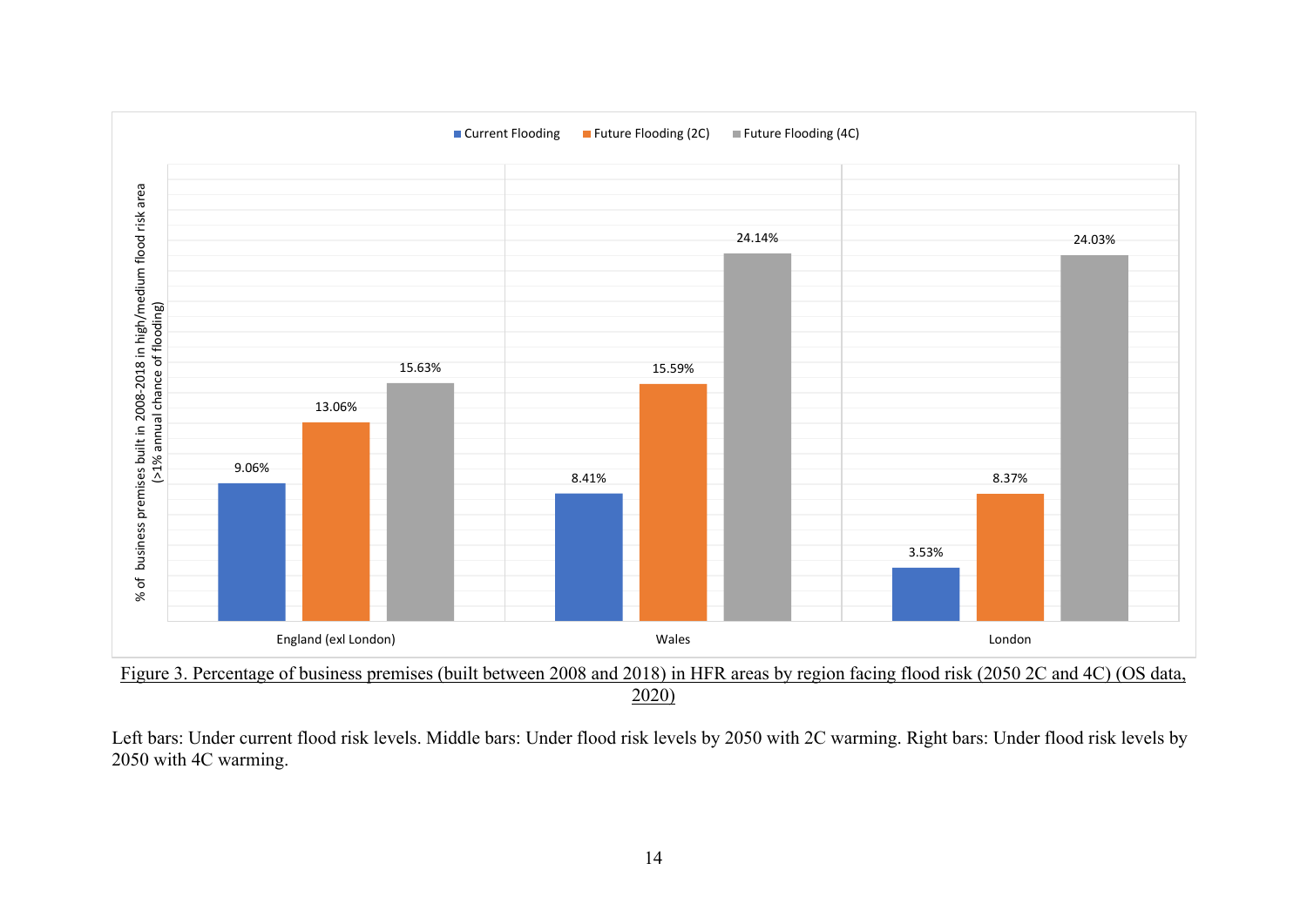

Figure 3. Percentage of business premises (built between 2008 and 2018) in HFR areas by region facing flood risk (2050 2C and 4C) (OS data, 2020)

Left bars: Under current flood risk levels. Middle bars: Under flood risk levels by 2050 with 2C warming. Right bars: Under flood risk levels by 2050 with 4C warming.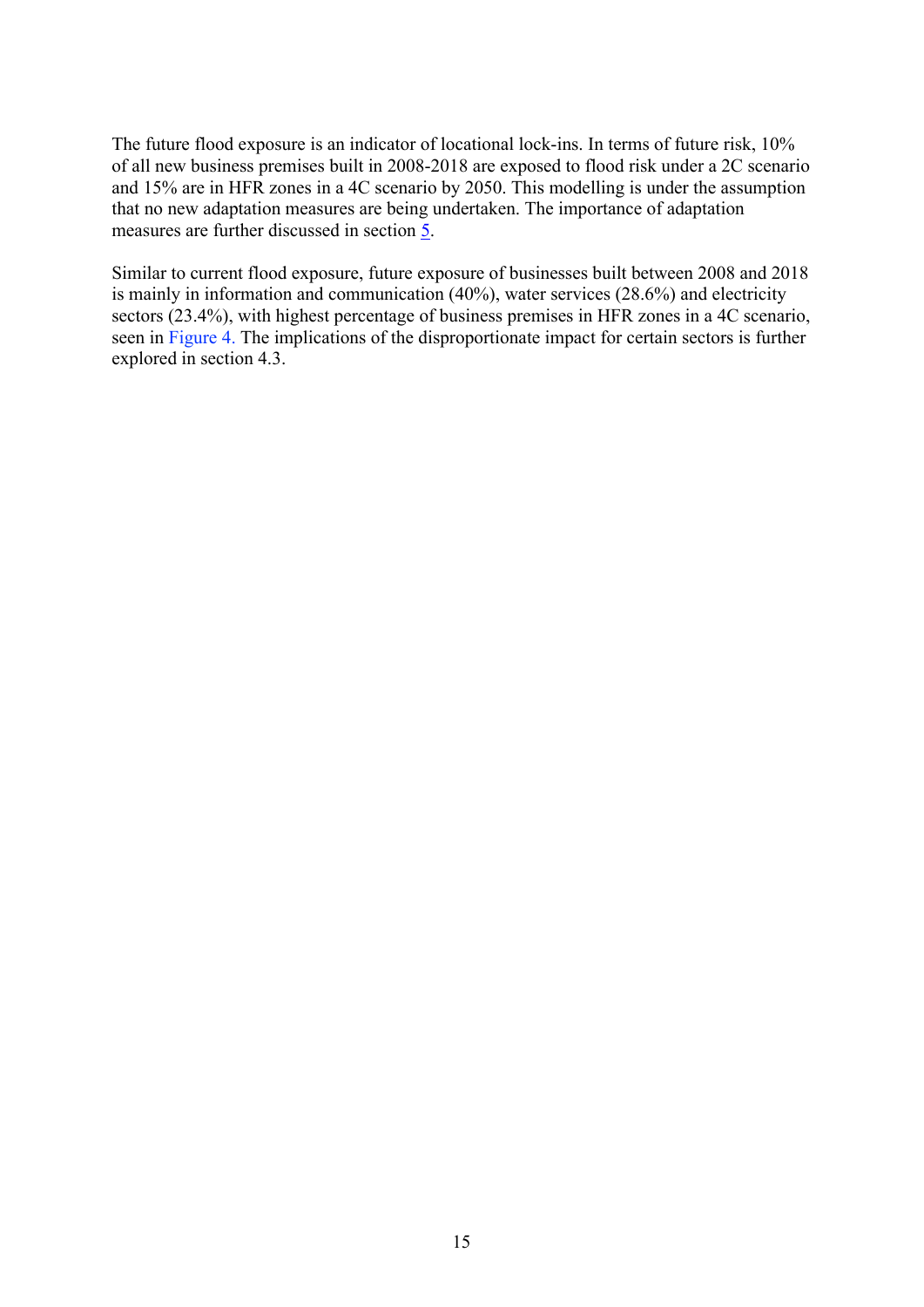The future flood exposure is an indicator of locational lock-ins. In terms of future risk, 10% of all new business premises built in 2008-2018 are exposed to flood risk under a 2C scenario and 15% are in HFR zones in a 4C scenario by 2050. This modelling is under the assumption that no new adaptation measures are being undertaken. The importance of adaptation measures are further discussed in section [5.](#page-23-0)

Similar to current flood exposure, future exposure of businesses built between 2008 and 2018 is mainly in information and communication (40%), water services (28.6%) and electricity sectors (23.4%), with highest percentage of business premises in HFR zones in a 4C scenario, seen in [Figure 4.](#page-17-0) The implications of the disproportionate impact for certain sectors is further explored in section 4.3.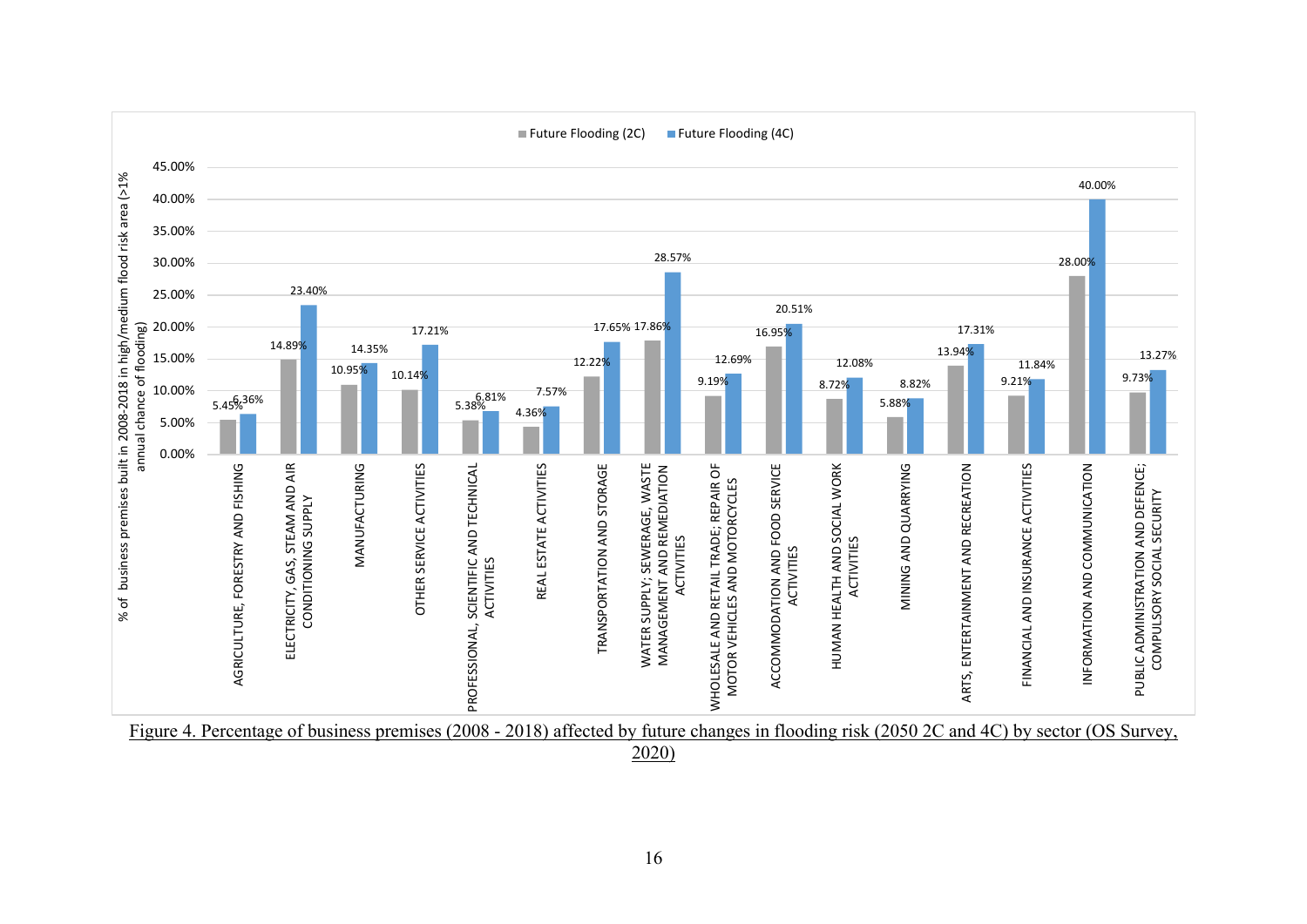

<span id="page-17-0"></span>Figure 4. Percentage of business premises (2008 - 2018) affected by future changes in flooding risk (2050 2C and 4C) by sector (OS Survey,

2020)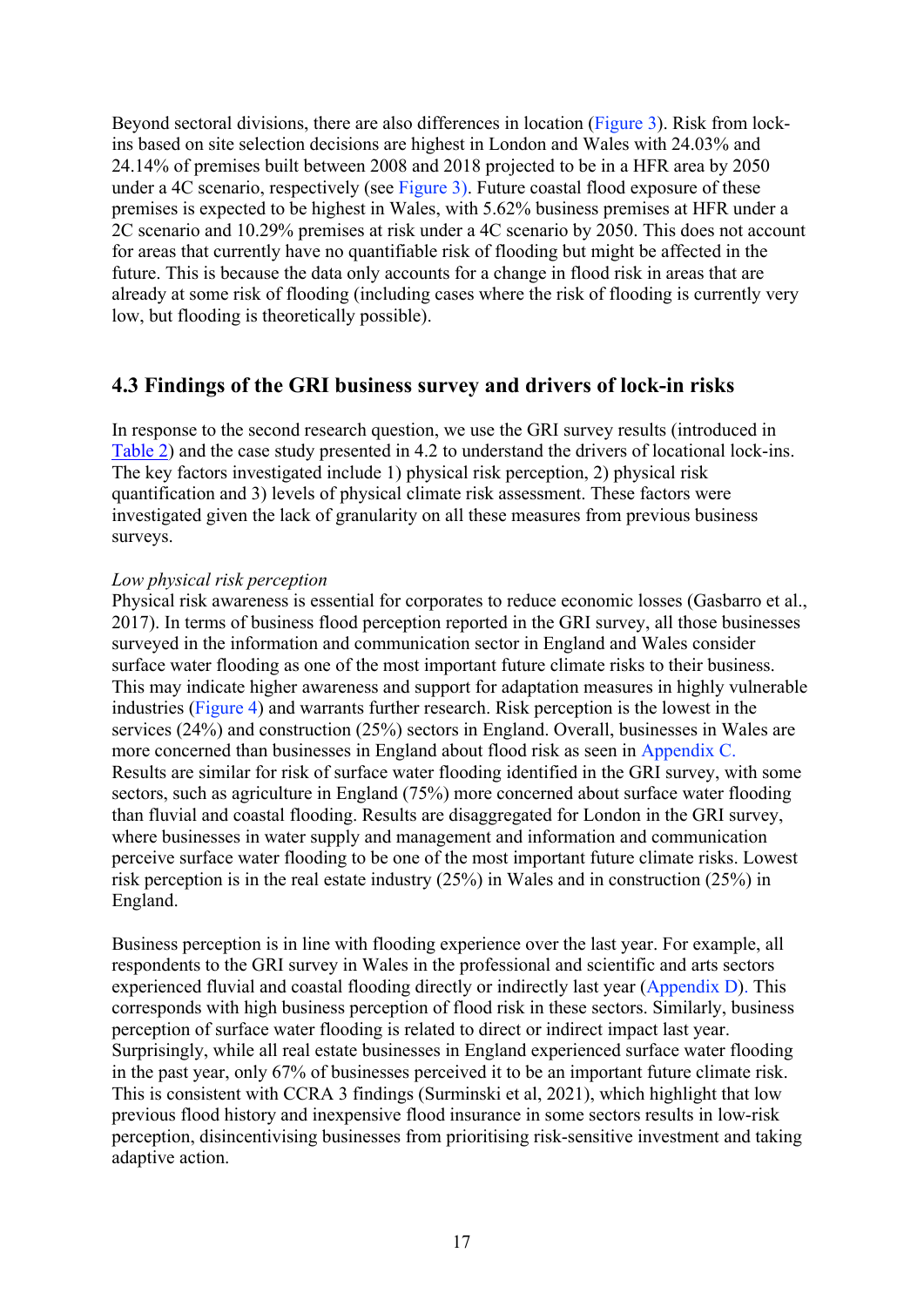Beyond sectoral divisions, there are also differences in location (Figure 3). Risk from lockins based on site selection decisions are highest in London and Wales with 24.03% and 24.14% of premises built between 2008 and 2018 projected to be in a HFR area by 2050 under a 4C scenario, respectively (see Figure 3). Future coastal flood exposure of these premises is expected to be highest in Wales, with 5.62% business premises at HFR under a 2C scenario and 10.29% premises at risk under a 4C scenario by 2050. This does not account for areas that currently have no quantifiable risk of flooding but might be affected in the future. This is because the data only accounts for a change in flood risk in areas that are already at some risk of flooding (including cases where the risk of flooding is currently very low, but flooding is theoretically possible).

## **4.3 Findings of the GRI business survey and drivers of lock-in risks**

In response to the second research question, we use the GRI survey results (introduced in [Table 2\)](#page-7-0) and the case study presented in 4.2 to understand the drivers of locational lock-ins. The key factors investigated include 1) physical risk perception, 2) physical risk quantification and 3) levels of physical climate risk assessment. These factors were investigated given the lack of granularity on all these measures from previous business surveys.

#### *Low physical risk perception*

Physical risk awareness is essential for corporates to reduce economic losses (Gasbarro et al., 2017). In terms of business flood perception reported in the GRI survey, all those businesses surveyed in the information and communication sector in England and Wales consider surface water flooding as one of the most important future climate risks to their business. This may indicate higher awareness and support for adaptation measures in highly vulnerable industries [\(Figure 4\)](#page-17-0) and warrants further research. Risk perception is the lowest in the services (24%) and construction (25%) sectors in England. Overall, businesses in Wales are more concerned than businesses in England about flood risk as seen in [Appendix C.](#page-30-0) Results are similar for risk of surface water flooding identified in the GRI survey, with some sectors, such as agriculture in England (75%) more concerned about surface water flooding than fluvial and coastal flooding. Results are disaggregated for London in the GRI survey, where businesses in water supply and management and information and communication perceive surface water flooding to be one of the most important future climate risks. Lowest risk perception is in the real estate industry (25%) in Wales and in construction (25%) in England.

Business perception is in line with flooding experience over the last year. For example, all respondents to the GRI survey in Wales in the professional and scientific and arts sectors experienced fluvial and coastal flooding directly or indirectly last year [\(Appendix D\)](#page-32-0). This corresponds with high business perception of flood risk in these sectors. Similarly, business perception of surface water flooding is related to direct or indirect impact last year. Surprisingly, while all real estate businesses in England experienced surface water flooding in the past year, only 67% of businesses perceived it to be an important future climate risk. This is consistent with CCRA 3 findings (Surminski et al, 2021), which highlight that low previous flood history and inexpensive flood insurance in some sectors results in low-risk perception, disincentivising businesses from prioritising risk-sensitive investment and taking adaptive action.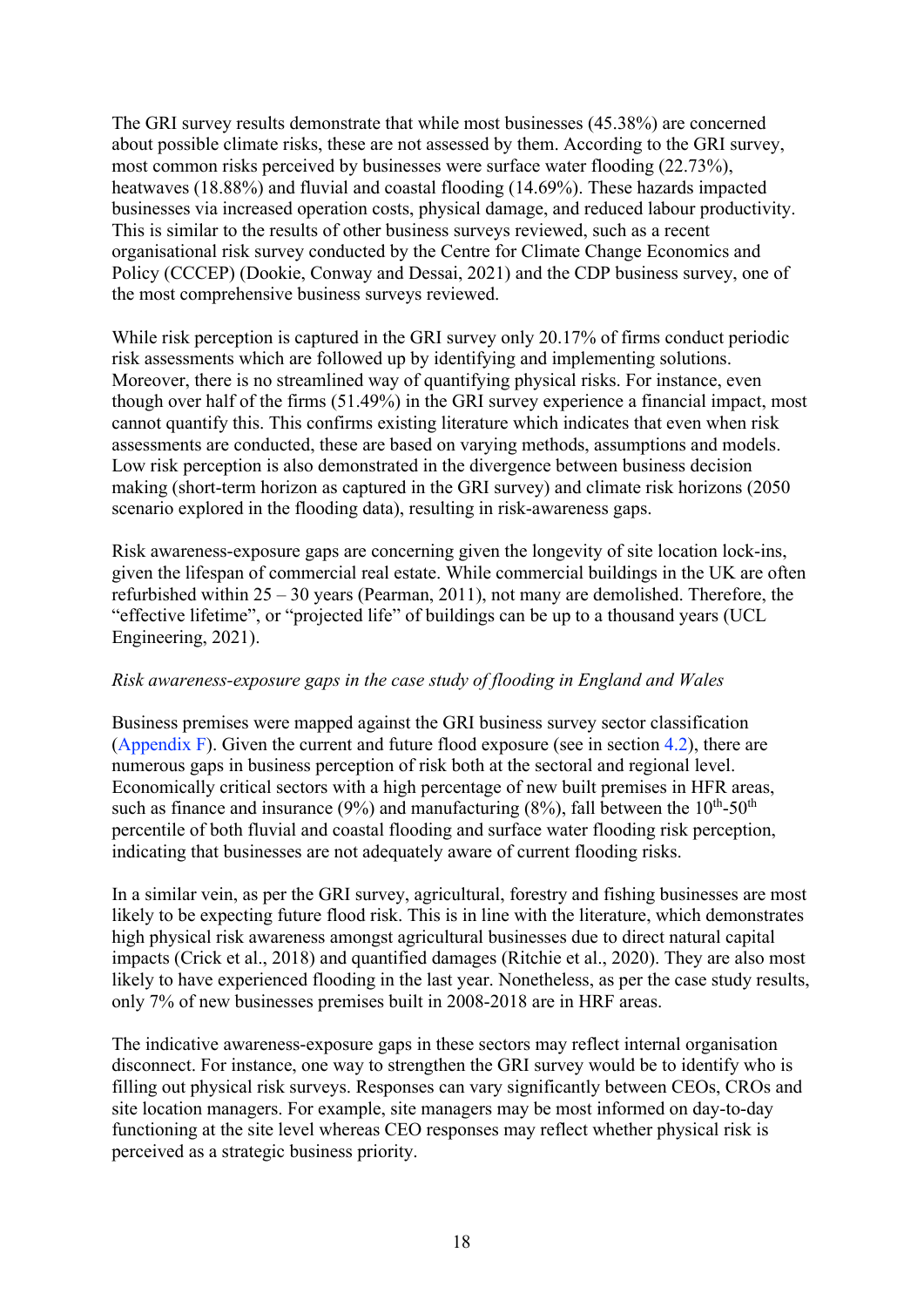The GRI survey results demonstrate that while most businesses (45.38%) are concerned about possible climate risks, these are not assessed by them. According to the GRI survey, most common risks perceived by businesses were surface water flooding (22.73%), heatwaves (18.88%) and fluvial and coastal flooding (14.69%). These hazards impacted businesses via increased operation costs, physical damage, and reduced labour productivity. This is similar to the results of other business surveys reviewed, such as a recent organisational risk survey conducted by the Centre for Climate Change Economics and Policy (CCCEP) (Dookie, Conway and Dessai, 2021) and the CDP business survey, one of the most comprehensive business surveys reviewed.

While risk perception is captured in the GRI survey only 20.17% of firms conduct periodic risk assessments which are followed up by identifying and implementing solutions. Moreover, there is no streamlined way of quantifying physical risks. For instance, even though over half of the firms (51.49%) in the GRI survey experience a financial impact, most cannot quantify this. This confirms existing literature which indicates that even when risk assessments are conducted, these are based on varying methods, assumptions and models. Low risk perception is also demonstrated in the divergence between business decision making (short-term horizon as captured in the GRI survey) and climate risk horizons (2050 scenario explored in the flooding data), resulting in risk-awareness gaps.

Risk awareness-exposure gaps are concerning given the longevity of site location lock-ins, given the lifespan of commercial real estate. While commercial buildings in the UK are often refurbished within 25 – 30 years (Pearman, 2011), not many are demolished. Therefore, the "effective lifetime", or "projected life" of buildings can be up to a thousand years (UCL Engineering, 2021).

#### *Risk awareness-exposure gaps in the case study of flooding in England and Wales*

Business premises were mapped against the GRI business survey sector classification [\(Appendix F\)](#page-36-0). Given the current and future flood exposure (see in section 4.2), there are numerous gaps in business perception of risk both at the sectoral and regional level. Economically critical sectors with a high percentage of new built premises in HFR areas, such as finance and insurance (9%) and manufacturing (8%), fall between the  $10^{th}$ -50<sup>th</sup> percentile of both fluvial and coastal flooding and surface water flooding risk perception, indicating that businesses are not adequately aware of current flooding risks.

In a similar vein, as per the GRI survey, agricultural, forestry and fishing businesses are most likely to be expecting future flood risk. This is in line with the literature, which demonstrates high physical risk awareness amongst agricultural businesses due to direct natural capital impacts (Crick et al., 2018) and quantified damages (Ritchie et al., 2020). They are also most likely to have experienced flooding in the last year. Nonetheless, as per the case study results, only 7% of new businesses premises built in 2008-2018 are in HRF areas.

The indicative awareness-exposure gaps in these sectors may reflect internal organisation disconnect. For instance, one way to strengthen the GRI survey would be to identify who is filling out physical risk surveys. Responses can vary significantly between CEOs, CROs and site location managers. For example, site managers may be most informed on day-to-day functioning at the site level whereas CEO responses may reflect whether physical risk is perceived as a strategic business priority.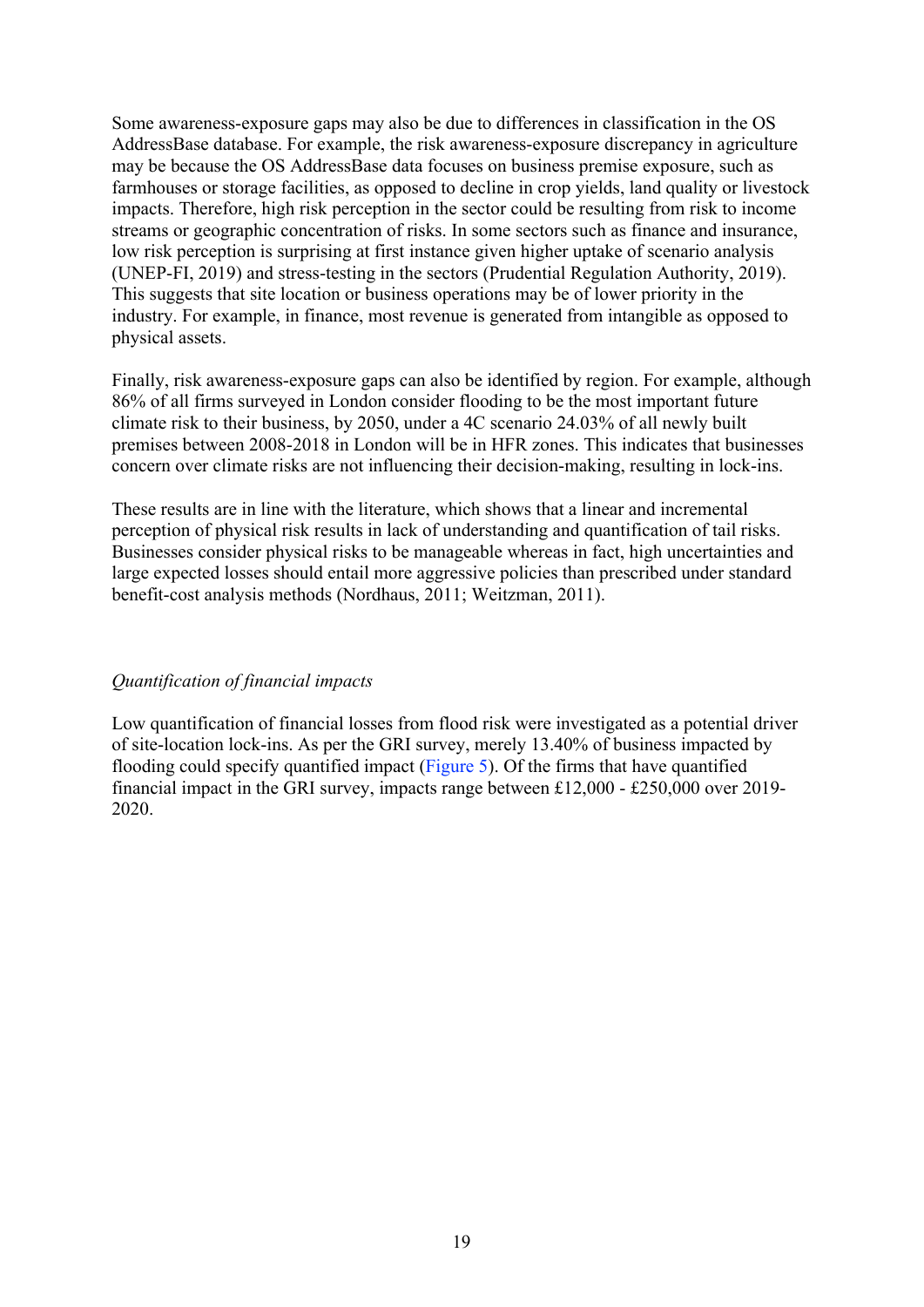Some awareness-exposure gaps may also be due to differences in classification in the OS AddressBase database. For example, the risk awareness-exposure discrepancy in agriculture may be because the OS AddressBase data focuses on business premise exposure, such as farmhouses or storage facilities, as opposed to decline in crop yields, land quality or livestock impacts. Therefore, high risk perception in the sector could be resulting from risk to income streams or geographic concentration of risks. In some sectors such as finance and insurance, low risk perception is surprising at first instance given higher uptake of scenario analysis (UNEP-FI, 2019) and stress-testing in the sectors (Prudential Regulation Authority, 2019). This suggests that site location or business operations may be of lower priority in the industry. For example, in finance, most revenue is generated from intangible as opposed to physical assets.

Finally, risk awareness-exposure gaps can also be identified by region. For example, although 86% of all firms surveyed in London consider flooding to be the most important future climate risk to their business, by 2050, under a 4C scenario 24.03% of all newly built premises between 2008-2018 in London will be in HFR zones. This indicates that businesses concern over climate risks are not influencing their decision-making, resulting in lock-ins.

These results are in line with the literature, which shows that a linear and incremental perception of physical risk results in lack of understanding and quantification of tail risks. Businesses consider physical risks to be manageable whereas in fact, high uncertainties and large expected losses should entail more aggressive policies than prescribed under standard benefit-cost analysis methods (Nordhaus, 2011; Weitzman, 2011).

#### *Quantification of financial impacts*

Low quantification of financial losses from flood risk were investigated as a potential driver of site-location lock-ins. As per the GRI survey, merely 13.40% of business impacted by flooding could specify quantified impact (Figure 5). Of the firms that have quantified financial impact in the GRI survey, impacts range between £12,000 - £250,000 over 2019- 2020.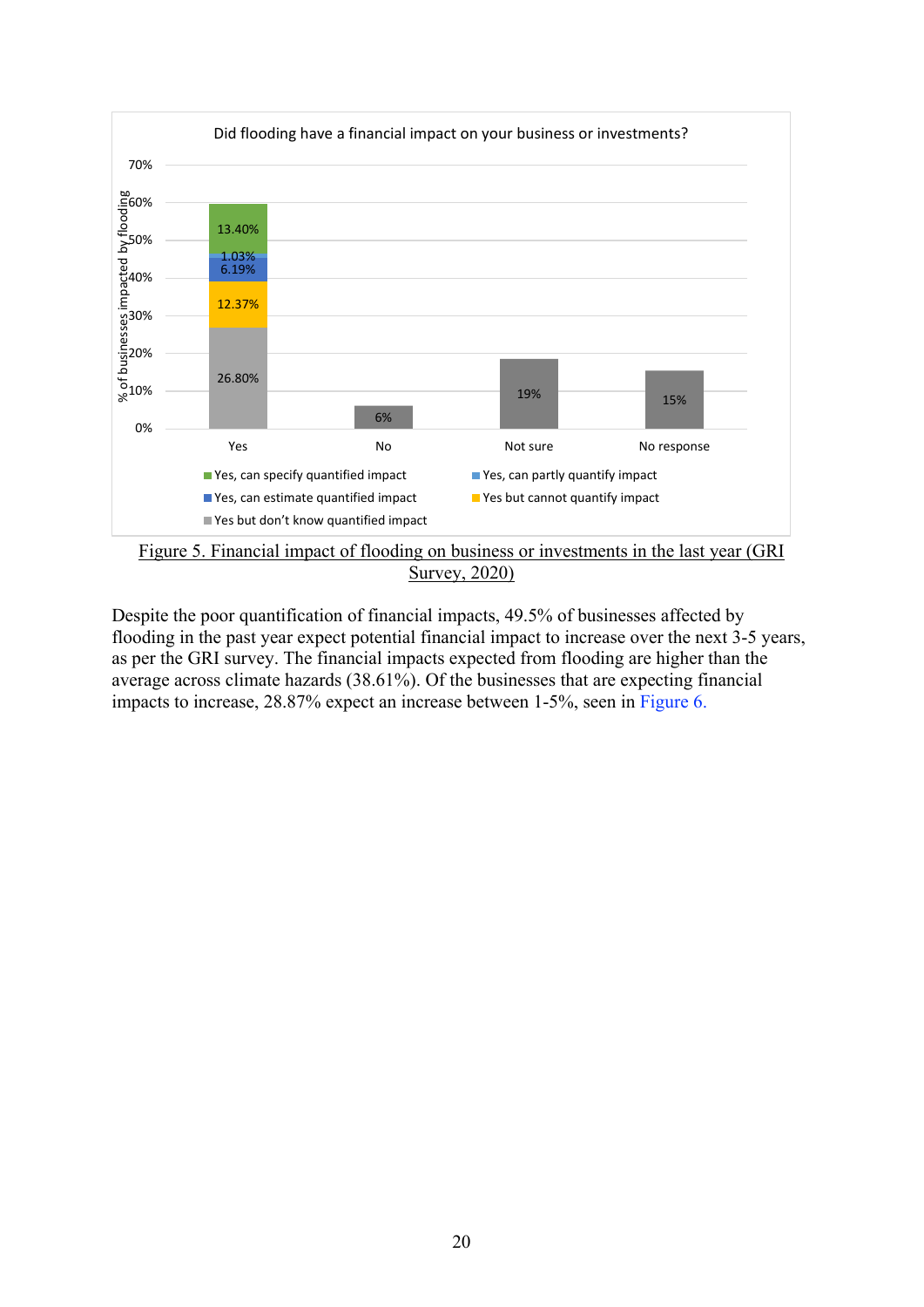

Survey, 2020)

Despite the poor quantification of financial impacts, 49.5% of businesses affected by flooding in the past year expect potential financial impact to increase over the next 3-5 years, as per the GRI survey. The financial impacts expected from flooding are higher than the average across climate hazards (38.61%). Of the businesses that are expecting financial impacts to increase, 28.87% expect an increase between 1-5%, seen in Figure 6.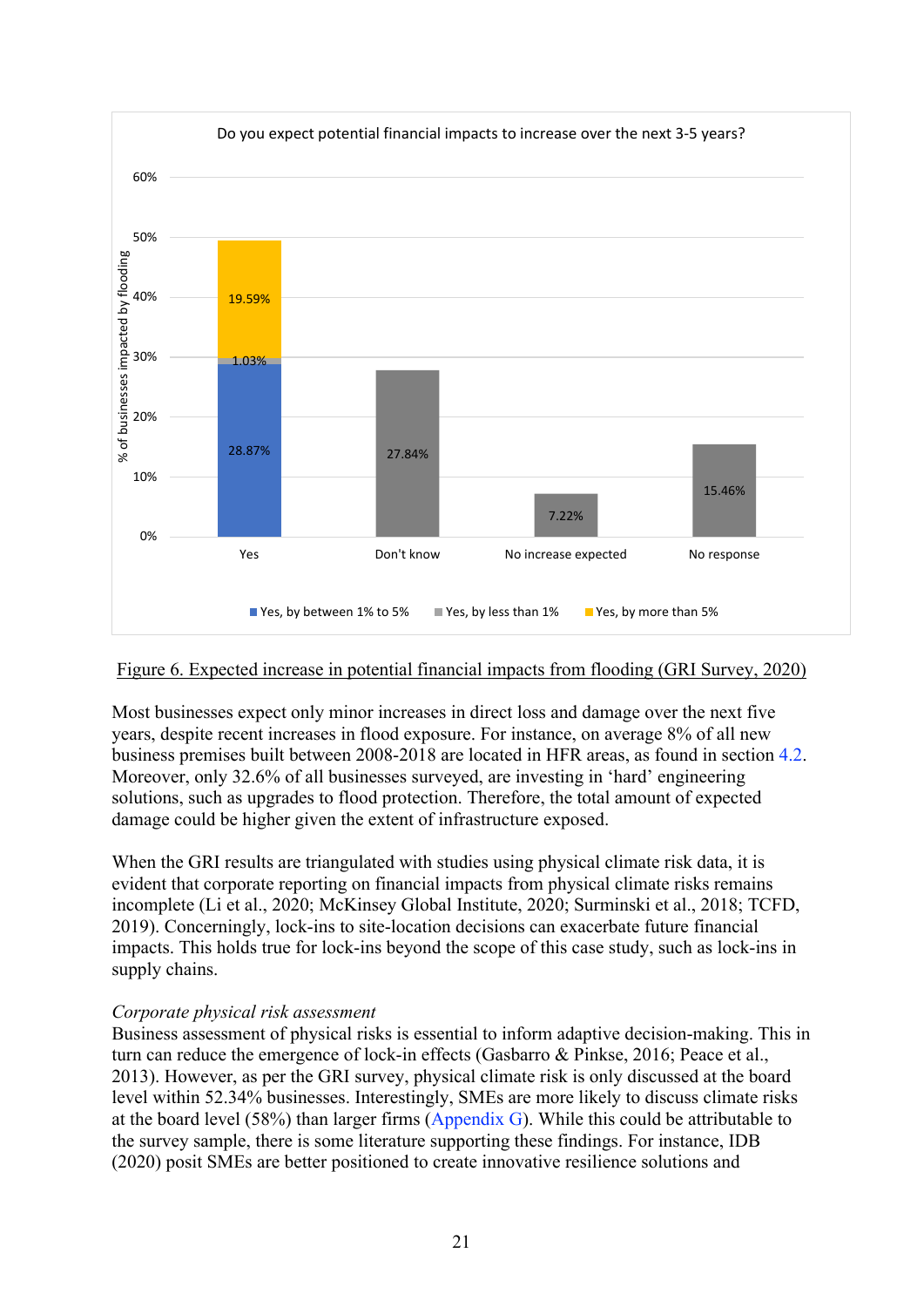

#### Figure 6. Expected increase in potential financial impacts from flooding (GRI Survey, 2020)

Most businesses expect only minor increases in direct loss and damage over the next five years, despite recent increases in flood exposure. For instance, on average 8% of all new business premises built between 2008-2018 are located in HFR areas, as found in section 4.2. Moreover, only 32.6% of all businesses surveyed, are investing in 'hard' engineering solutions, such as upgrades to flood protection. Therefore, the total amount of expected damage could be higher given the extent of infrastructure exposed.

When the GRI results are triangulated with studies using physical climate risk data, it is evident that corporate reporting on financial impacts from physical climate risks remains incomplete (Li et al., 2020; McKinsey Global Institute, 2020; Surminski et al., 2018; TCFD, 2019). Concerningly, lock-ins to site-location decisions can exacerbate future financial impacts. This holds true for lock-ins beyond the scope of this case study, such as lock-ins in supply chains.

#### *Corporate physical risk assessment*

Business assessment of physical risks is essential to inform adaptive decision-making. This in turn can reduce the emergence of lock-in effects (Gasbarro & Pinkse, 2016; Peace et al., 2013). However, as per the GRI survey, physical climate risk is only discussed at the board level within 52.34% businesses. Interestingly, SMEs are more likely to discuss climate risks at the board level (58%) than larger firms [\(Appendix](#page-36-0) G). While this could be attributable to the survey sample, there is some literature supporting these findings. For instance, IDB (2020) posit SMEs are better positioned to create innovative resilience solutions and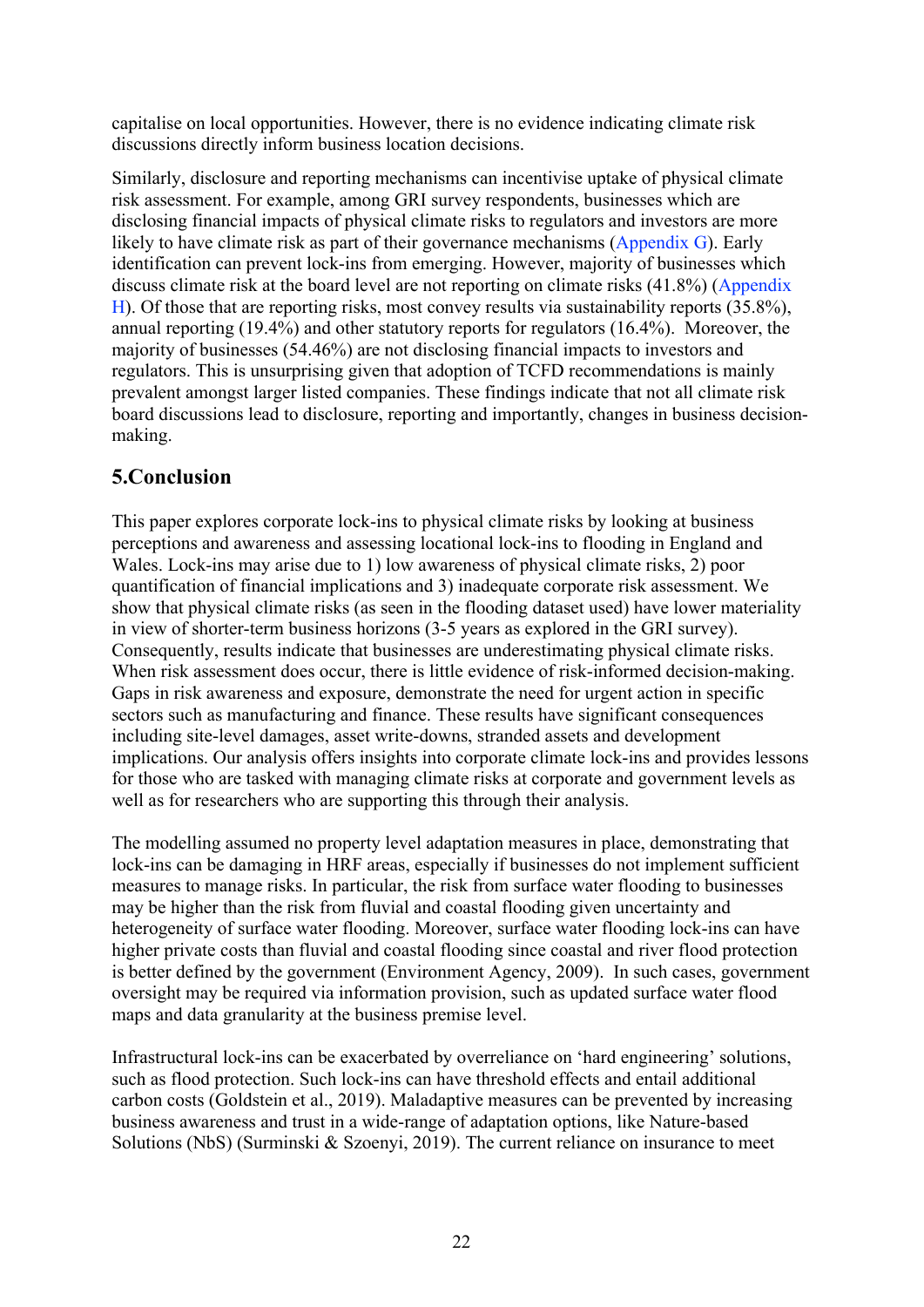capitalise on local opportunities. However, there is no evidence indicating climate risk discussions directly inform business location decisions.

Similarly, disclosure and reporting mechanisms can incentivise uptake of physical climate risk assessment. For example, among GRI survey respondents, businesses which are disclosing financial impacts of physical climate risks to regulators and investors are more likely to have climate risk as part of their governance mechanisms [\(Appendix G](#page-36-0)). Early identification can prevent lock-ins from emerging. However, majority of businesses which discuss climate risk at the board level are not reporting on climate risks (41.8%) [\(Appendix](#page-38-0) [H\)](#page-38-0). Of those that are reporting risks, most convey results via sustainability reports (35.8%), annual reporting (19.4%) and other statutory reports for regulators (16.4%). Moreover, the majority of businesses (54.46%) are not disclosing financial impacts to investors and regulators. This is unsurprising given that adoption of TCFD recommendations is mainly prevalent amongst larger listed companies. These findings indicate that not all climate risk board discussions lead to disclosure, reporting and importantly, changes in business decisionmaking.

## <span id="page-23-0"></span>**5.Conclusion**

This paper explores corporate lock-ins to physical climate risks by looking at business perceptions and awareness and assessing locational lock-ins to flooding in England and Wales. Lock-ins may arise due to 1) low awareness of physical climate risks, 2) poor quantification of financial implications and 3) inadequate corporate risk assessment. We show that physical climate risks (as seen in the flooding dataset used) have lower materiality in view of shorter-term business horizons (3-5 years as explored in the GRI survey). Consequently, results indicate that businesses are underestimating physical climate risks. When risk assessment does occur, there is little evidence of risk-informed decision-making. Gaps in risk awareness and exposure, demonstrate the need for urgent action in specific sectors such as manufacturing and finance. These results have significant consequences including site-level damages, asset write-downs, stranded assets and development implications. Our analysis offers insights into corporate climate lock-ins and provides lessons for those who are tasked with managing climate risks at corporate and government levels as well as for researchers who are supporting this through their analysis.

The modelling assumed no property level adaptation measures in place, demonstrating that lock-ins can be damaging in HRF areas, especially if businesses do not implement sufficient measures to manage risks. In particular, the risk from surface water flooding to businesses may be higher than the risk from fluvial and coastal flooding given uncertainty and heterogeneity of surface water flooding. Moreover, surface water flooding lock-ins can have higher private costs than fluvial and coastal flooding since coastal and river flood protection is better defined by the government (Environment Agency, 2009). In such cases, government oversight may be required via information provision, such as updated surface water flood maps and data granularity at the business premise level.

Infrastructural lock-ins can be exacerbated by overreliance on 'hard engineering' solutions, such as flood protection. Such lock-ins can have threshold effects and entail additional carbon costs (Goldstein et al., 2019). Maladaptive measures can be prevented by increasing business awareness and trust in a wide-range of adaptation options, like Nature-based Solutions (NbS) (Surminski & Szoenyi, 2019). The current reliance on insurance to meet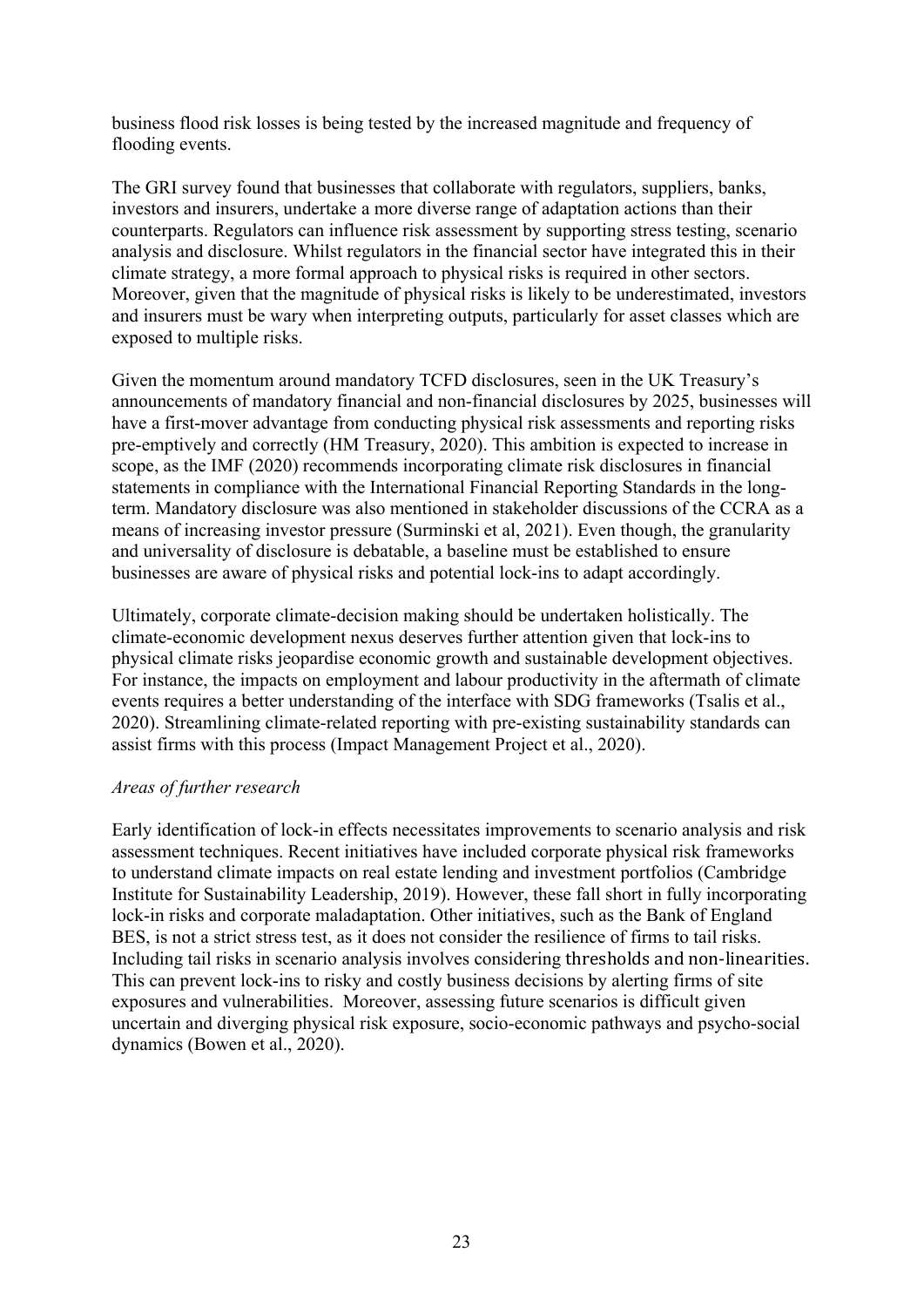business flood risk losses is being tested by the increased magnitude and frequency of flooding events.

The GRI survey found that businesses that collaborate with regulators, suppliers, banks, investors and insurers, undertake a more diverse range of adaptation actions than their counterparts. Regulators can influence risk assessment by supporting stress testing, scenario analysis and disclosure. Whilst regulators in the financial sector have integrated this in their climate strategy, a more formal approach to physical risks is required in other sectors. Moreover, given that the magnitude of physical risks is likely to be underestimated, investors and insurers must be wary when interpreting outputs, particularly for asset classes which are exposed to multiple risks.

Given the momentum around mandatory TCFD disclosures, seen in the UK Treasury's announcements of mandatory financial and non-financial disclosures by 2025, businesses will have a first-mover advantage from conducting physical risk assessments and reporting risks pre-emptively and correctly (HM Treasury, 2020). This ambition is expected to increase in scope, as the IMF (2020) recommends incorporating climate risk disclosures in financial statements in compliance with the International Financial Reporting Standards in the longterm. Mandatory disclosure was also mentioned in stakeholder discussions of the CCRA as a means of increasing investor pressure (Surminski et al, 2021). Even though, the granularity and universality of disclosure is debatable, a baseline must be established to ensure businesses are aware of physical risks and potential lock-ins to adapt accordingly.

Ultimately, corporate climate-decision making should be undertaken holistically. The climate-economic development nexus deserves further attention given that lock-ins to physical climate risks jeopardise economic growth and sustainable development objectives. For instance, the impacts on employment and labour productivity in the aftermath of climate events requires a better understanding of the interface with SDG frameworks (Tsalis et al., 2020). Streamlining climate-related reporting with pre-existing sustainability standards can assist firms with this process (Impact Management Project et al., 2020).

#### *Areas of further research*

Early identification of lock-in effects necessitates improvements to scenario analysis and risk assessment techniques. Recent initiatives have included corporate physical risk frameworks to understand climate impacts on real estate lending and investment portfolios (Cambridge Institute for Sustainability Leadership, 2019). However, these fall short in fully incorporating lock-in risks and corporate maladaptation. Other initiatives, such as the Bank of England BES, is not a strict stress test, as it does not consider the resilience of firms to tail risks. Including tail risks in scenario analysis involves considering thresholds and non-linearities. This can prevent lock-ins to risky and costly business decisions by alerting firms of site exposures and vulnerabilities. Moreover, assessing future scenarios is difficult given uncertain and diverging physical risk exposure, socio-economic pathways and psycho-social dynamics (Bowen et al., 2020).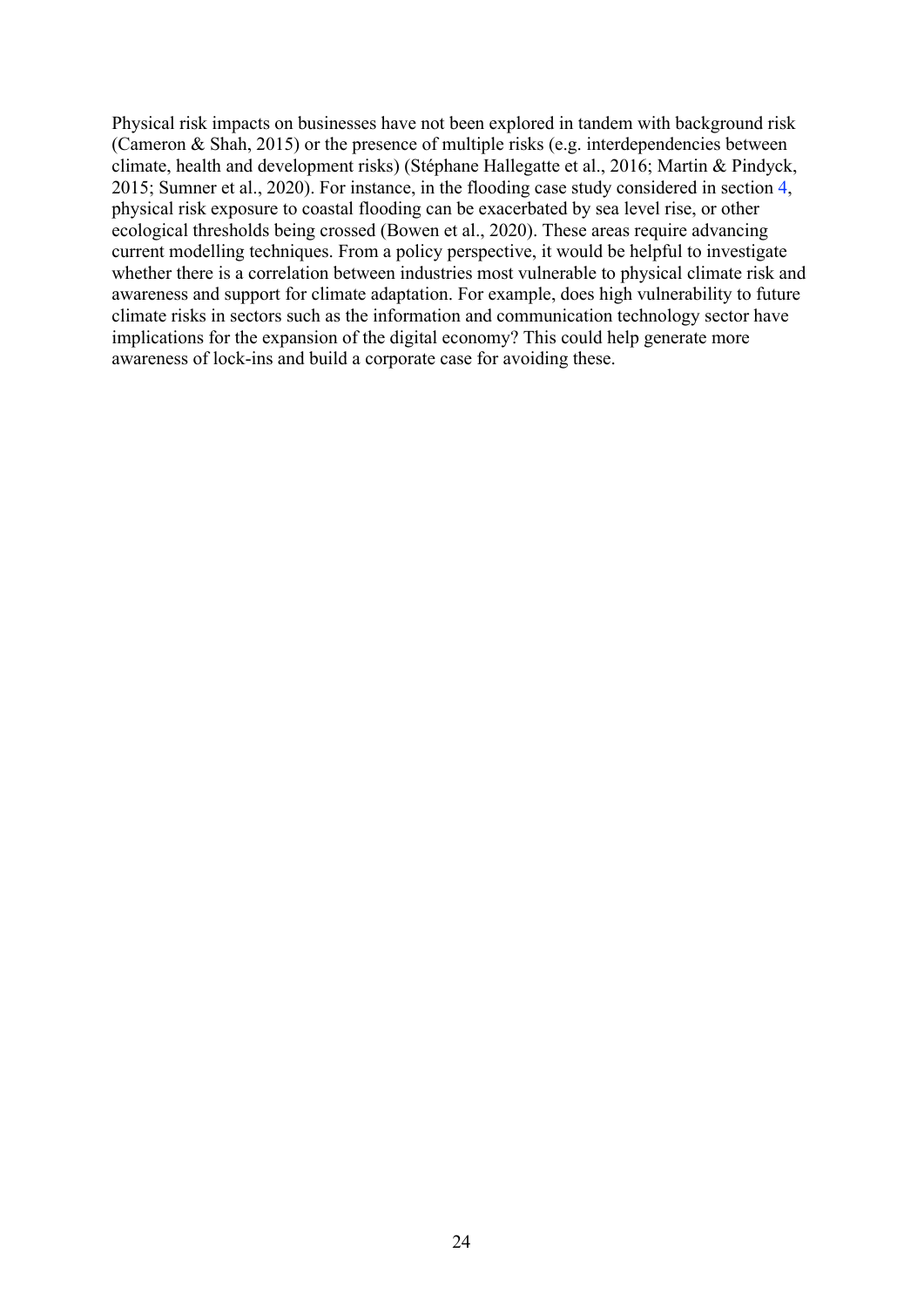Physical risk impacts on businesses have not been explored in tandem with background risk (Cameron & Shah, 2015) or the presence of multiple risks (e.g. interdependencies between climate, health and development risks) (Stéphane Hallegatte et al., 2016; Martin & Pindyck, 2015; Sumner et al., 2020). For instance, in the flooding case study considered in section [4,](#page-9-1) physical risk exposure to coastal flooding can be exacerbated by sea level rise, or other ecological thresholds being crossed (Bowen et al., 2020). These areas require advancing current modelling techniques. From a policy perspective, it would be helpful to investigate whether there is a correlation between industries most vulnerable to physical climate risk and awareness and support for climate adaptation. For example, does high vulnerability to future climate risks in sectors such as the information and communication technology sector have implications for the expansion of the digital economy? This could help generate more awareness of lock-ins and build a corporate case for avoiding these.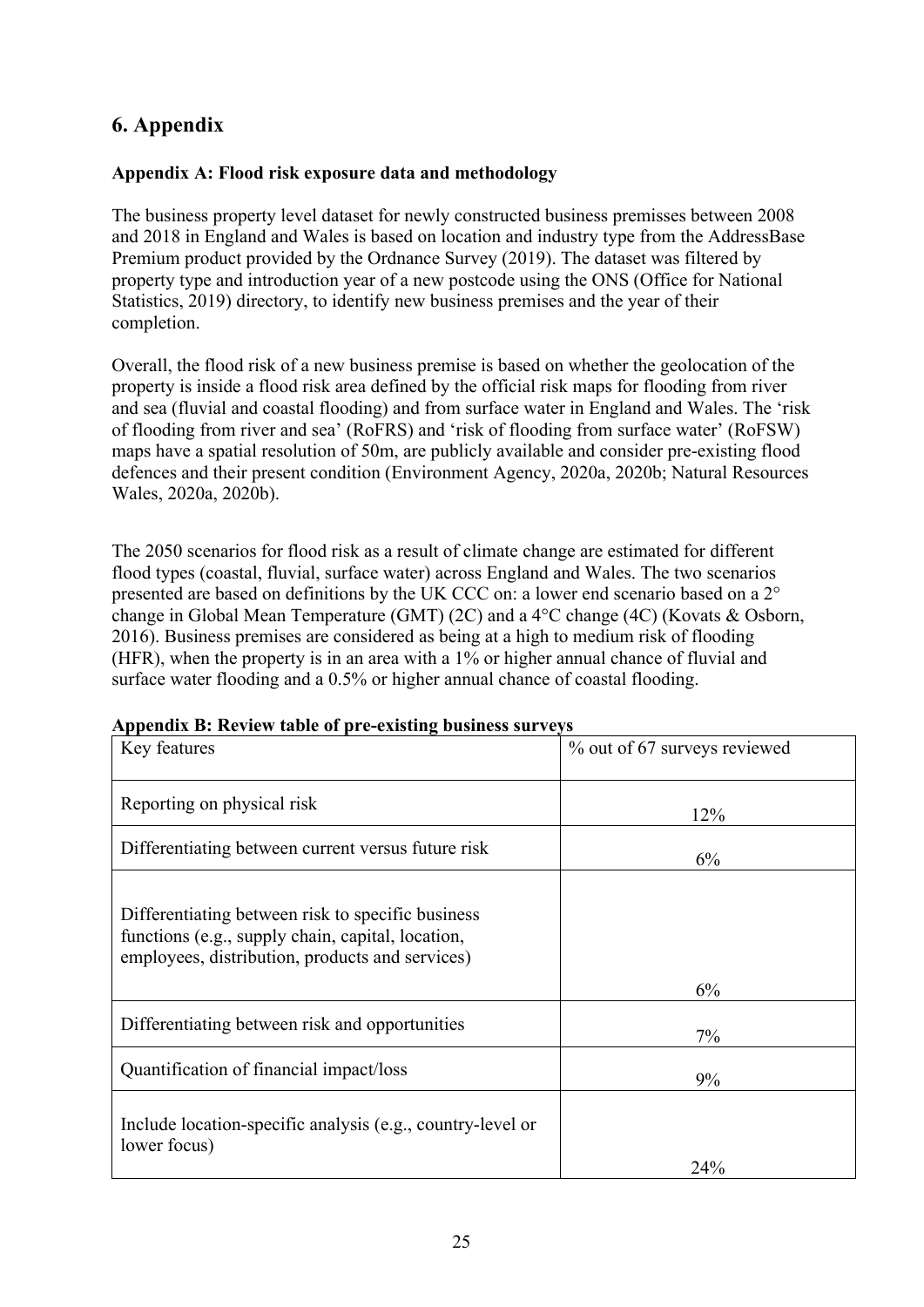## **6. Appendix**

#### <span id="page-26-0"></span>**Appendix A: Flood risk exposure data and methodology**

The business property level dataset for newly constructed business premisses between 2008 and 2018 in England and Wales is based on location and industry type from the AddressBase Premium product provided by the Ordnance Survey (2019). The dataset was filtered by property type and introduction year of a new postcode using the ONS (Office for National Statistics, 2019) directory, to identify new business premises and the year of their completion.

Overall, the flood risk of a new business premise is based on whether the geolocation of the property is inside a flood risk area defined by the official risk maps for flooding from river and sea (fluvial and coastal flooding) and from surface water in England and Wales. The 'risk of flooding from river and sea' (RoFRS) and 'risk of flooding from surface water' (RoFSW) maps have a spatial resolution of 50m, are publicly available and consider pre-existing flood defences and their present condition (Environment Agency, 2020a, 2020b; Natural Resources Wales, 2020a, 2020b).

The 2050 scenarios for flood risk as a result of climate change are estimated for different flood types (coastal, fluvial, surface water) across England and Wales. The two scenarios presented are based on definitions by the UK CCC on: a lower end scenario based on a 2° change in Global Mean Temperature (GMT) (2C) and a 4°C change (4C) (Kovats & Osborn, 2016). Business premises are considered as being at a high to medium risk of flooding (HFR), when the property is in an area with a 1% or higher annual chance of fluvial and surface water flooding and a 0.5% or higher annual chance of coastal flooding.

| Key features                                                                                                                                              | % out of 67 surveys reviewed |
|-----------------------------------------------------------------------------------------------------------------------------------------------------------|------------------------------|
| Reporting on physical risk                                                                                                                                | 12%                          |
| Differentiating between current versus future risk                                                                                                        | 6%                           |
| Differentiating between risk to specific business<br>functions (e.g., supply chain, capital, location,<br>employees, distribution, products and services) |                              |
|                                                                                                                                                           | 6%                           |
| Differentiating between risk and opportunities                                                                                                            | 7%                           |
| Quantification of financial impact/loss                                                                                                                   | 9%                           |
| Include location-specific analysis (e.g., country-level or<br>lower focus)                                                                                |                              |
|                                                                                                                                                           | 24%                          |

#### <span id="page-26-1"></span>**Appendix B: Review table of pre-existing business surveys**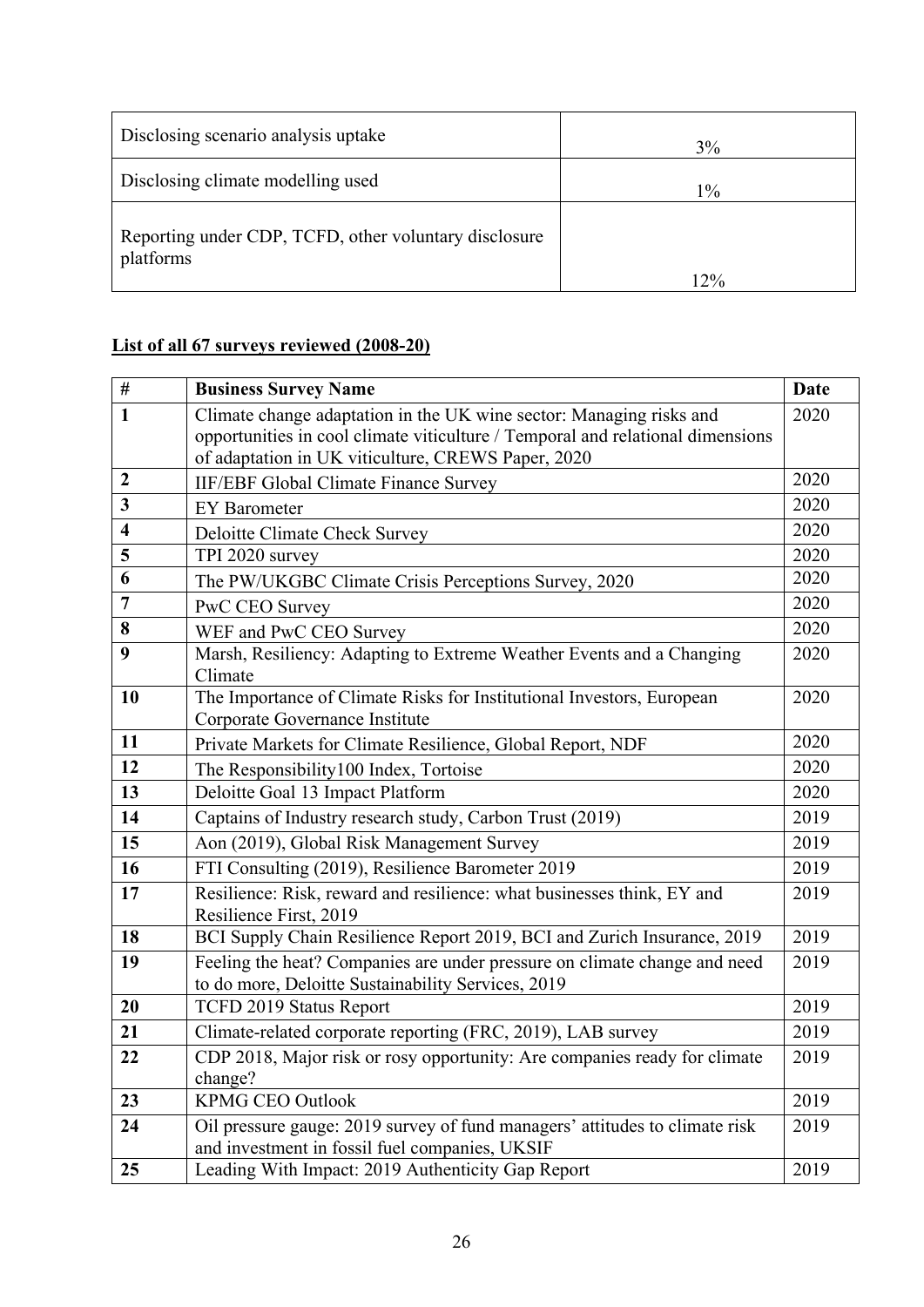| Disclosing scenario analysis uptake                                | 3%    |
|--------------------------------------------------------------------|-------|
| Disclosing climate modelling used                                  | $1\%$ |
| Reporting under CDP, TCFD, other voluntary disclosure<br>platforms | 12%   |

## **List of all 67 surveys reviewed (2008-20)**

| $\#$                    | <b>Business Survey Name</b>                                                                                                                           | <b>Date</b> |
|-------------------------|-------------------------------------------------------------------------------------------------------------------------------------------------------|-------------|
| $\mathbf{1}$            | Climate change adaptation in the UK wine sector: Managing risks and<br>opportunities in cool climate viticulture / Temporal and relational dimensions | 2020        |
|                         | of adaptation in UK viticulture, CREWS Paper, 2020                                                                                                    |             |
| $\boldsymbol{2}$        | <b>IIF/EBF Global Climate Finance Survey</b>                                                                                                          | 2020        |
| $\overline{\mathbf{3}}$ | <b>EY</b> Barometer                                                                                                                                   | 2020        |
| $\overline{\mathbf{4}}$ | Deloitte Climate Check Survey                                                                                                                         | 2020        |
| 5                       | TPI 2020 survey                                                                                                                                       | 2020        |
| 6                       | The PW/UKGBC Climate Crisis Perceptions Survey, 2020                                                                                                  | 2020        |
| 7                       | PwC CEO Survey                                                                                                                                        | 2020        |
| 8                       | WEF and PwC CEO Survey                                                                                                                                | 2020        |
| 9                       | Marsh, Resiliency: Adapting to Extreme Weather Events and a Changing<br>Climate                                                                       | 2020        |
| 10                      | The Importance of Climate Risks for Institutional Investors, European<br>Corporate Governance Institute                                               | 2020        |
| 11                      | Private Markets for Climate Resilience, Global Report, NDF                                                                                            | 2020        |
| 12                      | The Responsibility100 Index, Tortoise                                                                                                                 | 2020        |
| 13                      | Deloitte Goal 13 Impact Platform                                                                                                                      | 2020        |
| 14                      | Captains of Industry research study, Carbon Trust (2019)                                                                                              | 2019        |
| 15                      | Aon (2019), Global Risk Management Survey                                                                                                             | 2019        |
| 16                      | FTI Consulting (2019), Resilience Barometer 2019                                                                                                      | 2019        |
| 17                      | Resilience: Risk, reward and resilience: what businesses think, EY and<br>Resilience First, 2019                                                      | 2019        |
| 18                      | BCI Supply Chain Resilience Report 2019, BCI and Zurich Insurance, 2019                                                                               | 2019        |
| 19                      | Feeling the heat? Companies are under pressure on climate change and need<br>to do more, Deloitte Sustainability Services, 2019                       | 2019        |
| 20                      | TCFD 2019 Status Report                                                                                                                               | 2019        |
| 21                      | Climate-related corporate reporting (FRC, 2019), LAB survey                                                                                           | 2019        |
| 22                      | CDP 2018, Major risk or rosy opportunity: Are companies ready for climate<br>change?                                                                  | 2019        |
| 23                      | <b>KPMG CEO Outlook</b>                                                                                                                               | 2019        |
| 24                      | Oil pressure gauge: 2019 survey of fund managers' attitudes to climate risk<br>and investment in fossil fuel companies, UKSIF                         | 2019        |
| 25                      | Leading With Impact: 2019 Authenticity Gap Report                                                                                                     | 2019        |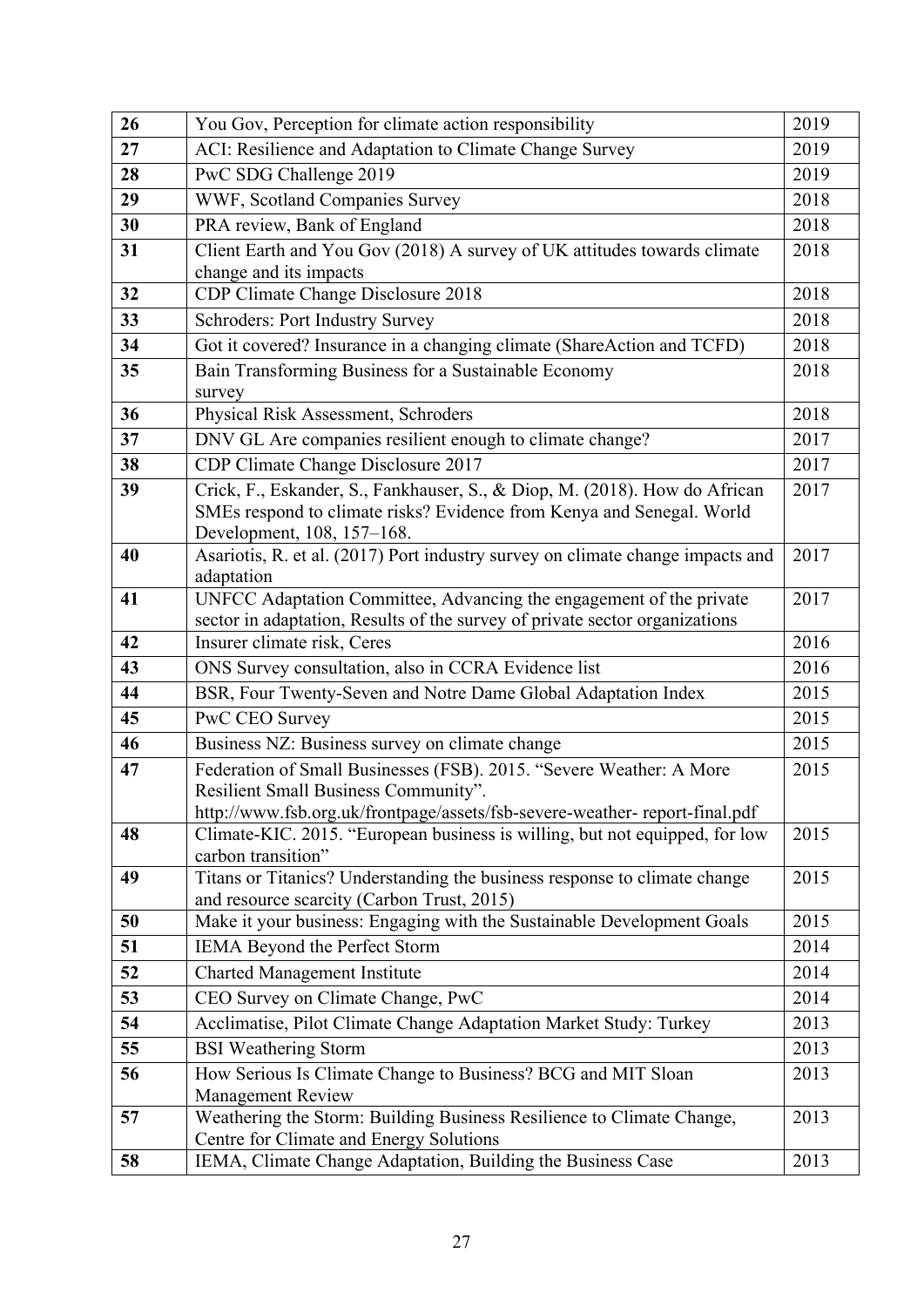| 26 | You Gov, Perception for climate action responsibility                                                                                               | 2019 |
|----|-----------------------------------------------------------------------------------------------------------------------------------------------------|------|
| 27 | ACI: Resilience and Adaptation to Climate Change Survey                                                                                             | 2019 |
| 28 | PwC SDG Challenge 2019                                                                                                                              | 2019 |
| 29 | WWF, Scotland Companies Survey                                                                                                                      | 2018 |
| 30 | PRA review, Bank of England                                                                                                                         | 2018 |
| 31 | Client Earth and You Gov (2018) A survey of UK attitudes towards climate                                                                            | 2018 |
|    | change and its impacts                                                                                                                              |      |
| 32 | CDP Climate Change Disclosure 2018                                                                                                                  | 2018 |
| 33 | <b>Schroders: Port Industry Survey</b>                                                                                                              | 2018 |
| 34 | Got it covered? Insurance in a changing climate (ShareAction and TCFD)                                                                              | 2018 |
| 35 | Bain Transforming Business for a Sustainable Economy                                                                                                | 2018 |
|    | survey                                                                                                                                              |      |
| 36 | Physical Risk Assessment, Schroders                                                                                                                 | 2018 |
| 37 | DNV GL Are companies resilient enough to climate change?                                                                                            | 2017 |
| 38 | CDP Climate Change Disclosure 2017                                                                                                                  | 2017 |
| 39 | Crick, F., Eskander, S., Fankhauser, S., & Diop, M. (2018). How do African<br>SMEs respond to climate risks? Evidence from Kenya and Senegal. World | 2017 |
|    | Development, 108, 157-168.                                                                                                                          |      |
| 40 | Asariotis, R. et al. (2017) Port industry survey on climate change impacts and                                                                      | 2017 |
|    | adaptation                                                                                                                                          |      |
| 41 | UNFCC Adaptation Committee, Advancing the engagement of the private                                                                                 | 2017 |
| 42 | sector in adaptation, Results of the survey of private sector organizations                                                                         | 2016 |
| 43 | Insurer climate risk, Ceres                                                                                                                         |      |
|    | ONS Survey consultation, also in CCRA Evidence list                                                                                                 | 2016 |
| 44 | BSR, Four Twenty-Seven and Notre Dame Global Adaptation Index                                                                                       | 2015 |
| 45 | PwC CEO Survey                                                                                                                                      | 2015 |
| 46 | Business NZ: Business survey on climate change                                                                                                      | 2015 |
| 47 | Federation of Small Businesses (FSB). 2015. "Severe Weather: A More                                                                                 | 2015 |
|    | Resilient Small Business Community".<br>http://www.fsb.org.uk/frontpage/assets/fsb-severe-weather-report-final.pdf                                  |      |
| 48 | Climate-KIC. 2015. "European business is willing, but not equipped, for low                                                                         | 2015 |
|    | carbon transition"                                                                                                                                  |      |
| 49 | Titans or Titanics? Understanding the business response to climate change                                                                           | 2015 |
|    | and resource scarcity (Carbon Trust, 2015)                                                                                                          |      |
| 50 | Make it your business: Engaging with the Sustainable Development Goals                                                                              | 2015 |
| 51 | IEMA Beyond the Perfect Storm                                                                                                                       | 2014 |
| 52 | <b>Charted Management Institute</b>                                                                                                                 | 2014 |
| 53 | CEO Survey on Climate Change, PwC                                                                                                                   | 2014 |
| 54 | Acclimatise, Pilot Climate Change Adaptation Market Study: Turkey                                                                                   | 2013 |
| 55 | <b>BSI</b> Weathering Storm                                                                                                                         | 2013 |
| 56 | How Serious Is Climate Change to Business? BCG and MIT Sloan                                                                                        | 2013 |
|    | <b>Management Review</b>                                                                                                                            |      |
| 57 | Weathering the Storm: Building Business Resilience to Climate Change,                                                                               | 2013 |
| 58 | Centre for Climate and Energy Solutions<br>IEMA, Climate Change Adaptation, Building the Business Case                                              | 2013 |
|    |                                                                                                                                                     |      |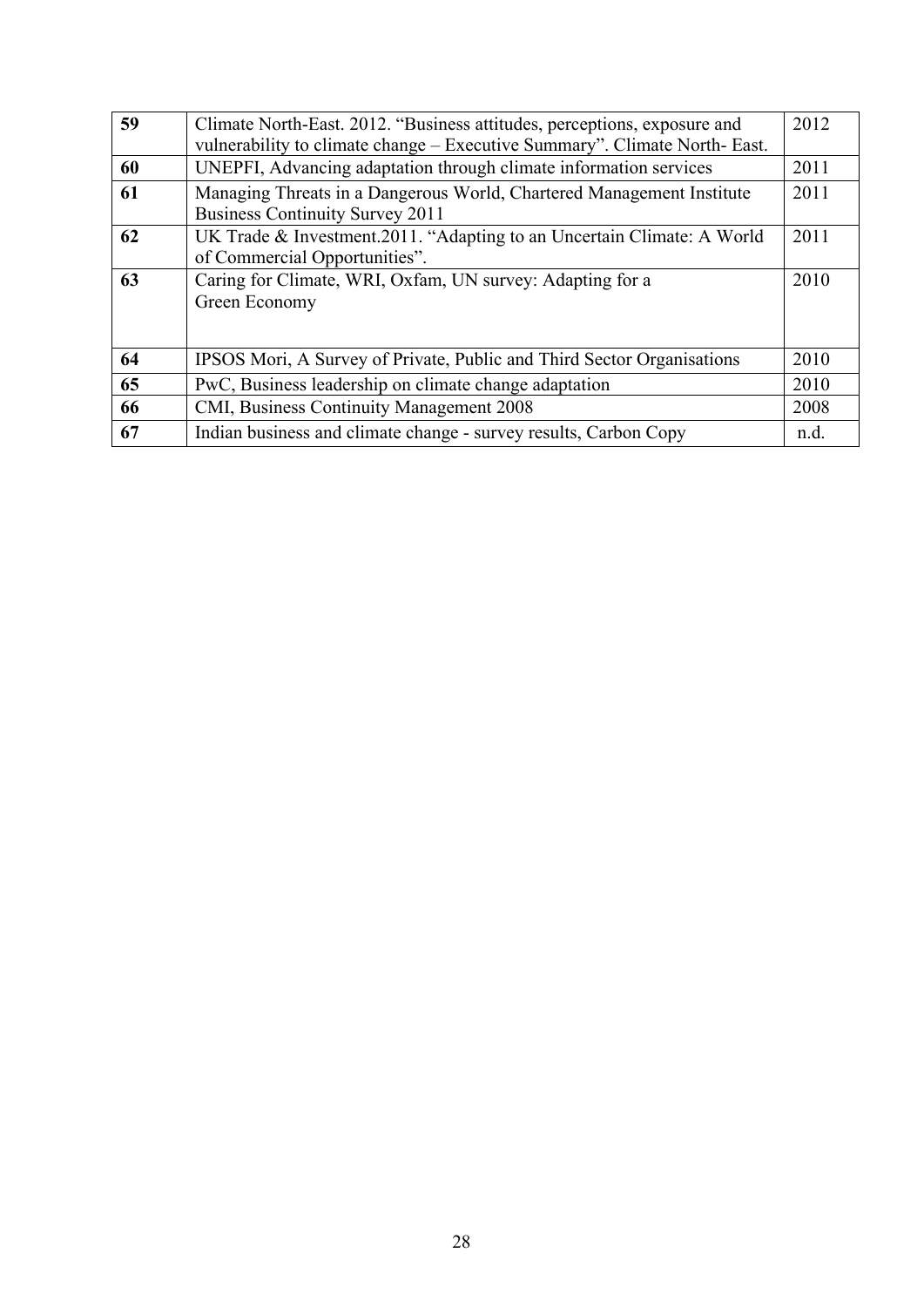| 59 | Climate North-East. 2012. "Business attitudes, perceptions, exposure and                                        | 2012 |
|----|-----------------------------------------------------------------------------------------------------------------|------|
|    | vulnerability to climate change - Executive Summary". Climate North- East.                                      |      |
| 60 | UNEPFI, Advancing adaptation through climate information services                                               | 2011 |
| 61 | Managing Threats in a Dangerous World, Chartered Management Institute<br><b>Business Continuity Survey 2011</b> | 2011 |
| 62 | UK Trade & Investment.2011. "Adapting to an Uncertain Climate: A World<br>of Commercial Opportunities".         | 2011 |
| 63 | Caring for Climate, WRI, Oxfam, UN survey: Adapting for a<br>Green Economy                                      | 2010 |
| 64 | IPSOS Mori, A Survey of Private, Public and Third Sector Organisations                                          | 2010 |
| 65 | PwC, Business leadership on climate change adaptation                                                           | 2010 |
| 66 | CMI, Business Continuity Management 2008                                                                        | 2008 |
| 67 | Indian business and climate change - survey results, Carbon Copy                                                | n.d. |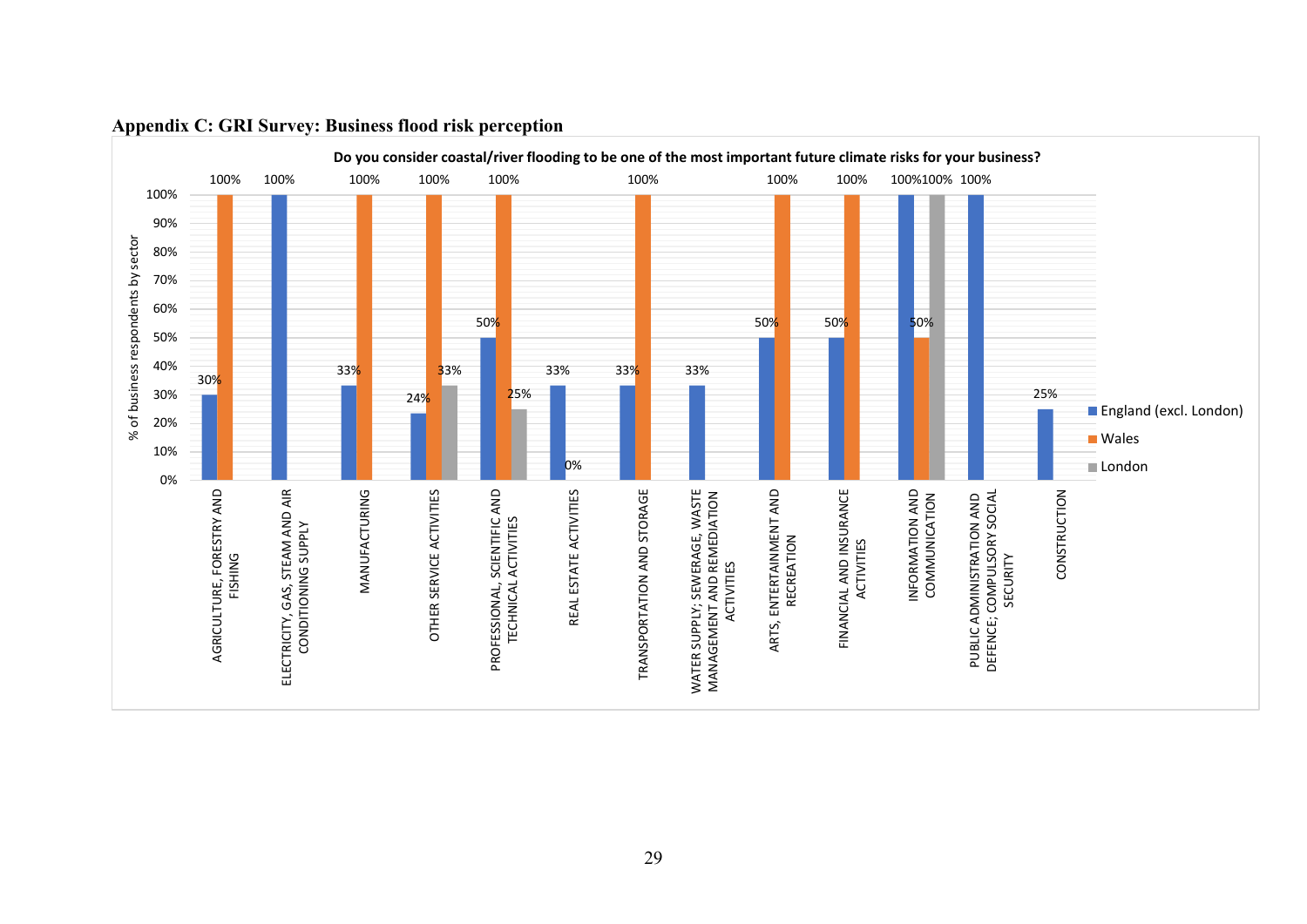<span id="page-30-0"></span>

#### **Appendix C: GRI Survey: Business flood risk perception**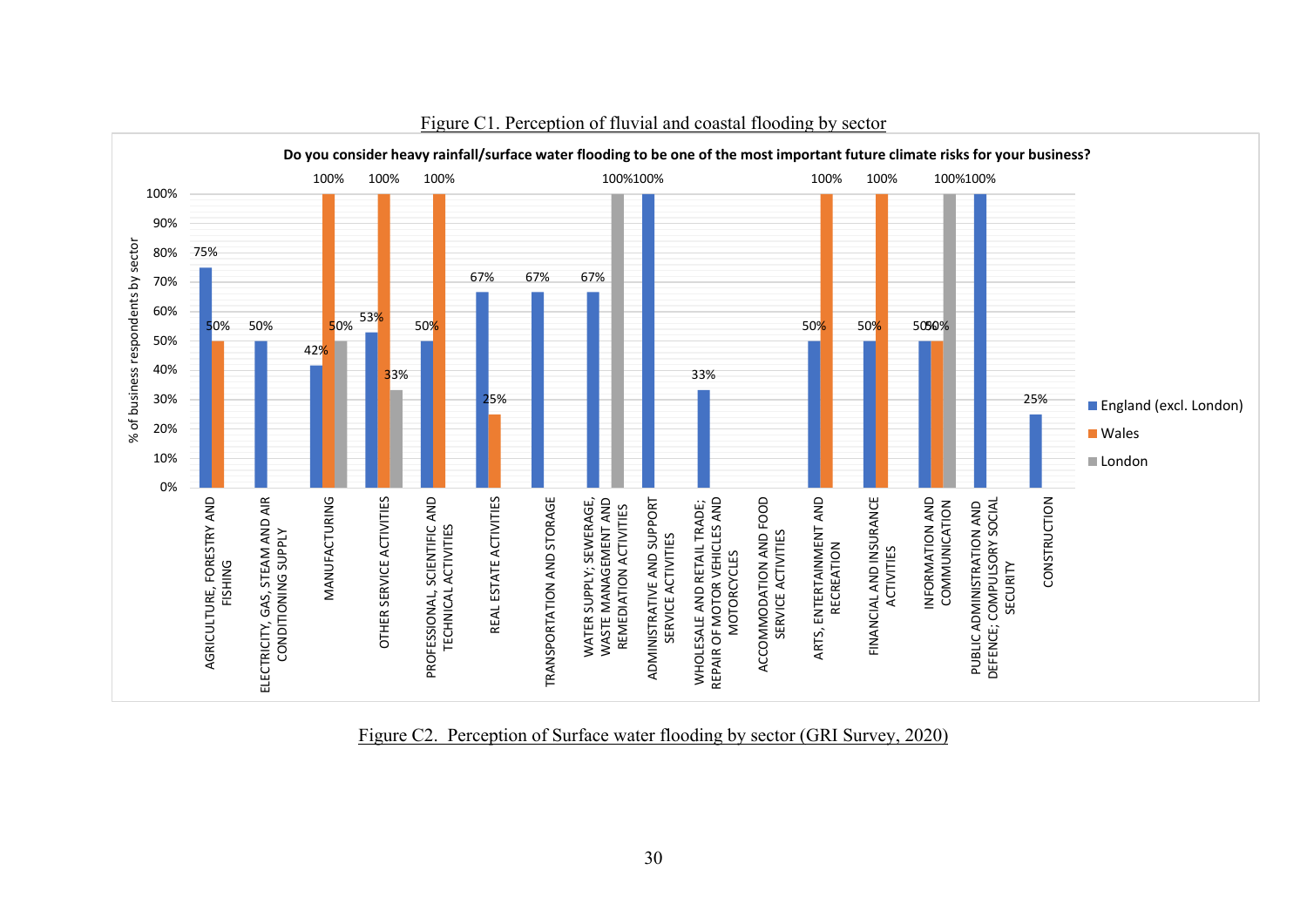

Figure C1. Perception of fluvial and coastal flooding by sector

Figure C2. Perception of Surface water flooding by sector (GRI Survey, 2020)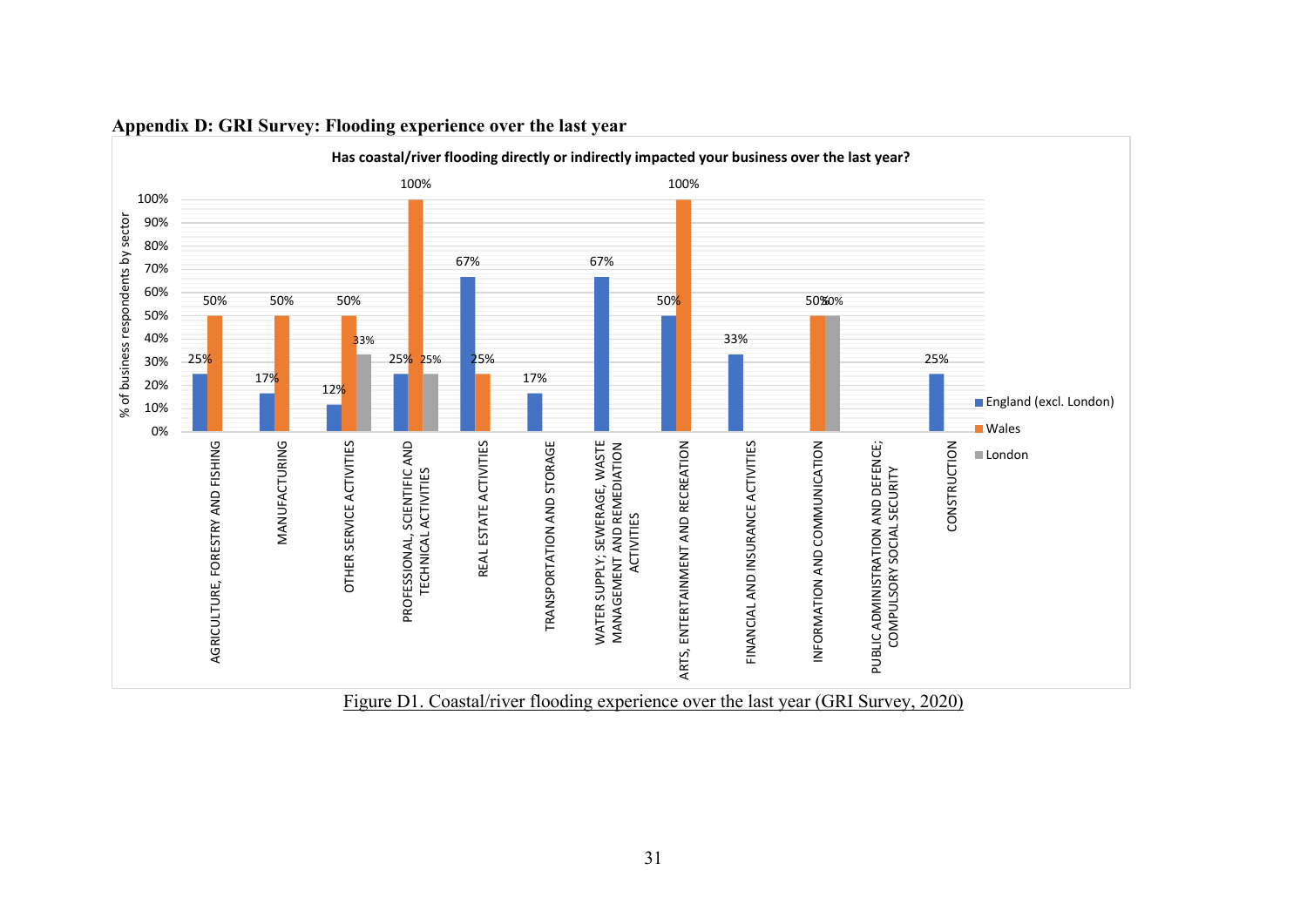<span id="page-32-0"></span>

#### **Appendix D: GRI Survey: Flooding experience over the last year**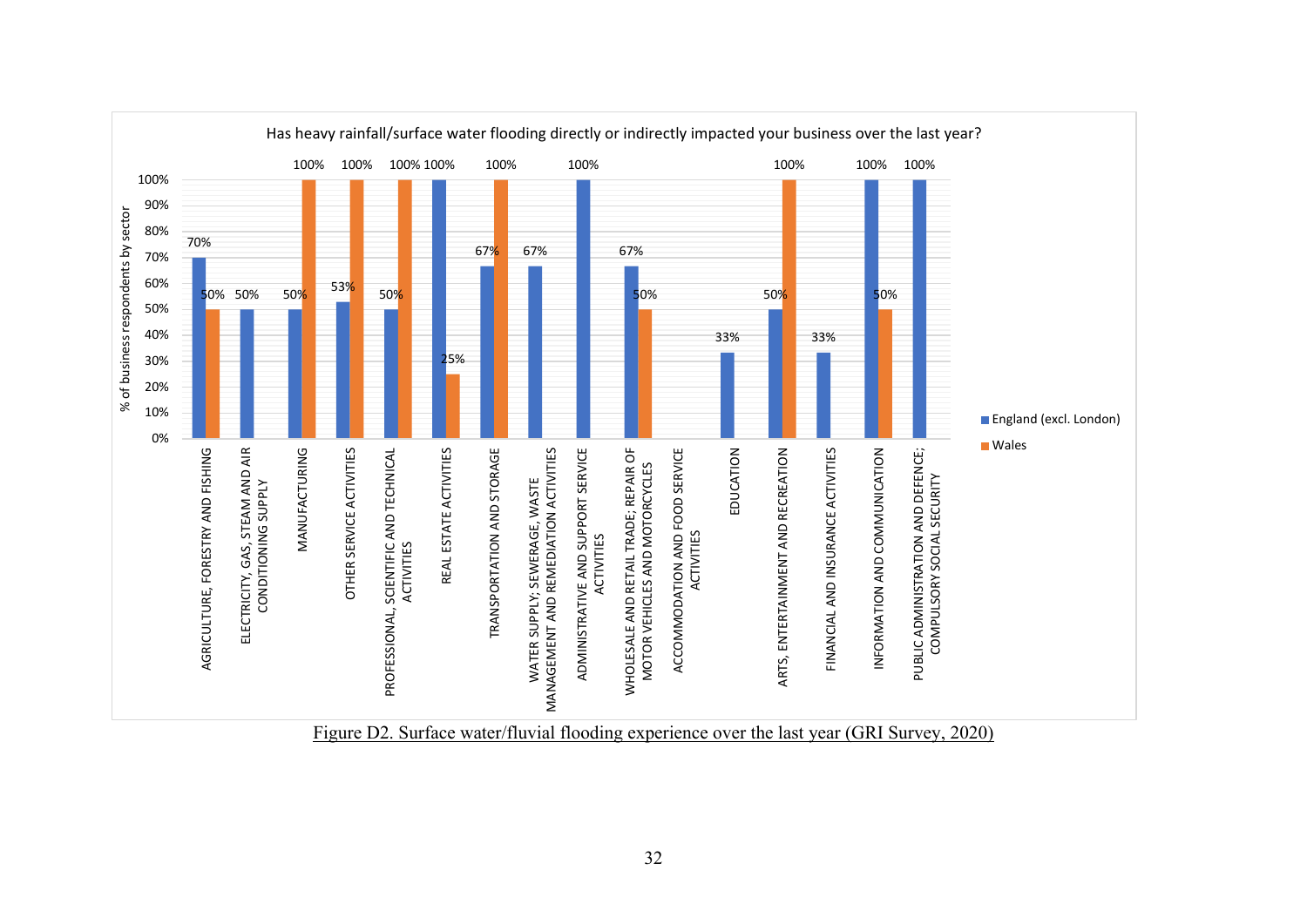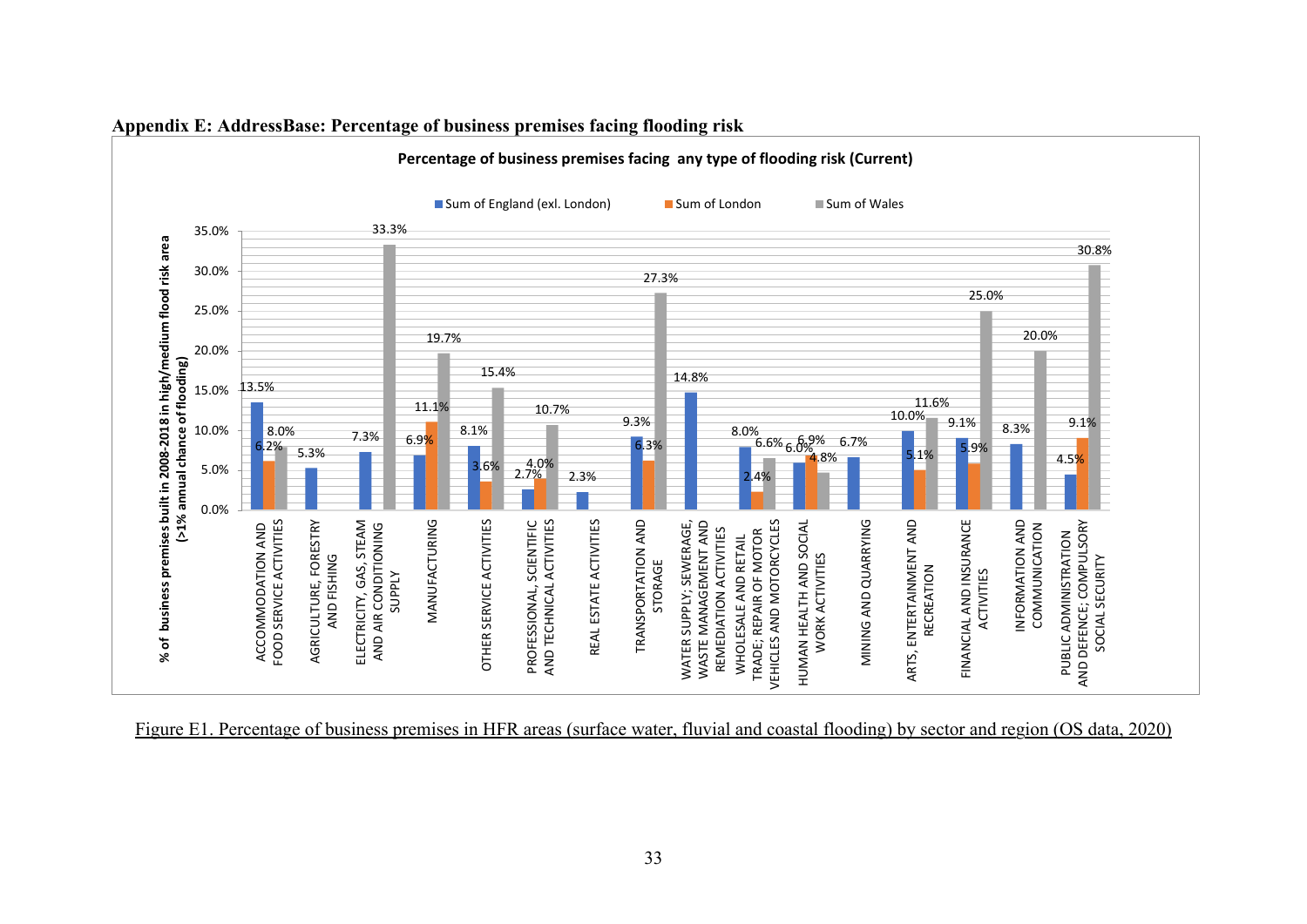

**Appendix E: AddressBase: Percentage of business premises facing flooding risk**

<span id="page-34-0"></span>Figure E1. Percentage of business premises in HFR areas (surface water, fluvial and coastal flooding) by sector and region (OS data, 2020)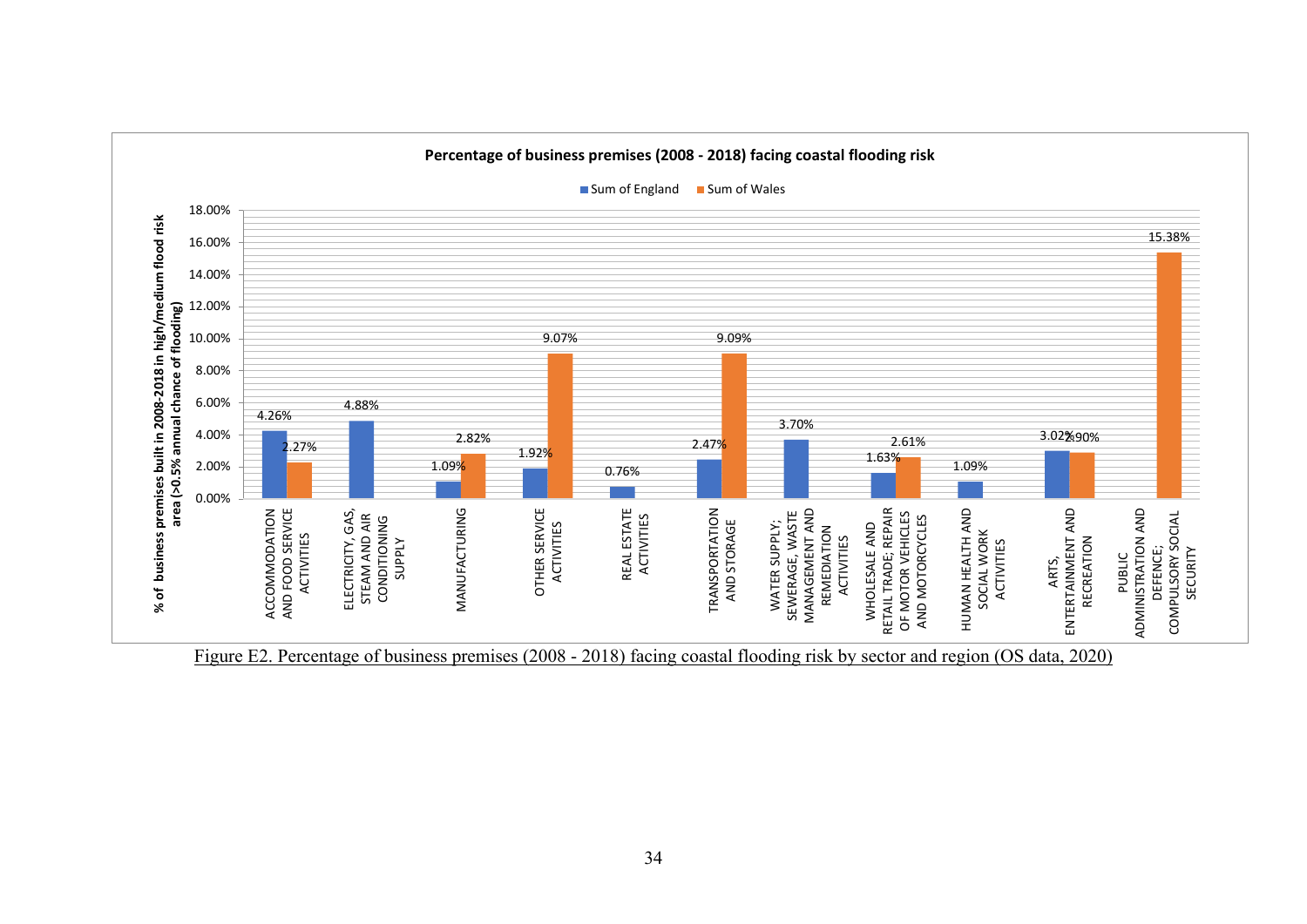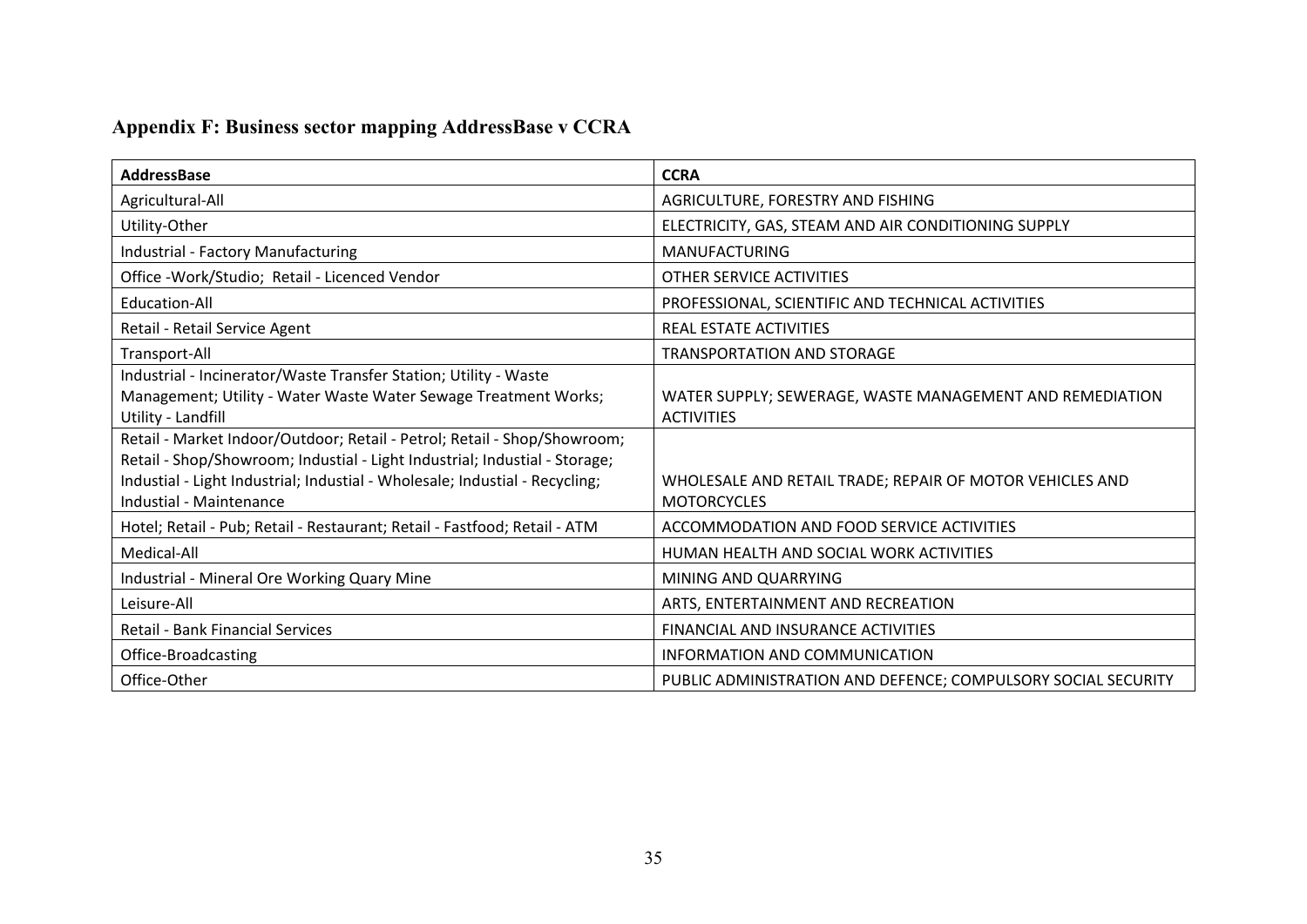## **Appendix F: Business sector mapping AddressBase v CCRA**

<span id="page-36-0"></span>

| AddressBase                                                                 | <b>CCRA</b>                                                   |
|-----------------------------------------------------------------------------|---------------------------------------------------------------|
| Agricultural-All                                                            | AGRICULTURE, FORESTRY AND FISHING                             |
| Utility-Other                                                               | ELECTRICITY, GAS, STEAM AND AIR CONDITIONING SUPPLY           |
| Industrial - Factory Manufacturing                                          | <b>MANUFACTURING</b>                                          |
| Office -Work/Studio; Retail - Licenced Vendor                               | OTHER SERVICE ACTIVITIES                                      |
| Education-All                                                               | PROFESSIONAL, SCIENTIFIC AND TECHNICAL ACTIVITIES             |
| Retail - Retail Service Agent                                               | <b>REAL ESTATE ACTIVITIES</b>                                 |
| Transport-All                                                               | <b>TRANSPORTATION AND STORAGE</b>                             |
| Industrial - Incinerator/Waste Transfer Station; Utility - Waste            |                                                               |
| Management; Utility - Water Waste Water Sewage Treatment Works;             | WATER SUPPLY; SEWERAGE, WASTE MANAGEMENT AND REMEDIATION      |
| Utility - Landfill                                                          | <b>ACTIVITIES</b>                                             |
| Retail - Market Indoor/Outdoor; Retail - Petrol; Retail - Shop/Showroom;    |                                                               |
| Retail - Shop/Showroom; Industial - Light Industrial; Industial - Storage;  |                                                               |
| Industial - Light Industrial; Industial - Wholesale; Industial - Recycling; | WHOLESALE AND RETAIL TRADE; REPAIR OF MOTOR VEHICLES AND      |
| Industial - Maintenance                                                     | <b>MOTORCYCLES</b>                                            |
| Hotel; Retail - Pub; Retail - Restaurant; Retail - Fastfood; Retail - ATM   | ACCOMMODATION AND FOOD SERVICE ACTIVITIES                     |
| Medical-All                                                                 | HUMAN HEALTH AND SOCIAL WORK ACTIVITIES                       |
| Industrial - Mineral Ore Working Quary Mine                                 | MINING AND QUARRYING                                          |
| Leisure-All                                                                 | ARTS, ENTERTAINMENT AND RECREATION                            |
| <b>Retail - Bank Financial Services</b>                                     | <b>FINANCIAL AND INSURANCE ACTIVITIES</b>                     |
| Office-Broadcasting                                                         | INFORMATION AND COMMUNICATION                                 |
| Office-Other                                                                | PUBLIC ADMINISTRATION AND DEFENCE; COMPULSORY SOCIAL SECURITY |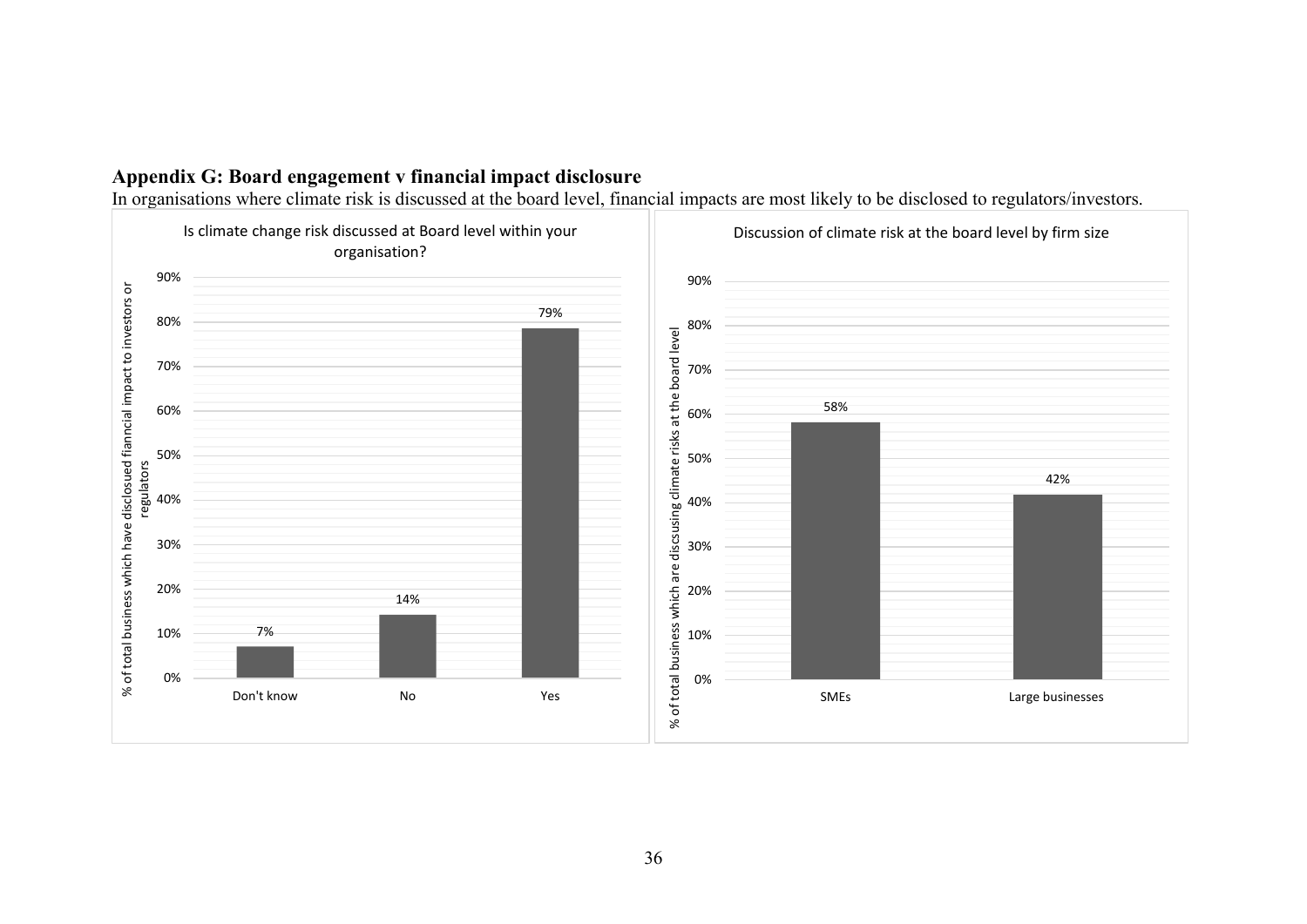

In organisations where climate risk is discussed at the board level, financial impacts are most likely to be disclosed to regulators/investors.

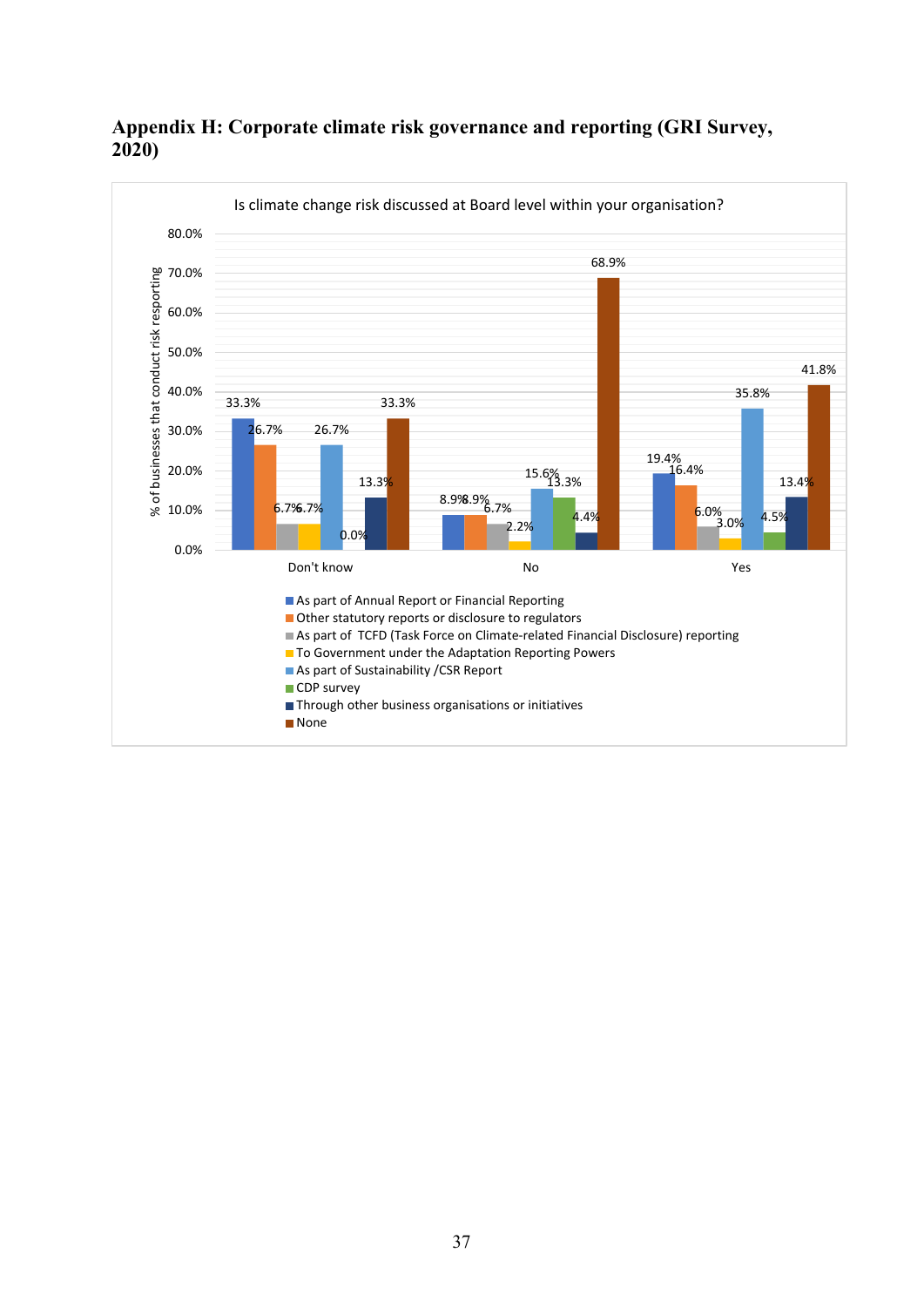

## <span id="page-38-0"></span>**Appendix H: Corporate climate risk governance and reporting (GRI Survey, 2020)**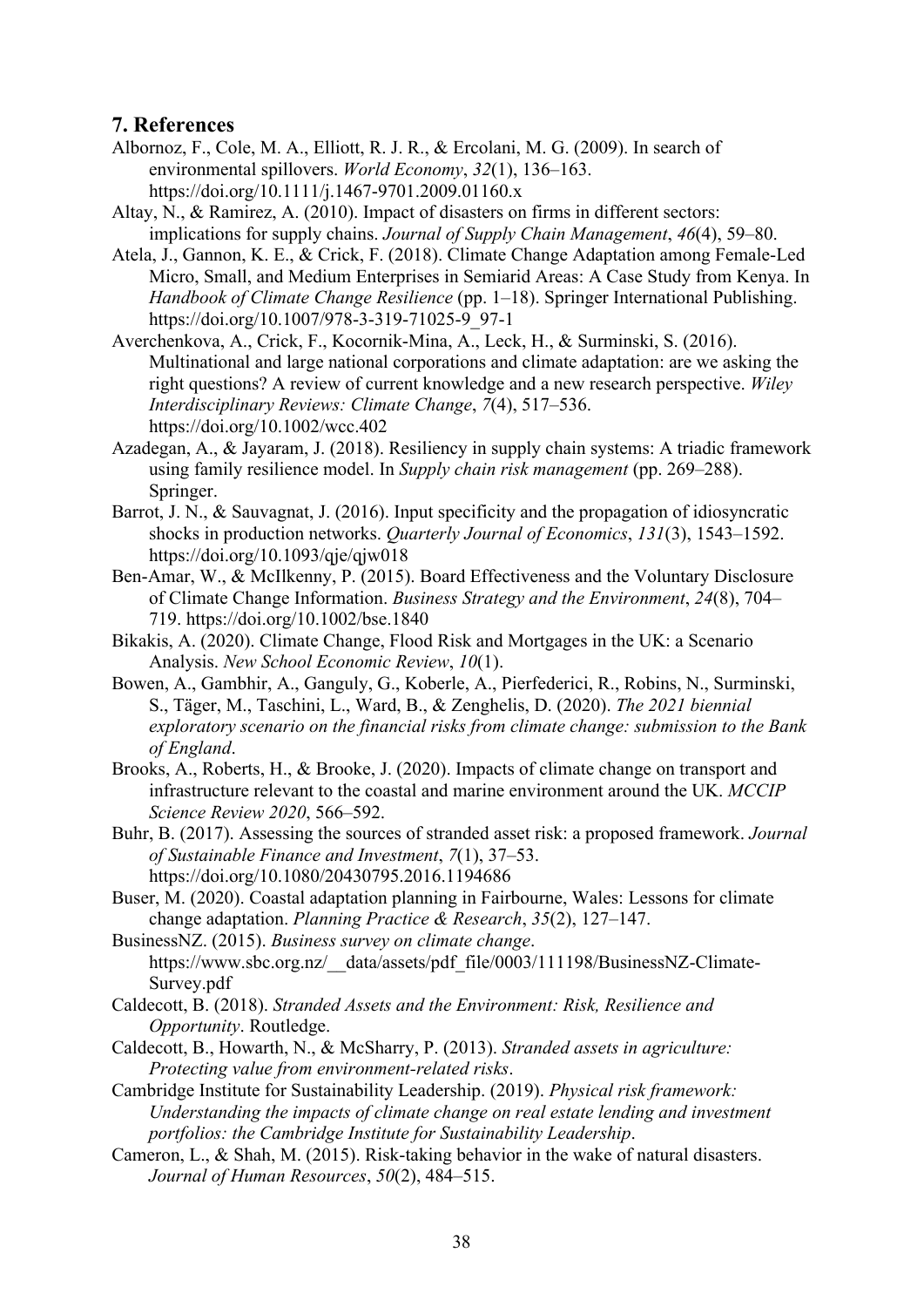## **7. References**

- Albornoz, F., Cole, M. A., Elliott, R. J. R., & Ercolani, M. G. (2009). In search of environmental spillovers. *World Economy*, *32*(1), 136–163. https://doi.org/10.1111/j.1467-9701.2009.01160.x
- Altay, N., & Ramirez, A. (2010). Impact of disasters on firms in different sectors: implications for supply chains. *Journal of Supply Chain Management*, *46*(4), 59–80.
- Atela, J., Gannon, K. E., & Crick, F. (2018). Climate Change Adaptation among Female-Led Micro, Small, and Medium Enterprises in Semiarid Areas: A Case Study from Kenya. In *Handbook of Climate Change Resilience* (pp. 1–18). Springer International Publishing. https://doi.org/10.1007/978-3-319-71025-9\_97-1
- Averchenkova, A., Crick, F., Kocornik-Mina, A., Leck, H., & Surminski, S. (2016). Multinational and large national corporations and climate adaptation: are we asking the right questions? A review of current knowledge and a new research perspective. *Wiley Interdisciplinary Reviews: Climate Change*, *7*(4), 517–536. https://doi.org/10.1002/wcc.402
- Azadegan, A., & Jayaram, J. (2018). Resiliency in supply chain systems: A triadic framework using family resilience model. In *Supply chain risk management* (pp. 269–288). Springer.
- Barrot, J. N., & Sauvagnat, J. (2016). Input specificity and the propagation of idiosyncratic shocks in production networks. *Quarterly Journal of Economics*, *131*(3), 1543–1592. https://doi.org/10.1093/qje/qjw018
- Ben-Amar, W., & McIlkenny, P. (2015). Board Effectiveness and the Voluntary Disclosure of Climate Change Information. *Business Strategy and the Environment*, *24*(8), 704– 719. https://doi.org/10.1002/bse.1840
- Bikakis, A. (2020). Climate Change, Flood Risk and Mortgages in the UK: a Scenario Analysis. *New School Economic Review*, *10*(1).
- Bowen, A., Gambhir, A., Ganguly, G., Koberle, A., Pierfederici, R., Robins, N., Surminski, S., Täger, M., Taschini, L., Ward, B., & Zenghelis, D. (2020). *The 2021 biennial exploratory scenario on the financial risks from climate change: submission to the Bank of England*.
- Brooks, A., Roberts, H., & Brooke, J. (2020). Impacts of climate change on transport and infrastructure relevant to the coastal and marine environment around the UK. *MCCIP Science Review 2020*, 566–592.
- Buhr, B. (2017). Assessing the sources of stranded asset risk: a proposed framework. *Journal of Sustainable Finance and Investment*, *7*(1), 37–53. https://doi.org/10.1080/20430795.2016.1194686
- Buser, M. (2020). Coastal adaptation planning in Fairbourne, Wales: Lessons for climate change adaptation. *Planning Practice & Research*, *35*(2), 127–147.
- BusinessNZ. (2015). *Business survey on climate change*. https://www.sbc.org.nz/\_\_data/assets/pdf\_file/0003/111198/BusinessNZ-Climate-Survey.pdf
- Caldecott, B. (2018). *Stranded Assets and the Environment: Risk, Resilience and Opportunity*. Routledge.
- Caldecott, B., Howarth, N., & McSharry, P. (2013). *Stranded assets in agriculture: Protecting value from environment-related risks*.
- Cambridge Institute for Sustainability Leadership. (2019). *Physical risk framework: Understanding the impacts of climate change on real estate lending and investment portfolios: the Cambridge Institute for Sustainability Leadership*.
- Cameron, L., & Shah, M. (2015). Risk-taking behavior in the wake of natural disasters. *Journal of Human Resources*, *50*(2), 484–515.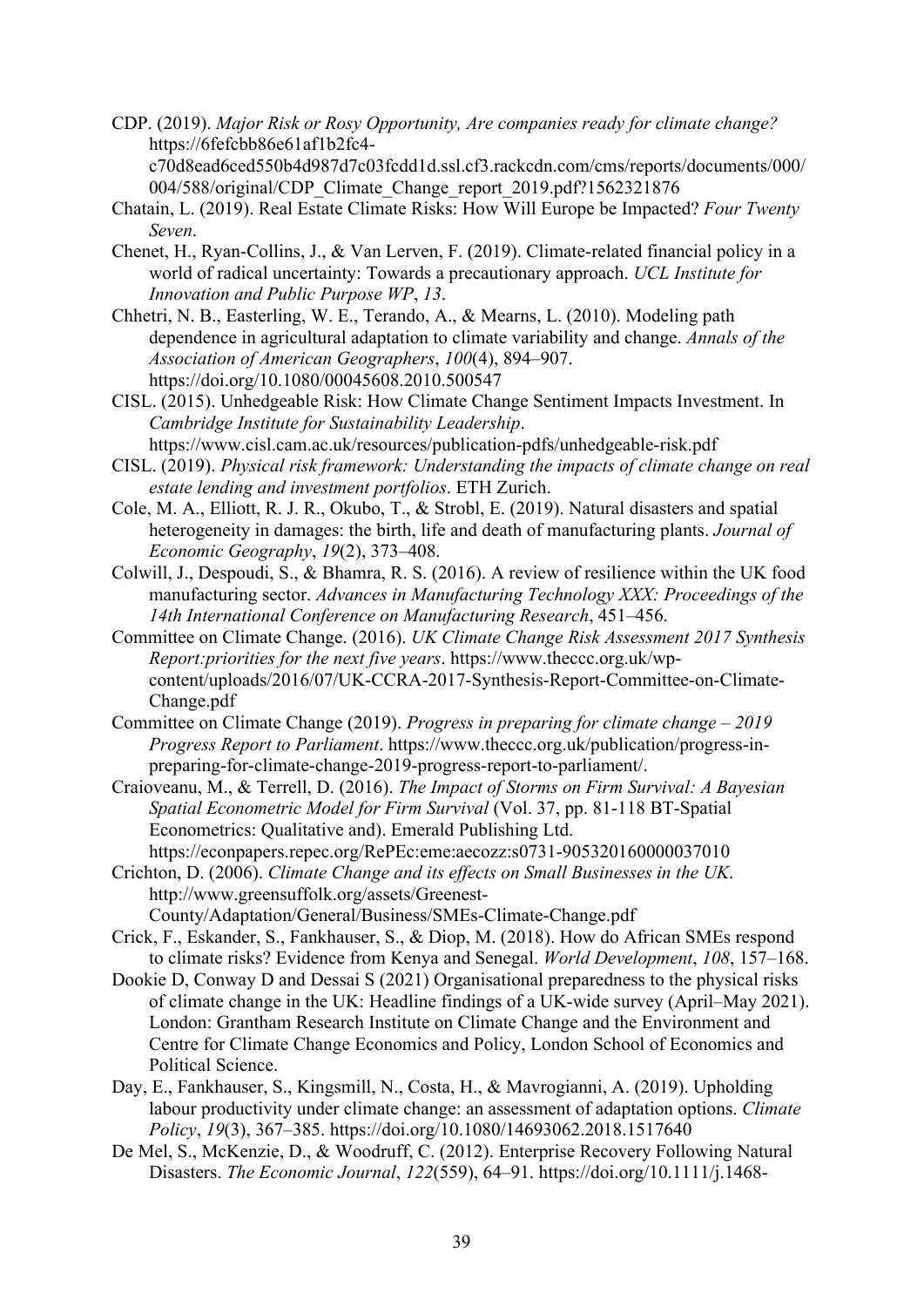CDP. (2019). *Major Risk or Rosy Opportunity, Are companies ready for climate change?* https://6fefcbb86e61af1b2fc4 c70d8ead6ced550b4d987d7c03fcdd1d.ssl.cf3.rackcdn.com/cms/reports/documents/000/

004/588/original/CDP\_Climate\_Change\_report\_2019.pdf?1562321876

- Chatain, L. (2019). Real Estate Climate Risks: How Will Europe be Impacted? *Four Twenty Seven*.
- Chenet, H., Ryan-Collins, J., & Van Lerven, F. (2019). Climate-related financial policy in a world of radical uncertainty: Towards a precautionary approach. *UCL Institute for Innovation and Public Purpose WP*, *13*.
- Chhetri, N. B., Easterling, W. E., Terando, A., & Mearns, L. (2010). Modeling path dependence in agricultural adaptation to climate variability and change. *Annals of the Association of American Geographers*, *100*(4), 894–907. https://doi.org/10.1080/00045608.2010.500547
- CISL. (2015). Unhedgeable Risk: How Climate Change Sentiment Impacts Investment. In *Cambridge Institute for Sustainability Leadership*. https://www.cisl.cam.ac.uk/resources/publication-pdfs/unhedgeable-risk.pdf
- CISL. (2019). *Physical risk framework: Understanding the impacts of climate change on real estate lending and investment portfolios*. ETH Zurich.
- Cole, M. A., Elliott, R. J. R., Okubo, T., & Strobl, E. (2019). Natural disasters and spatial heterogeneity in damages: the birth, life and death of manufacturing plants. *Journal of Economic Geography*, *19*(2), 373–408.
- Colwill, J., Despoudi, S., & Bhamra, R. S. (2016). A review of resilience within the UK food manufacturing sector. *Advances in Manufacturing Technology XXX: Proceedings of the 14th International Conference on Manufacturing Research*, 451–456.
- Committee on Climate Change. (2016). *UK Climate Change Risk Assessment 2017 Synthesis Report:priorities for the next five years*. https://www.theccc.org.uk/wpcontent/uploads/2016/07/UK-CCRA-2017-Synthesis-Report-Committee-on-Climate-Change.pdf
- Committee on Climate Change (2019). *Progress in preparing for climate change – 2019 Progress Report to Parliament*. https://www.theccc.org.uk/publication/progress-inpreparing-for-climate-change-2019-progress-report-to-parliament/.
- Craioveanu, M., & Terrell, D. (2016). *The Impact of Storms on Firm Survival: A Bayesian Spatial Econometric Model for Firm Survival* (Vol. 37, pp. 81-118 BT-Spatial Econometrics: Qualitative and). Emerald Publishing Ltd. https://econpapers.repec.org/RePEc:eme:aecozz:s0731-905320160000037010
- Crichton, D. (2006). *Climate Change and its effects on Small Businesses in the UK*. http://www.greensuffolk.org/assets/Greenest-County/Adaptation/General/Business/SMEs-Climate-Change.pdf
- Crick, F., Eskander, S., Fankhauser, S., & Diop, M. (2018). How do African SMEs respond to climate risks? Evidence from Kenya and Senegal. *World Development*, *108*, 157–168.
- Dookie D, Conway D and Dessai S (2021) Organisational preparedness to the physical risks of climate change in the UK: Headline findings of a UK-wide survey (April–May 2021). London: Grantham Research Institute on Climate Change and the Environment and Centre for Climate Change Economics and Policy, London School of Economics and Political Science.
- Day, E., Fankhauser, S., Kingsmill, N., Costa, H., & Mavrogianni, A. (2019). Upholding labour productivity under climate change: an assessment of adaptation options. *Climate Policy*, *19*(3), 367–385. https://doi.org/10.1080/14693062.2018.1517640
- De Mel, S., McKenzie, D., & Woodruff, C. (2012). Enterprise Recovery Following Natural Disasters. *The Economic Journal*, *122*(559), 64–91. https://doi.org/10.1111/j.1468-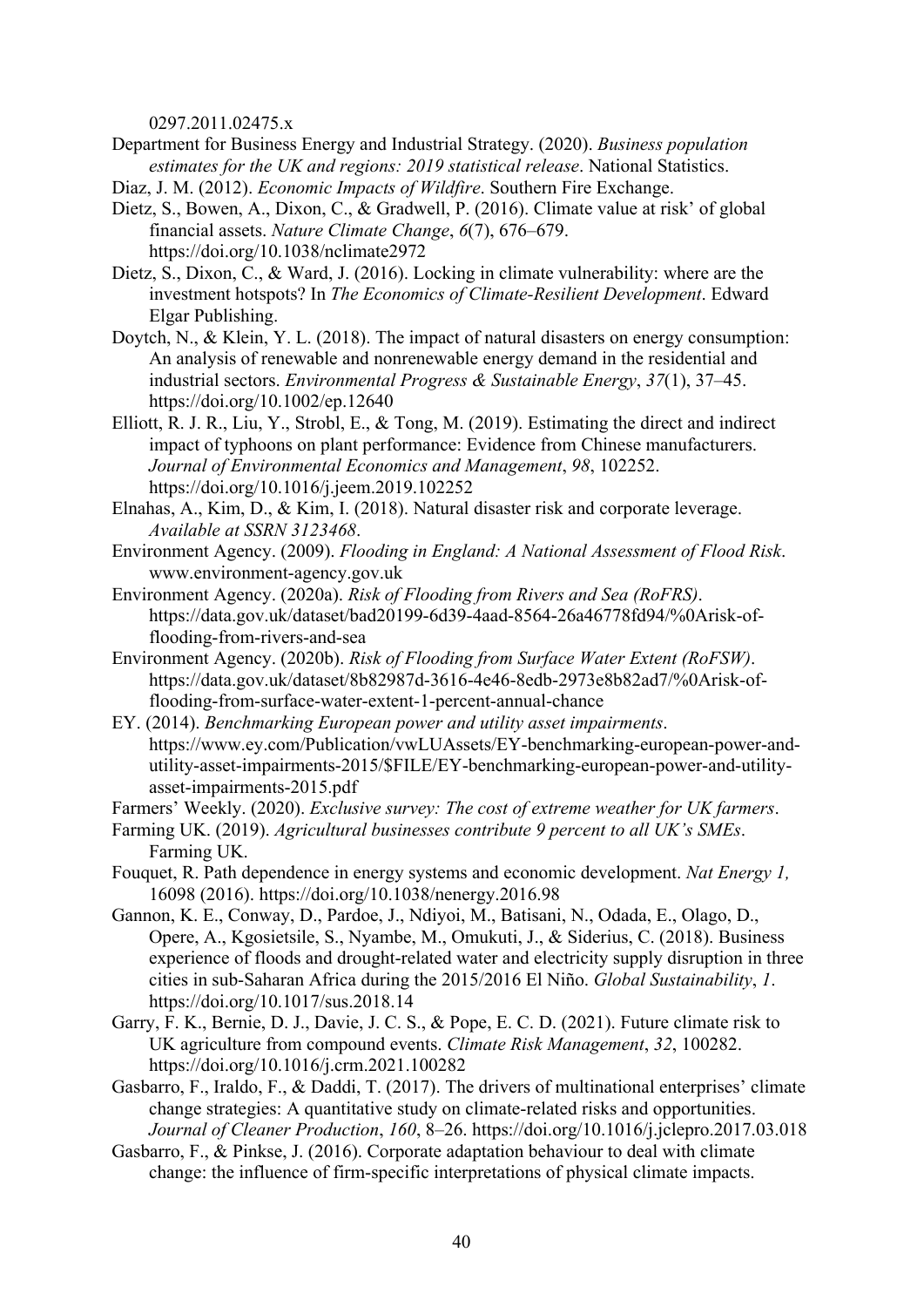0297.2011.02475.x

- Department for Business Energy and Industrial Strategy. (2020). *Business population estimates for the UK and regions: 2019 statistical release*. National Statistics.
- Diaz, J. M. (2012). *Economic Impacts of Wildfire*. Southern Fire Exchange.
- Dietz, S., Bowen, A., Dixon, C., & Gradwell, P. (2016). Climate value at risk' of global financial assets. *Nature Climate Change*, *6*(7), 676–679. https://doi.org/10.1038/nclimate2972
- Dietz, S., Dixon, C., & Ward, J. (2016). Locking in climate vulnerability: where are the investment hotspots? In *The Economics of Climate-Resilient Development*. Edward Elgar Publishing.
- Doytch, N., & Klein, Y. L. (2018). The impact of natural disasters on energy consumption: An analysis of renewable and nonrenewable energy demand in the residential and industrial sectors. *Environmental Progress & Sustainable Energy*, *37*(1), 37–45. https://doi.org/10.1002/ep.12640
- Elliott, R. J. R., Liu, Y., Strobl, E., & Tong, M. (2019). Estimating the direct and indirect impact of typhoons on plant performance: Evidence from Chinese manufacturers. *Journal of Environmental Economics and Management*, *98*, 102252. https://doi.org/10.1016/j.jeem.2019.102252
- Elnahas, A., Kim, D., & Kim, I. (2018). Natural disaster risk and corporate leverage. *Available at SSRN 3123468*.
- Environment Agency. (2009). *Flooding in England: A National Assessment of Flood Risk*. www.environment-agency.gov.uk
- Environment Agency. (2020a). *Risk of Flooding from Rivers and Sea (RoFRS)*. https://data.gov.uk/dataset/bad20199-6d39-4aad-8564-26a46778fd94/%0Arisk-offlooding-from-rivers-and-sea
- Environment Agency. (2020b). *Risk of Flooding from Surface Water Extent (RoFSW)*. https://data.gov.uk/dataset/8b82987d-3616-4e46-8edb-2973e8b82ad7/%0Arisk-offlooding-from-surface-water-extent-1-percent-annual-chance
- EY. (2014). *Benchmarking European power and utility asset impairments*. https://www.ey.com/Publication/vwLUAssets/EY-benchmarking-european-power-andutility-asset-impairments-2015/\$FILE/EY-benchmarking-european-power-and-utilityasset-impairments-2015.pdf
- Farmers' Weekly. (2020). *Exclusive survey: The cost of extreme weather for UK farmers*.
- Farming UK. (2019). *Agricultural businesses contribute 9 percent to all UK's SMEs*. Farming UK.
- Fouquet, R. Path dependence in energy systems and economic development. *Nat Energy 1,* 16098 (2016). https://doi.org/10.1038/nenergy.2016.98
- Gannon, K. E., Conway, D., Pardoe, J., Ndiyoi, M., Batisani, N., Odada, E., Olago, D., Opere, A., Kgosietsile, S., Nyambe, M., Omukuti, J., & Siderius, C. (2018). Business experience of floods and drought-related water and electricity supply disruption in three cities in sub-Saharan Africa during the 2015/2016 El Niño. *Global Sustainability*, *1*. https://doi.org/10.1017/sus.2018.14
- Garry, F. K., Bernie, D. J., Davie, J. C. S., & Pope, E. C. D. (2021). Future climate risk to UK agriculture from compound events. *Climate Risk Management*, *32*, 100282. https://doi.org/10.1016/j.crm.2021.100282
- Gasbarro, F., Iraldo, F., & Daddi, T. (2017). The drivers of multinational enterprises' climate change strategies: A quantitative study on climate-related risks and opportunities. *Journal of Cleaner Production*, *160*, 8–26. https://doi.org/10.1016/j.jclepro.2017.03.018
- Gasbarro, F., & Pinkse, J. (2016). Corporate adaptation behaviour to deal with climate change: the influence of firm‐specific interpretations of physical climate impacts.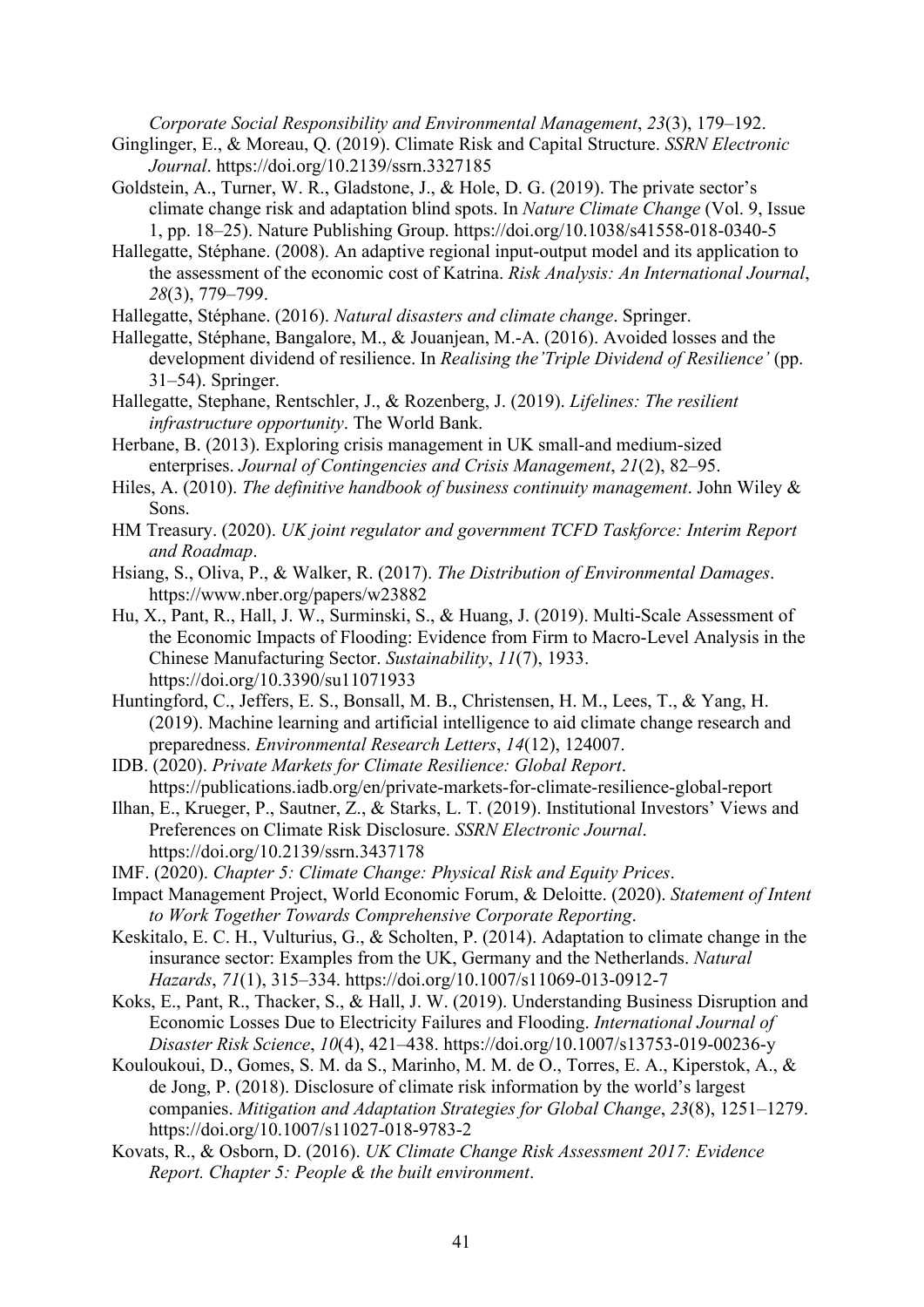*Corporate Social Responsibility and Environmental Management*, *23*(3), 179–192.

- Ginglinger, E., & Moreau, Q. (2019). Climate Risk and Capital Structure. *SSRN Electronic Journal*. https://doi.org/10.2139/ssrn.3327185
- Goldstein, A., Turner, W. R., Gladstone, J., & Hole, D. G. (2019). The private sector's climate change risk and adaptation blind spots. In *Nature Climate Change* (Vol. 9, Issue 1, pp. 18–25). Nature Publishing Group. https://doi.org/10.1038/s41558-018-0340-5
- Hallegatte, Stéphane. (2008). An adaptive regional input‐output model and its application to the assessment of the economic cost of Katrina. *Risk Analysis: An International Journal*, *28*(3), 779–799.
- Hallegatte, Stéphane. (2016). *Natural disasters and climate change*. Springer.
- Hallegatte, Stéphane, Bangalore, M., & Jouanjean, M.-A. (2016). Avoided losses and the development dividend of resilience. In *Realising the'Triple Dividend of Resilience'* (pp. 31–54). Springer.
- Hallegatte, Stephane, Rentschler, J., & Rozenberg, J. (2019). *Lifelines: The resilient infrastructure opportunity*. The World Bank.
- Herbane, B. (2013). Exploring crisis management in UK small-and medium-sized enterprises. *Journal of Contingencies and Crisis Management*, *21*(2), 82–95.
- Hiles, A. (2010). *The definitive handbook of business continuity management*. John Wiley & Sons.
- HM Treasury. (2020). *UK joint regulator and government TCFD Taskforce: Interim Report and Roadmap*.
- Hsiang, S., Oliva, P., & Walker, R. (2017). *The Distribution of Environmental Damages*. https://www.nber.org/papers/w23882
- Hu, X., Pant, R., Hall, J. W., Surminski, S., & Huang, J. (2019). Multi-Scale Assessment of the Economic Impacts of Flooding: Evidence from Firm to Macro-Level Analysis in the Chinese Manufacturing Sector. *Sustainability*, *11*(7), 1933. https://doi.org/10.3390/su11071933
- Huntingford, C., Jeffers, E. S., Bonsall, M. B., Christensen, H. M., Lees, T., & Yang, H. (2019). Machine learning and artificial intelligence to aid climate change research and preparedness. *Environmental Research Letters*, *14*(12), 124007.
- IDB. (2020). *Private Markets for Climate Resilience: Global Report*. https://publications.iadb.org/en/private-markets-for-climate-resilience-global-report
- Ilhan, E., Krueger, P., Sautner, Z., & Starks, L. T. (2019). Institutional Investors' Views and Preferences on Climate Risk Disclosure. *SSRN Electronic Journal*. https://doi.org/10.2139/ssrn.3437178
- IMF. (2020). *Chapter 5: Climate Change: Physical Risk and Equity Prices*.
- Impact Management Project, World Economic Forum, & Deloitte. (2020). *Statement of Intent to Work Together Towards Comprehensive Corporate Reporting*.
- Keskitalo, E. C. H., Vulturius, G., & Scholten, P. (2014). Adaptation to climate change in the insurance sector: Examples from the UK, Germany and the Netherlands. *Natural Hazards*, *71*(1), 315–334. https://doi.org/10.1007/s11069-013-0912-7
- Koks, E., Pant, R., Thacker, S., & Hall, J. W. (2019). Understanding Business Disruption and Economic Losses Due to Electricity Failures and Flooding. *International Journal of Disaster Risk Science*, *10*(4), 421–438. https://doi.org/10.1007/s13753-019-00236-y
- Kouloukoui, D., Gomes, S. M. da S., Marinho, M. M. de O., Torres, E. A., Kiperstok, A., & de Jong, P. (2018). Disclosure of climate risk information by the world's largest companies. *Mitigation and Adaptation Strategies for Global Change*, *23*(8), 1251–1279. https://doi.org/10.1007/s11027-018-9783-2
- Kovats, R., & Osborn, D. (2016). *UK Climate Change Risk Assessment 2017: Evidence Report. Chapter 5: People & the built environment*.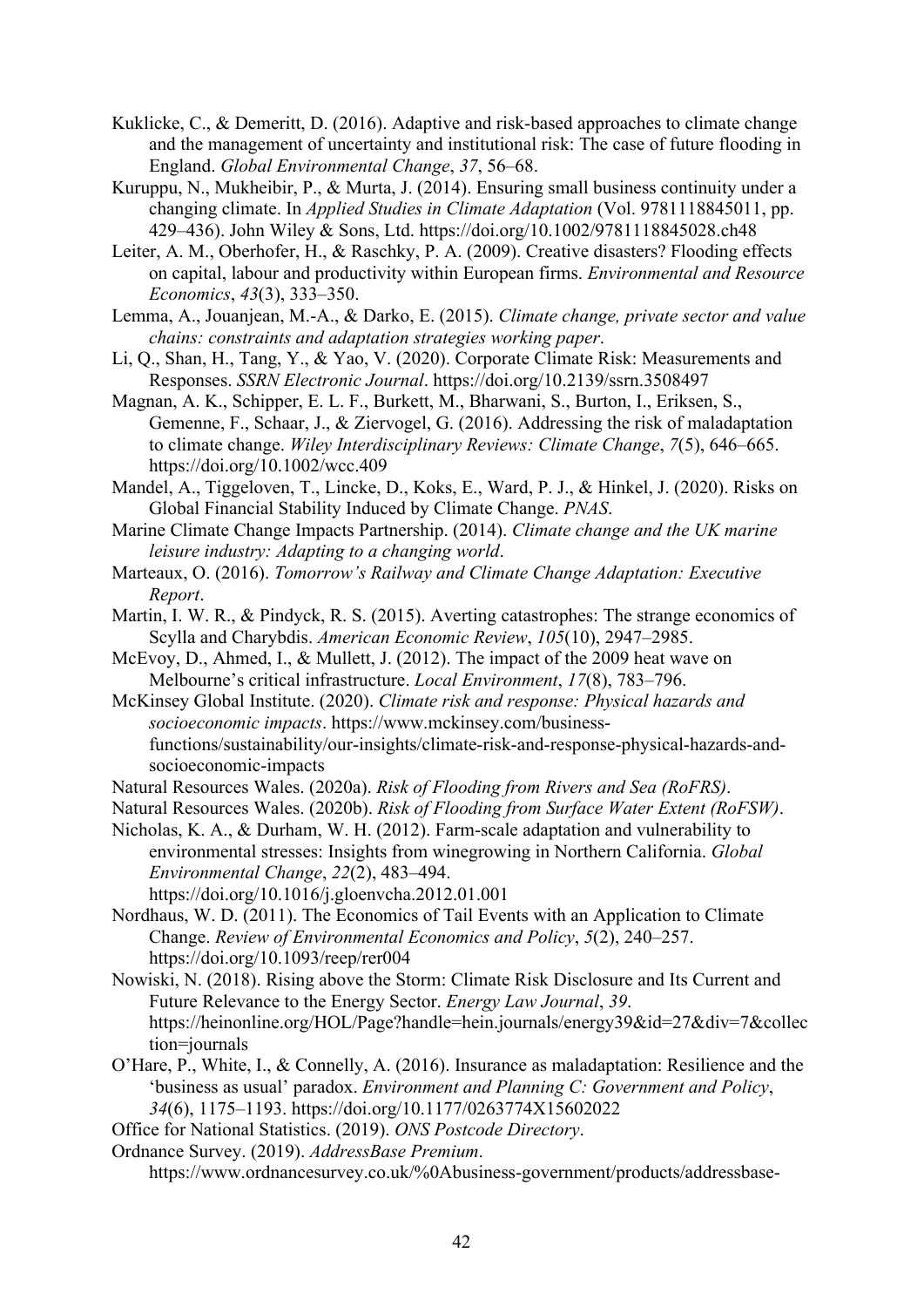- Kuklicke, C., & Demeritt, D. (2016). Adaptive and risk-based approaches to climate change and the management of uncertainty and institutional risk: The case of future flooding in England. *Global Environmental Change*, *37*, 56–68.
- Kuruppu, N., Mukheibir, P., & Murta, J. (2014). Ensuring small business continuity under a changing climate. In *Applied Studies in Climate Adaptation* (Vol. 9781118845011, pp. 429–436). John Wiley & Sons, Ltd. https://doi.org/10.1002/9781118845028.ch48
- Leiter, A. M., Oberhofer, H., & Raschky, P. A. (2009). Creative disasters? Flooding effects on capital, labour and productivity within European firms. *Environmental and Resource Economics*, *43*(3), 333–350.
- Lemma, A., Jouanjean, M.-A., & Darko, E. (2015). *Climate change, private sector and value chains: constraints and adaptation strategies working paper*.
- Li, Q., Shan, H., Tang, Y., & Yao, V. (2020). Corporate Climate Risk: Measurements and Responses. *SSRN Electronic Journal*. https://doi.org/10.2139/ssrn.3508497
- Magnan, A. K., Schipper, E. L. F., Burkett, M., Bharwani, S., Burton, I., Eriksen, S., Gemenne, F., Schaar, J., & Ziervogel, G. (2016). Addressing the risk of maladaptation to climate change. *Wiley Interdisciplinary Reviews: Climate Change*, *7*(5), 646–665. https://doi.org/10.1002/wcc.409
- Mandel, A., Tiggeloven, T., Lincke, D., Koks, E., Ward, P. J., & Hinkel, J. (2020). Risks on Global Financial Stability Induced by Climate Change. *PNAS*.
- Marine Climate Change Impacts Partnership. (2014). *Climate change and the UK marine leisure industry: Adapting to a changing world*.
- Marteaux, O. (2016). *Tomorrow's Railway and Climate Change Adaptation: Executive Report*.
- Martin, I. W. R., & Pindyck, R. S. (2015). Averting catastrophes: The strange economics of Scylla and Charybdis. *American Economic Review*, *105*(10), 2947–2985.
- McEvoy, D., Ahmed, I., & Mullett, J. (2012). The impact of the 2009 heat wave on Melbourne's critical infrastructure. *Local Environment*, *17*(8), 783–796.
- McKinsey Global Institute. (2020). *Climate risk and response: Physical hazards and socioeconomic impacts*. https://www.mckinsey.com/businessfunctions/sustainability/our-insights/climate-risk-and-response-physical-hazards-andsocioeconomic-impacts
- Natural Resources Wales. (2020a). *Risk of Flooding from Rivers and Sea (RoFRS)*.

Natural Resources Wales. (2020b). *Risk of Flooding from Surface Water Extent (RoFSW)*.

- Nicholas, K. A., & Durham, W. H. (2012). Farm-scale adaptation and vulnerability to environmental stresses: Insights from winegrowing in Northern California. *Global Environmental Change*, *22*(2), 483–494. https://doi.org/10.1016/j.gloenvcha.2012.01.001
- Nordhaus, W. D. (2011). The Economics of Tail Events with an Application to Climate Change. *Review of Environmental Economics and Policy*, *5*(2), 240–257. https://doi.org/10.1093/reep/rer004
- Nowiski, N. (2018). Rising above the Storm: Climate Risk Disclosure and Its Current and Future Relevance to the Energy Sector. *Energy Law Journal*, *39*. https://heinonline.org/HOL/Page?handle=hein.journals/energy39&id=27&div=7&collec tion=journals
- O'Hare, P., White, I., & Connelly, A. (2016). Insurance as maladaptation: Resilience and the 'business as usual' paradox. *Environment and Planning C: Government and Policy*, *34*(6), 1175–1193. https://doi.org/10.1177/0263774X15602022

Office for National Statistics. (2019). *ONS Postcode Directory*.

Ordnance Survey. (2019). *AddressBase Premium*.

https://www.ordnancesurvey.co.uk/%0Abusiness-government/products/addressbase-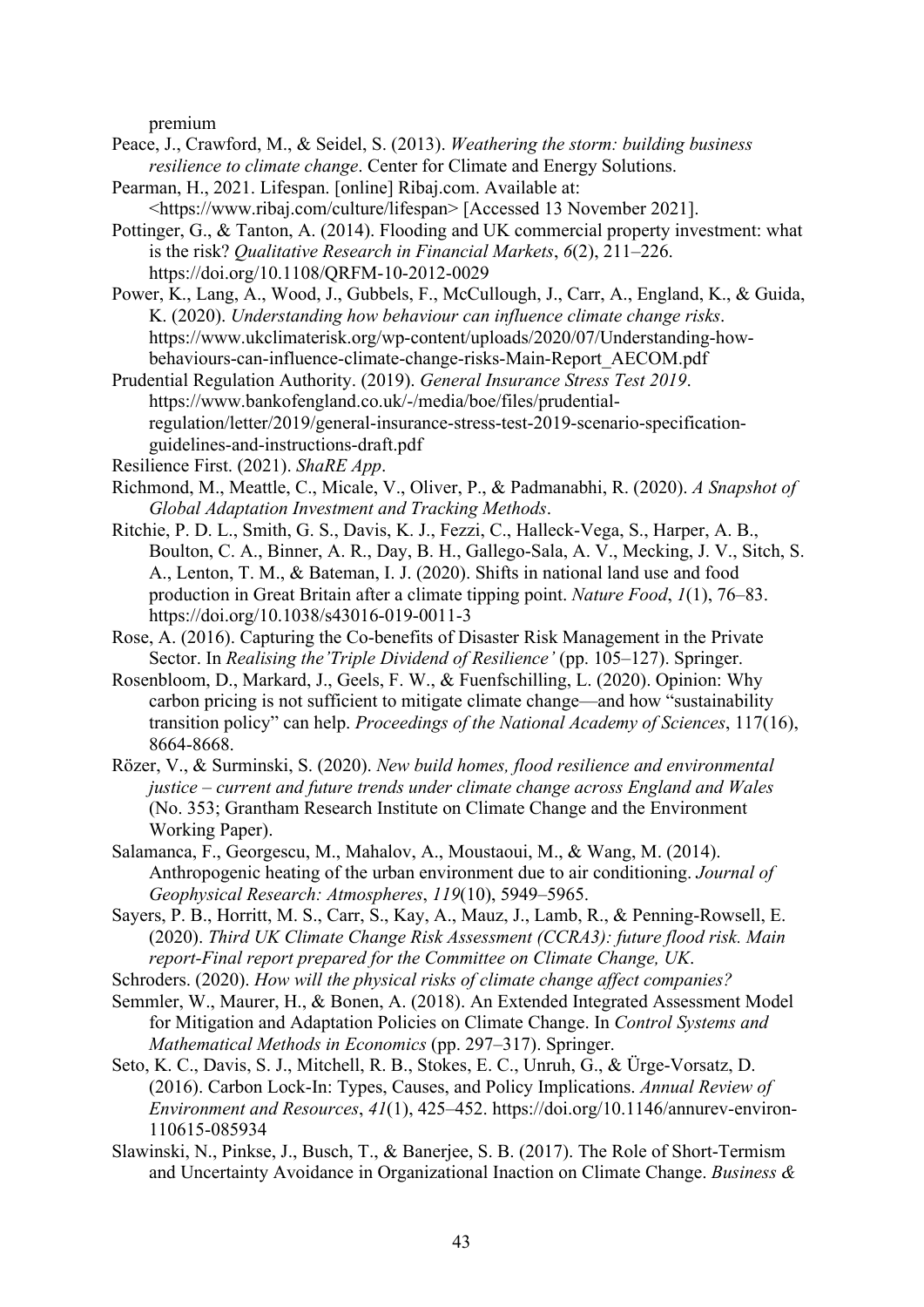premium

- Peace, J., Crawford, M., & Seidel, S. (2013). *Weathering the storm: building business resilience to climate change*. Center for Climate and Energy Solutions.
- Pearman, H., 2021. Lifespan. [online] Ribaj.com. Available at: <https://www.ribaj.com/culture/lifespan> [Accessed 13 November 2021].
- Pottinger, G., & Tanton, A. (2014). Flooding and UK commercial property investment: what is the risk? *Qualitative Research in Financial Markets*, *6*(2), 211–226. https://doi.org/10.1108/QRFM-10-2012-0029
- Power, K., Lang, A., Wood, J., Gubbels, F., McCullough, J., Carr, A., England, K., & Guida, K. (2020). *Understanding how behaviour can influence climate change risks*. https://www.ukclimaterisk.org/wp-content/uploads/2020/07/Understanding-howbehaviours-can-influence-climate-change-risks-Main-Report\_AECOM.pdf
- Prudential Regulation Authority. (2019). *General Insurance Stress Test 2019*. https://www.bankofengland.co.uk/-/media/boe/files/prudentialregulation/letter/2019/general-insurance-stress-test-2019-scenario-specificationguidelines-and-instructions-draft.pdf
- Resilience First. (2021). *ShaRE App*.
- Richmond, M., Meattle, C., Micale, V., Oliver, P., & Padmanabhi, R. (2020). *A Snapshot of Global Adaptation Investment and Tracking Methods*.
- Ritchie, P. D. L., Smith, G. S., Davis, K. J., Fezzi, C., Halleck-Vega, S., Harper, A. B., Boulton, C. A., Binner, A. R., Day, B. H., Gallego-Sala, A. V., Mecking, J. V., Sitch, S. A., Lenton, T. M., & Bateman, I. J. (2020). Shifts in national land use and food production in Great Britain after a climate tipping point. *Nature Food*, *1*(1), 76–83. https://doi.org/10.1038/s43016-019-0011-3
- Rose, A. (2016). Capturing the Co-benefits of Disaster Risk Management in the Private Sector. In *Realising the'Triple Dividend of Resilience'* (pp. 105–127). Springer.
- Rosenbloom, D., Markard, J., Geels, F. W., & Fuenfschilling, L. (2020). Opinion: Why carbon pricing is not sufficient to mitigate climate change—and how "sustainability transition policy" can help. *Proceedings of the National Academy of Sciences*, 117(16), 8664-8668.
- Rözer, V., & Surminski, S. (2020). *New build homes, flood resilience and environmental justice – current and future trends under climate change across England and Wales* (No. 353; Grantham Research Institute on Climate Change and the Environment Working Paper).
- Salamanca, F., Georgescu, M., Mahalov, A., Moustaoui, M., & Wang, M. (2014). Anthropogenic heating of the urban environment due to air conditioning. *Journal of Geophysical Research: Atmospheres*, *119*(10), 5949–5965.
- Sayers, P. B., Horritt, M. S., Carr, S., Kay, A., Mauz, J., Lamb, R., & Penning-Rowsell, E. (2020). *Third UK Climate Change Risk Assessment (CCRA3): future flood risk. Main report-Final report prepared for the Committee on Climate Change, UK*.
- Schroders. (2020). *How will the physical risks of climate change affect companies?*
- Semmler, W., Maurer, H., & Bonen, A. (2018). An Extended Integrated Assessment Model for Mitigation and Adaptation Policies on Climate Change. In *Control Systems and Mathematical Methods in Economics* (pp. 297–317). Springer.
- Seto, K. C., Davis, S. J., Mitchell, R. B., Stokes, E. C., Unruh, G., & Ürge-Vorsatz, D. (2016). Carbon Lock-In: Types, Causes, and Policy Implications. *Annual Review of Environment and Resources*, *41*(1), 425–452. https://doi.org/10.1146/annurev-environ-110615-085934
- Slawinski, N., Pinkse, J., Busch, T., & Banerjee, S. B. (2017). The Role of Short-Termism and Uncertainty Avoidance in Organizational Inaction on Climate Change. *Business &*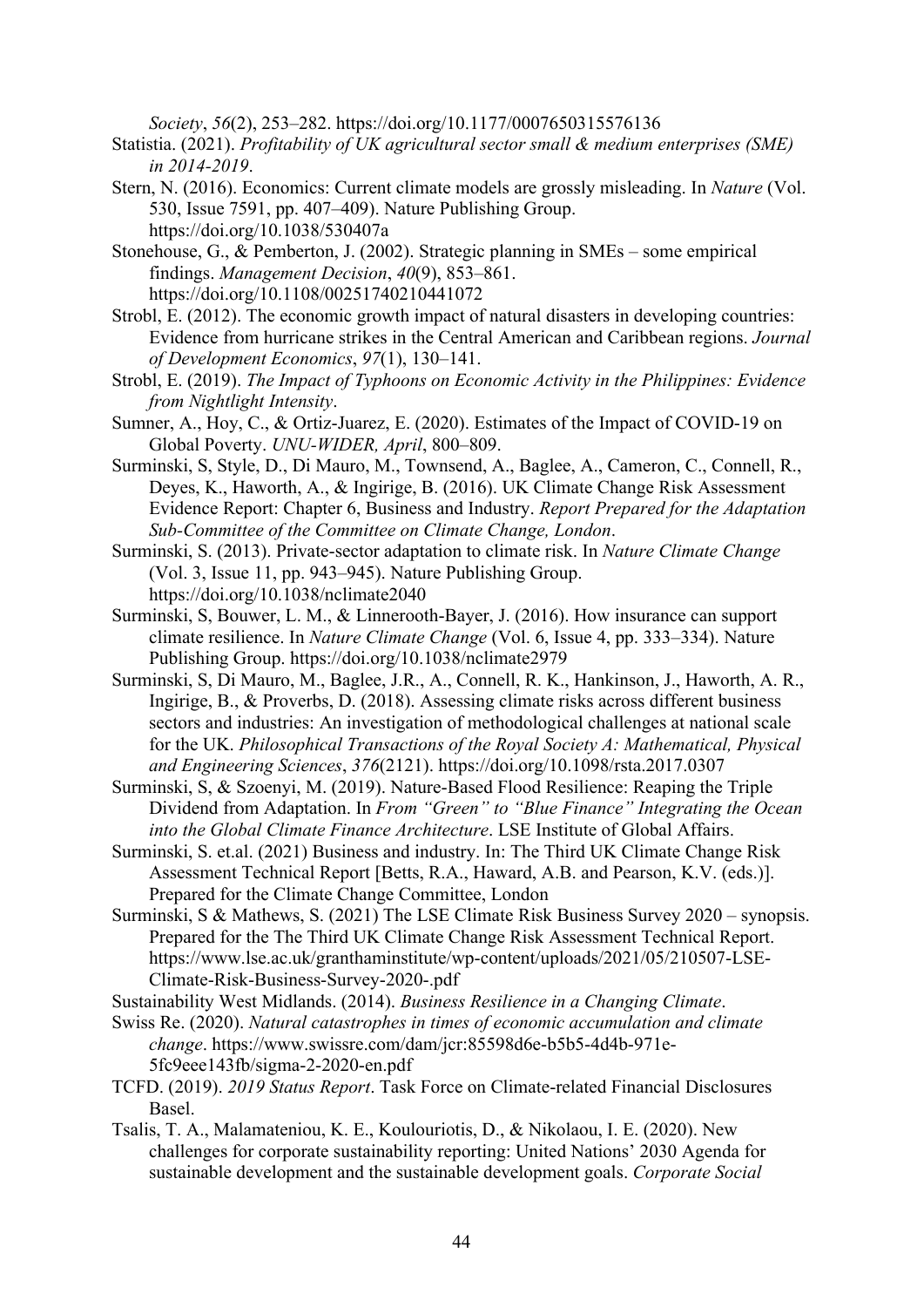*Society*, *56*(2), 253–282. https://doi.org/10.1177/0007650315576136

Statistia. (2021). *Profitability of UK agricultural sector small & medium enterprises (SME) in 2014-2019*.

- Stern, N. (2016). Economics: Current climate models are grossly misleading. In *Nature* (Vol. 530, Issue 7591, pp. 407–409). Nature Publishing Group. https://doi.org/10.1038/530407a
- Stonehouse, G., & Pemberton, J. (2002). Strategic planning in SMEs some empirical findings. *Management Decision*, *40*(9), 853–861. https://doi.org/10.1108/00251740210441072
- Strobl, E. (2012). The economic growth impact of natural disasters in developing countries: Evidence from hurricane strikes in the Central American and Caribbean regions. *Journal of Development Economics*, *97*(1), 130–141.
- Strobl, E. (2019). *The Impact of Typhoons on Economic Activity in the Philippines: Evidence from Nightlight Intensity*.
- Sumner, A., Hoy, C., & Ortiz-Juarez, E. (2020). Estimates of the Impact of COVID-19 on Global Poverty. *UNU-WIDER, April*, 800–809.
- Surminski, S, Style, D., Di Mauro, M., Townsend, A., Baglee, A., Cameron, C., Connell, R., Deyes, K., Haworth, A., & Ingirige, B. (2016). UK Climate Change Risk Assessment Evidence Report: Chapter 6, Business and Industry. *Report Prepared for the Adaptation Sub-Committee of the Committee on Climate Change, London*.
- Surminski, S. (2013). Private-sector adaptation to climate risk. In *Nature Climate Change* (Vol. 3, Issue 11, pp. 943–945). Nature Publishing Group. https://doi.org/10.1038/nclimate2040
- Surminski, S, Bouwer, L. M., & Linnerooth-Bayer, J. (2016). How insurance can support climate resilience. In *Nature Climate Change* (Vol. 6, Issue 4, pp. 333–334). Nature Publishing Group. https://doi.org/10.1038/nclimate2979
- Surminski, S, Di Mauro, M., Baglee, J.R., A., Connell, R. K., Hankinson, J., Haworth, A. R., Ingirige, B., & Proverbs, D. (2018). Assessing climate risks across different business sectors and industries: An investigation of methodological challenges at national scale for the UK. *Philosophical Transactions of the Royal Society A: Mathematical, Physical and Engineering Sciences*, *376*(2121). https://doi.org/10.1098/rsta.2017.0307
- Surminski, S, & Szoenyi, M. (2019). Nature-Based Flood Resilience: Reaping the Triple Dividend from Adaptation. In *From "Green" to "Blue Finance" Integrating the Ocean into the Global Climate Finance Architecture*. LSE Institute of Global Affairs.
- Surminski, S. et.al. (2021) Business and industry. In: The Third UK Climate Change Risk Assessment Technical Report [Betts, R.A., Haward, A.B. and Pearson, K.V. (eds.)]. Prepared for the Climate Change Committee, London
- Surminski, S & Mathews, S. (2021) The LSE Climate Risk Business Survey 2020 synopsis. Prepared for the The Third UK Climate Change Risk Assessment Technical Report. https://www.lse.ac.uk/granthaminstitute/wp-content/uploads/2021/05/210507-LSE-Climate-Risk-Business-Survey-2020-.pdf

Sustainability West Midlands. (2014). *Business Resilience in a Changing Climate*.

- Swiss Re. (2020). *Natural catastrophes in times of economic accumulation and climate change*. https://www.swissre.com/dam/jcr:85598d6e-b5b5-4d4b-971e-5fc9eee143fb/sigma-2-2020-en.pdf
- TCFD. (2019). *2019 Status Report*. Task Force on Climate-related Financial Disclosures Basel.
- Tsalis, T. A., Malamateniou, K. E., Koulouriotis, D., & Nikolaou, I. E. (2020). New challenges for corporate sustainability reporting: United Nations' 2030 Agenda for sustainable development and the sustainable development goals. *Corporate Social*